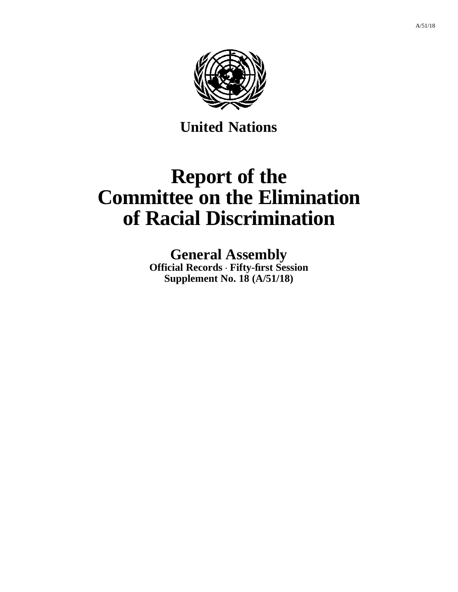

**United Nations**

# **Report of the Committee on the Elimination of Racial Discrimination**

**General Assembly Official Records · Fifty-first Session**

**Supplement No. 18 (A/51/18)**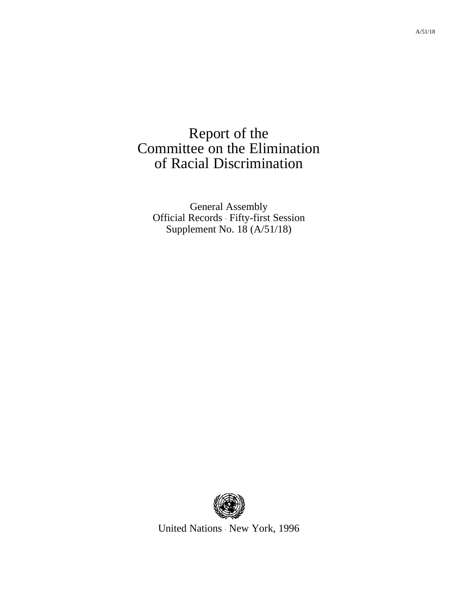# Report of the Committee on the Elimination of Racial Discrimination

General Assembly Official Records · Fifty-first Session Supplement No. 18 (A/51/18)



United Nations · New York, 1996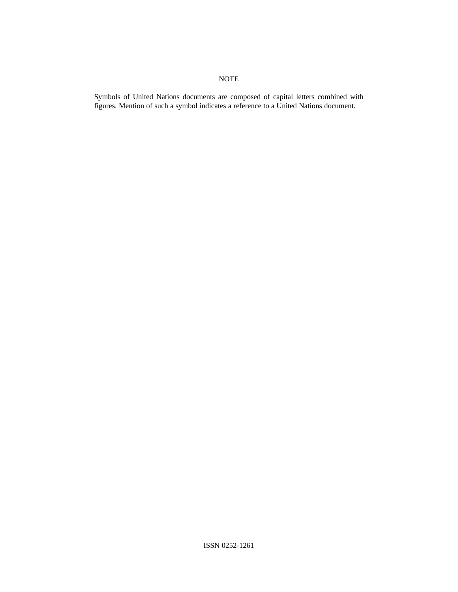# NOTE

Symbols of United Nations documents are composed of capital letters combined with figures. Mention of such a symbol indicates a reference to a United Nations document.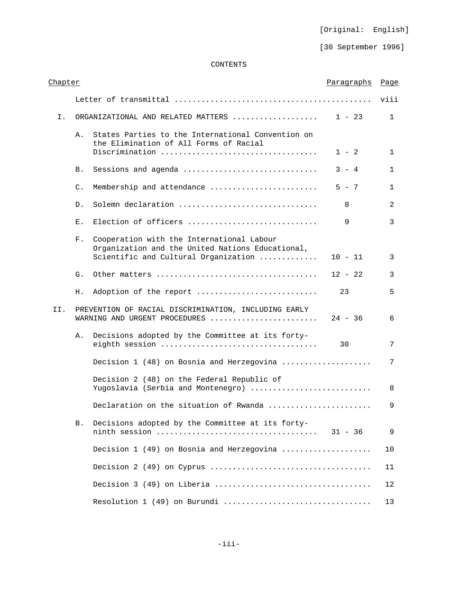[Original: English]

[30 September 1996]

# CONTENTS

| Chapter |       |                                                                                                                                       | Paragraphs | Page         |
|---------|-------|---------------------------------------------------------------------------------------------------------------------------------------|------------|--------------|
|         |       |                                                                                                                                       |            | viii         |
| Ι.      |       | ORGANIZATIONAL AND RELATED MATTERS                                                                                                    | $1 - 23$   | $\mathbf{1}$ |
|         | Α.    | States Parties to the International Convention on<br>the Elimination of All Forms of Racial                                           | $1 - 2$    | 1            |
|         | B.    | Sessions and agenda                                                                                                                   | $3 - 4$    | $\mathbf 1$  |
|         | C.    | Membership and attendance                                                                                                             | $5 - 7$    | $\mathbf{1}$ |
|         | D.    | Solemn declaration                                                                                                                    | 8          | 2            |
|         | Ε.    | Election of officers                                                                                                                  | 9          | 3            |
|         | $F$ . | Cooperation with the International Labour<br>Organization and the United Nations Educational,<br>Scientific and Cultural Organization | $10 - 11$  | 3            |
|         | G.    |                                                                                                                                       | $12 - 22$  | 3            |
|         | Η.    | Adoption of the report                                                                                                                | 23         | 5            |
| II.     |       | PREVENTION OF RACIAL DISCRIMINATION, INCLUDING EARLY<br>WARNING AND URGENT PROCEDURES                                                 | $24 - 36$  | 6            |
|         | Α.    | Decisions adopted by the Committee at its forty-                                                                                      | 30         | 7            |
|         |       | Decision 1 (48) on Bosnia and Herzegovina                                                                                             |            | 7            |
|         |       | Decision 2 (48) on the Federal Republic of<br>Yugoslavia (Serbia and Montenegro)                                                      |            | 8            |
|         |       | Declaration on the situation of Rwanda                                                                                                |            | 9            |
|         | Β.    | Decisions adopted by the Committee at its forty-                                                                                      |            | 9            |
|         |       | Decision 1 (49) on Bosnia and Herzegovina                                                                                             |            | 10           |
|         |       | Decision 2 (49) on Cyprus $\ldots \ldots \ldots \ldots \ldots \ldots \ldots \ldots \ldots \ldots \ldots$                              |            | 11           |
|         |       |                                                                                                                                       |            | 12           |
|         |       | Resolution 1 (49) on Burundi                                                                                                          |            | 13           |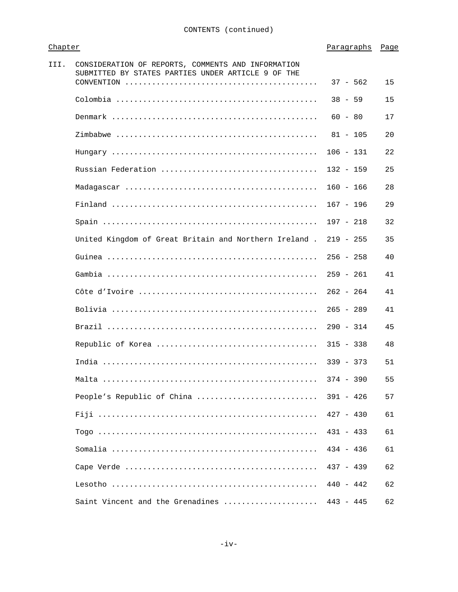| Chapter                                                                                                  | Paragraphs         | Page                                                                                                                                                                                      |
|----------------------------------------------------------------------------------------------------------|--------------------|-------------------------------------------------------------------------------------------------------------------------------------------------------------------------------------------|
| CONSIDERATION OF REPORTS, COMMENTS AND INFORMATION<br>SUBMITTED BY STATES PARTIES UNDER ARTICLE 9 OF THE | $37 - 562$         | 15                                                                                                                                                                                        |
|                                                                                                          | $38 - 59$          | 15                                                                                                                                                                                        |
|                                                                                                          |                    | 17                                                                                                                                                                                        |
|                                                                                                          |                    | 20                                                                                                                                                                                        |
|                                                                                                          |                    | 22                                                                                                                                                                                        |
|                                                                                                          |                    | 25                                                                                                                                                                                        |
|                                                                                                          |                    |                                                                                                                                                                                           |
|                                                                                                          |                    | 28                                                                                                                                                                                        |
|                                                                                                          |                    | 29                                                                                                                                                                                        |
|                                                                                                          | $197 - 218$        | 32                                                                                                                                                                                        |
|                                                                                                          | $219 - 255$        | 35                                                                                                                                                                                        |
|                                                                                                          | $256 - 258$        | 40                                                                                                                                                                                        |
|                                                                                                          | $259 - 261$        | 41                                                                                                                                                                                        |
|                                                                                                          | $262 - 264$        | 41                                                                                                                                                                                        |
|                                                                                                          | $265 - 289$        | 41                                                                                                                                                                                        |
|                                                                                                          | $290 - 314$        | 45                                                                                                                                                                                        |
|                                                                                                          | $315 - 338$        | 48                                                                                                                                                                                        |
|                                                                                                          | $339 - 373$        | 51                                                                                                                                                                                        |
|                                                                                                          |                    | 55                                                                                                                                                                                        |
|                                                                                                          | $391 - 426$        | 57                                                                                                                                                                                        |
|                                                                                                          | $427 - 430$        | 61                                                                                                                                                                                        |
|                                                                                                          | $431 - 433$        | 61                                                                                                                                                                                        |
|                                                                                                          | $434 - 436$        | 61                                                                                                                                                                                        |
|                                                                                                          | $437 - 439$        | 62                                                                                                                                                                                        |
|                                                                                                          | $440 - 442$        | 62                                                                                                                                                                                        |
| Saint Vincent and the Grenadines                                                                         | $443 - 445$        | 62                                                                                                                                                                                        |
|                                                                                                          | Russian Federation | $60 - 80$<br>$81 - 105$<br>$106 - 131$<br>$132 - 159$<br>$160 - 166$<br>$167 - 196$<br>United Kingdom of Great Britain and Northern Ireland.<br>$374 - 390$<br>People's Republic of China |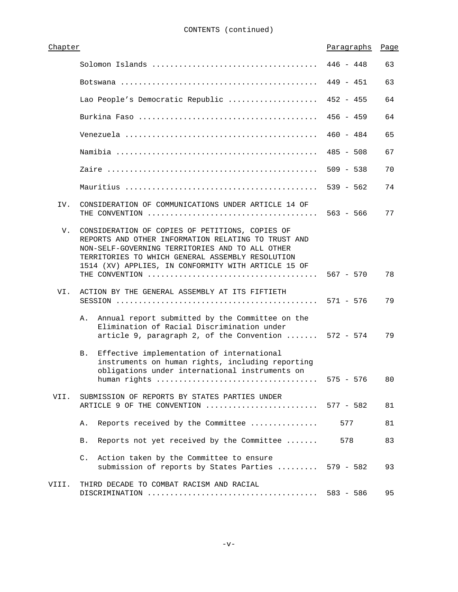| Chapter |                                                                                                                                                                                                                                                                      | Paragraphs  | Page |
|---------|----------------------------------------------------------------------------------------------------------------------------------------------------------------------------------------------------------------------------------------------------------------------|-------------|------|
|         |                                                                                                                                                                                                                                                                      |             | 63   |
|         |                                                                                                                                                                                                                                                                      | 449 - 451   | 63   |
|         | Lao People's Democratic Republic  452 - 455                                                                                                                                                                                                                          |             | 64   |
|         |                                                                                                                                                                                                                                                                      |             | 64   |
|         |                                                                                                                                                                                                                                                                      | $460 - 484$ | 65   |
|         |                                                                                                                                                                                                                                                                      | $485 - 508$ | 67   |
|         |                                                                                                                                                                                                                                                                      | $509 - 538$ | 70   |
|         |                                                                                                                                                                                                                                                                      | $539 - 562$ | 74   |
| IV.     | CONSIDERATION OF COMMUNICATIONS UNDER ARTICLE 14 OF                                                                                                                                                                                                                  |             | 77   |
| V.      | CONSIDERATION OF COPIES OF PETITIONS, COPIES OF<br>REPORTS AND OTHER INFORMATION RELATING TO TRUST AND<br>NON-SELF-GOVERNING TERRITORIES AND TO ALL OTHER<br>TERRITORIES TO WHICH GENERAL ASSEMBLY RESOLUTION<br>1514 (XV) APPLIES, IN CONFORMITY WITH ARTICLE 15 OF | 567 - 570   | 78   |
| VI.     | ACTION BY THE GENERAL ASSEMBLY AT ITS FIFTIETH                                                                                                                                                                                                                       |             | 79   |
|         | Annual report submitted by the Committee on the<br>Α.<br>Elimination of Racial Discrimination under<br>article 9, paragraph 2, of the Convention  572 - 574                                                                                                          |             | 79   |
|         | Effective implementation of international<br>B.<br>instruments on human rights, including reporting<br>obligations under international instruments on                                                                                                                | $575 - 576$ | 80   |
| VII.    | SUBMISSION OF REPORTS BY STATES PARTIES UNDER<br>ARTICLE 9 OF THE CONVENTION  577 - 582                                                                                                                                                                              |             | 81   |
|         | Reports received by the Committee<br>Α.                                                                                                                                                                                                                              | 577         | 81   |
|         | Reports not yet received by the Committee<br>В.                                                                                                                                                                                                                      | 578         | 83   |
|         | Action taken by the Committee to ensure<br>C.<br>submission of reports by States Parties  579 - 582                                                                                                                                                                  |             | 93   |
| VIII.   | THIRD DECADE TO COMBAT RACISM AND RACIAL                                                                                                                                                                                                                             | $583 - 586$ | 95   |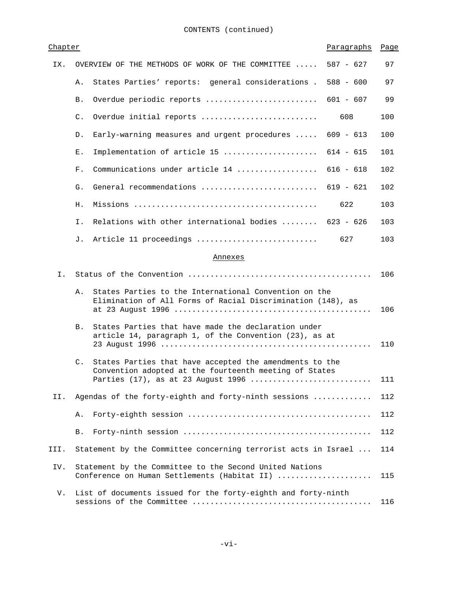| Chapter |                                                                                                                                                                           | Paragraphs  | Page |
|---------|---------------------------------------------------------------------------------------------------------------------------------------------------------------------------|-------------|------|
| IX.     | OVERVIEW OF THE METHODS OF WORK OF THE COMMITTEE                                                                                                                          | $587 - 627$ | 97   |
|         | States Parties' reports: general considerations.<br>Α.                                                                                                                    | $588 - 600$ | 97   |
|         | Overdue periodic reports<br>Β.                                                                                                                                            | $601 - 607$ | 99   |
|         | C.<br>Overdue initial reports                                                                                                                                             | 608         | 100  |
|         | Early-warning measures and urgent procedures<br>D.                                                                                                                        | $609 - 613$ | 100  |
|         | Implementation of article 15<br>Е.                                                                                                                                        | $614 - 615$ | 101  |
|         | Communications under article 14<br>F.                                                                                                                                     | $616 - 618$ | 102  |
|         | General recommendations<br>G.                                                                                                                                             | $619 - 621$ | 102  |
|         | Η.                                                                                                                                                                        | 622         | 103  |
|         | Relations with other international bodies<br>Ι.                                                                                                                           | $623 - 626$ | 103  |
|         | Article 11 proceedings<br>J.                                                                                                                                              | 627         | 103  |
|         | Annexes                                                                                                                                                                   |             |      |
| Ι.      |                                                                                                                                                                           |             | 106  |
|         | States Parties to the International Convention on the<br>Α.<br>Elimination of All Forms of Racial Discrimination (148), as                                                |             | 106  |
|         | States Parties that have made the declaration under<br>B.<br>article 14, paragraph 1, of the Convention (23), as at                                                       |             | 110  |
|         | States Parties that have accepted the amendments to the<br>$\mathsf{C}$ .<br>Convention adopted at the fourteenth meeting of States<br>Parties (17), as at 23 August 1996 |             | 111  |
| II.     | Agendas of the forty-eighth and forty-ninth sessions                                                                                                                      |             |      |
|         | Α.                                                                                                                                                                        |             | 112  |
|         | <b>B</b> .                                                                                                                                                                |             | 112  |
| III.    | Statement by the Committee concerning terrorist acts in Israel                                                                                                            |             |      |
| IV.     | Statement by the Committee to the Second United Nations<br>Conference on Human Settlements (Habitat II)                                                                   |             |      |
| V.      | List of documents issued for the forty-eighth and forty-ninth                                                                                                             |             | 116  |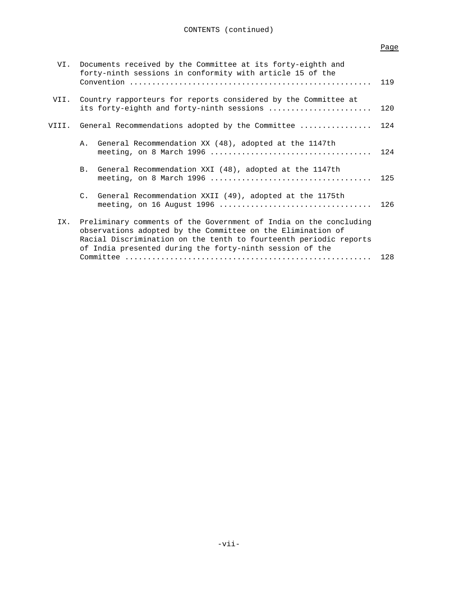# Page

| VI.   |           | Documents received by the Committee at its forty-eighth and<br>forty-ninth sessions in conformity with article 15 of the                                                                                                                                          | 119 |
|-------|-----------|-------------------------------------------------------------------------------------------------------------------------------------------------------------------------------------------------------------------------------------------------------------------|-----|
| VII.  |           | Country rapporteurs for reports considered by the Committee at<br>its forty-eighth and forty-ninth sessions                                                                                                                                                       | 120 |
| VIII. |           | General Recommendations adopted by the Committee                                                                                                                                                                                                                  | 124 |
|       | Α.        | General Recommendation XX (48), adopted at the 1147th                                                                                                                                                                                                             | 124 |
|       | <b>B.</b> | General Recommendation XXI (48), adopted at the 1147th                                                                                                                                                                                                            | 125 |
|       |           | C. General Recommendation XXII (49), adopted at the 1175th                                                                                                                                                                                                        | 126 |
| IX.   |           | Preliminary comments of the Government of India on the concluding<br>observations adopted by the Committee on the Elimination of<br>Racial Discrimination on the tenth to fourteenth periodic reports<br>of India presented during the forty-ninth session of the | 128 |
|       |           |                                                                                                                                                                                                                                                                   |     |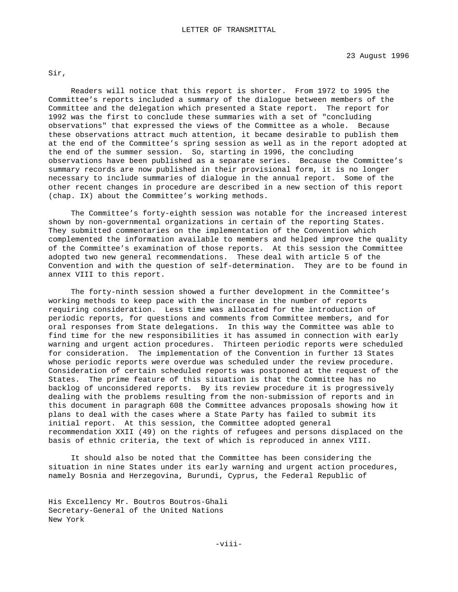Sir,

Readers will notice that this report is shorter. From 1972 to 1995 the Committee's reports included a summary of the dialogue between members of the Committee and the delegation which presented a State report. The report for 1992 was the first to conclude these summaries with a set of "concluding observations" that expressed the views of the Committee as a whole. Because these observations attract much attention, it became desirable to publish them at the end of the Committee's spring session as well as in the report adopted at the end of the summer session. So, starting in 1996, the concluding observations have been published as a separate series. Because the Committee's summary records are now published in their provisional form, it is no longer necessary to include summaries of dialogue in the annual report. Some of the other recent changes in procedure are described in a new section of this report (chap. IX) about the Committee's working methods.

The Committee's forty-eighth session was notable for the increased interest shown by non-governmental organizations in certain of the reporting States. They submitted commentaries on the implementation of the Convention which complemented the information available to members and helped improve the quality of the Committee's examination of those reports. At this session the Committee adopted two new general recommendations. These deal with article 5 of the Convention and with the question of self-determination. They are to be found in annex VIII to this report.

The forty-ninth session showed a further development in the Committee's working methods to keep pace with the increase in the number of reports requiring consideration. Less time was allocated for the introduction of periodic reports, for questions and comments from Committee members, and for oral responses from State delegations. In this way the Committee was able to find time for the new responsibilities it has assumed in connection with early warning and urgent action procedures. Thirteen periodic reports were scheduled for consideration. The implementation of the Convention in further 13 States whose periodic reports were overdue was scheduled under the review procedure. Consideration of certain scheduled reports was postponed at the request of the States. The prime feature of this situation is that the Committee has no backlog of unconsidered reports. By its review procedure it is progressively dealing with the problems resulting from the non-submission of reports and in this document in paragraph 608 the Committee advances proposals showing how it plans to deal with the cases where a State Party has failed to submit its initial report. At this session, the Committee adopted general recommendation XXII (49) on the rights of refugees and persons displaced on the basis of ethnic criteria, the text of which is reproduced in annex VIII.

It should also be noted that the Committee has been considering the situation in nine States under its early warning and urgent action procedures, namely Bosnia and Herzegovina, Burundi, Cyprus, the Federal Republic of

His Excellency Mr. Boutros Boutros-Ghali Secretary-General of the United Nations New York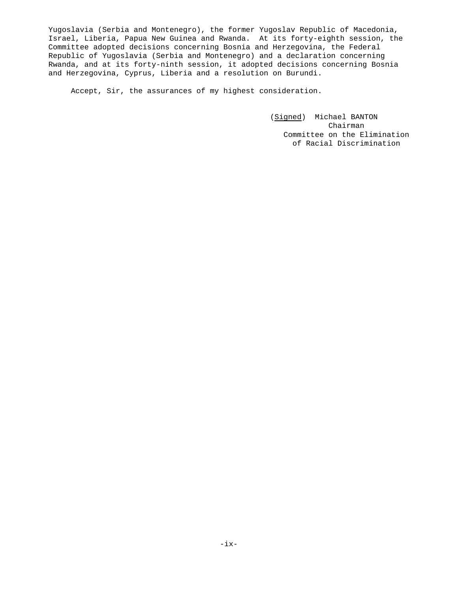Yugoslavia (Serbia and Montenegro), the former Yugoslav Republic of Macedonia, Israel, Liberia, Papua New Guinea and Rwanda. At its forty-eighth session, the Committee adopted decisions concerning Bosnia and Herzegovina, the Federal Republic of Yugoslavia (Serbia and Montenegro) and a declaration concerning Rwanda, and at its forty-ninth session, it adopted decisions concerning Bosnia and Herzegovina, Cyprus, Liberia and a resolution on Burundi.

Accept, Sir, the assurances of my highest consideration.

(Signed) Michael BANTON Chairman Committee on the Elimination of Racial Discrimination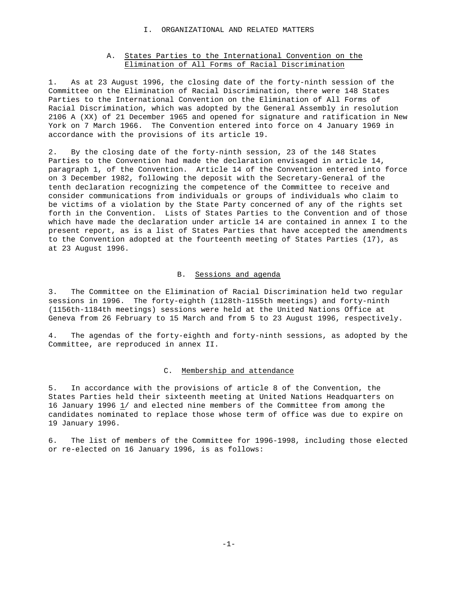#### I. ORGANIZATIONAL AND RELATED MATTERS

#### A. States Parties to the International Convention on the Elimination of All Forms of Racial Discrimination

1. As at 23 August 1996, the closing date of the forty-ninth session of the Committee on the Elimination of Racial Discrimination, there were 148 States Parties to the International Convention on the Elimination of All Forms of Racial Discrimination, which was adopted by the General Assembly in resolution 2106 A (XX) of 21 December 1965 and opened for signature and ratification in New York on 7 March 1966. The Convention entered into force on 4 January 1969 in accordance with the provisions of its article 19.

2. By the closing date of the forty-ninth session, 23 of the 148 States Parties to the Convention had made the declaration envisaged in article 14, paragraph 1, of the Convention. Article 14 of the Convention entered into force on 3 December 1982, following the deposit with the Secretary-General of the tenth declaration recognizing the competence of the Committee to receive and consider communications from individuals or groups of individuals who claim to be victims of a violation by the State Party concerned of any of the rights set forth in the Convention. Lists of States Parties to the Convention and of those which have made the declaration under article 14 are contained in annex I to the present report, as is a list of States Parties that have accepted the amendments to the Convention adopted at the fourteenth meeting of States Parties (17), as at 23 August 1996.

#### B. Sessions and agenda

3. The Committee on the Elimination of Racial Discrimination held two regular sessions in 1996. The forty-eighth (1128th-1155th meetings) and forty-ninth (1156th-1184th meetings) sessions were held at the United Nations Office at Geneva from 26 February to 15 March and from 5 to 23 August 1996, respectively.

4. The agendas of the forty-eighth and forty-ninth sessions, as adopted by the Committee, are reproduced in annex II.

#### C. Membership and attendance

5. In accordance with the provisions of article 8 of the Convention, the States Parties held their sixteenth meeting at United Nations Headquarters on 16 January 1996 1/ and elected nine members of the Committee from among the candidates nominated to replace those whose term of office was due to expire on 19 January 1996.

6. The list of members of the Committee for 1996-1998, including those elected or re-elected on 16 January 1996, is as follows: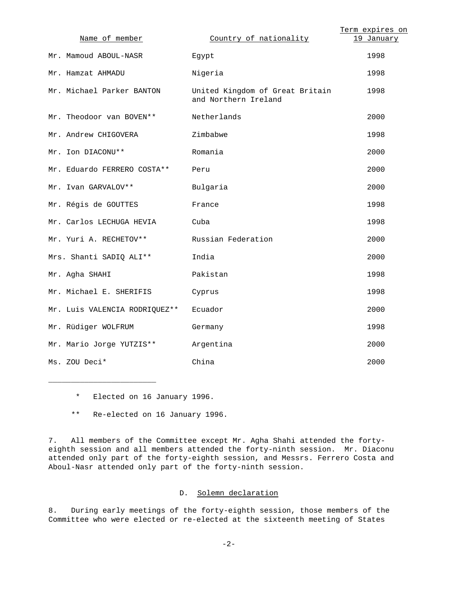|                               |                                                         | Term expires on |
|-------------------------------|---------------------------------------------------------|-----------------|
| Name of member                | Country of nationality                                  | 19 January      |
| Mr. Mamoud ABOUL-NASR         | Egypt                                                   | 1998            |
| Mr. Hamzat AHMADU             | Nigeria                                                 | 1998            |
| Mr. Michael Parker BANTON     | United Kingdom of Great Britain<br>and Northern Ireland | 1998            |
| Mr. Theodoor van BOVEN**      | Netherlands                                             | 2000            |
| Mr. Andrew CHIGOVERA          | Zimbabwe                                                | 1998            |
| Mr. Ion DIACONU**             | Romania                                                 | 2000            |
| Mr. Eduardo FERRERO COSTA**   | Peru                                                    | 2000            |
| Mr. Ivan GARVALOV **          | Bulgaria                                                | 2000            |
| Mr. Régis de GOUTTES          | France                                                  | 1998            |
| Mr. Carlos LECHUGA HEVIA      | Cuba                                                    | 1998            |
| Mr. Yuri A. RECHETOV**        | Russian Federation                                      | 2000            |
| Mrs. Shanti SADIQ ALI**       | India                                                   | 2000            |
| Mr. Agha SHAHI                | Pakistan                                                | 1998            |
| Mr. Michael E. SHERIFIS       | Cyprus                                                  | 1998            |
| Mr. Luis VALENCIA RODRIQUEZ** | Ecuador                                                 | 2000            |
| Mr. Rüdiger WOLFRUM           | Germany                                                 | 1998            |
| Mr. Mario Jorge YUTZIS**      | Argentina                                               | 2000            |
| Ms. ZOU Deci*                 | China                                                   | 2000            |

\* Elected on 16 January 1996.

\_\_\_\_\_\_\_\_\_\_\_\_\_\_\_\_\_\_\_\_\_\_\_\_

\*\* Re-elected on 16 January 1996.

7. All members of the Committee except Mr. Agha Shahi attended the fortyeighth session and all members attended the forty-ninth session. Mr. Diaconu attended only part of the forty-eighth session, and Messrs. Ferrero Costa and Aboul-Nasr attended only part of the forty-ninth session.

# D. Solemn declaration

8. During early meetings of the forty-eighth session, those members of the Committee who were elected or re-elected at the sixteenth meeting of States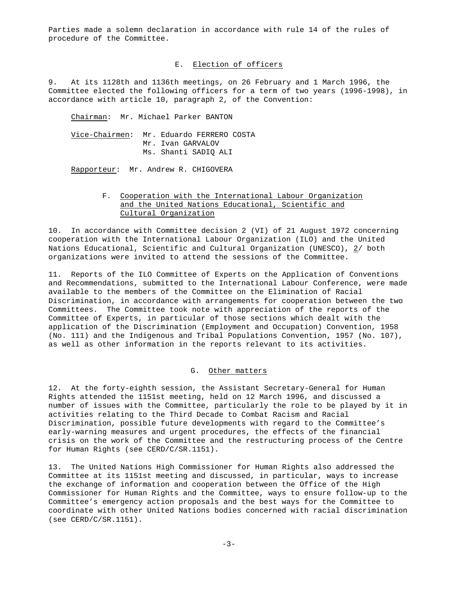Parties made a solemn declaration in accordance with rule 14 of the rules of procedure of the Committee.

#### E. Election of officers

9. At its 1128th and 1136th meetings, on 26 February and 1 March 1996, the Committee elected the following officers for a term of two years (1996-1998), in accordance with article 10, paragraph 2, of the Convention:

Chairman: Mr. Michael Parker BANTON

Vice-Chairmen: Mr. Eduardo FERRERO COSTA Mr. Ivan GARVALOV Ms. Shanti SADIQ ALI

Rapporteur: Mr. Andrew R. CHIGOVERA

# F. Cooperation with the International Labour Organization and the United Nations Educational, Scientific and Cultural Organization

10. In accordance with Committee decision 2 (VI) of 21 August 1972 concerning cooperation with the International Labour Organization (ILO) and the United Nations Educational, Scientific and Cultural Organization (UNESCO), 2/ both organizations were invited to attend the sessions of the Committee.

11. Reports of the ILO Committee of Experts on the Application of Conventions and Recommendations, submitted to the International Labour Conference, were made available to the members of the Committee on the Elimination of Racial Discrimination, in accordance with arrangements for cooperation between the two Committees. The Committee took note with appreciation of the reports of the Committee of Experts, in particular of those sections which dealt with the application of the Discrimination (Employment and Occupation) Convention, 1958 (No. 111) and the Indigenous and Tribal Populations Convention, 1957 (No. 107), as well as other information in the reports relevant to its activities.

### G. Other matters

12. At the forty-eighth session, the Assistant Secretary-General for Human Rights attended the 1151st meeting, held on 12 March 1996, and discussed a number of issues with the Committee, particularly the role to be played by it in activities relating to the Third Decade to Combat Racism and Racial Discrimination, possible future developments with regard to the Committee's early-warning measures and urgent procedures, the effects of the financial crisis on the work of the Committee and the restructuring process of the Centre for Human Rights (see CERD/C/SR.1151).

13. The United Nations High Commissioner for Human Rights also addressed the Committee at its 1151st meeting and discussed, in particular, ways to increase the exchange of information and cooperation between the Office of the High Commissioner for Human Rights and the Committee, ways to ensure follow-up to the Committee's emergency action proposals and the best ways for the Committee to coordinate with other United Nations bodies concerned with racial discrimination (see CERD/C/SR.1151).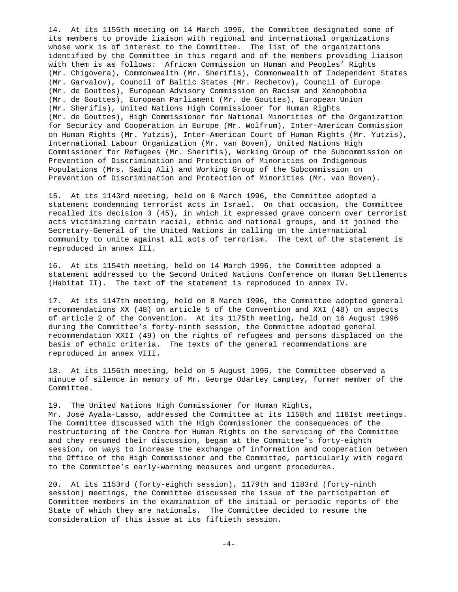14. At its 1155th meeting on 14 March 1996, the Committee designated some of its members to provide liaison with regional and international organizations whose work is of interest to the Committee. The list of the organizations identified by the Committee in this regard and of the members providing liaison with them is as follows: African Commission on Human and Peoples' Rights (Mr. Chigovera), Commonwealth (Mr. Sherifis), Commonwealth of Independent States (Mr. Garvalov), Council of Baltic States (Mr. Rechetov), Council of Europe (Mr. de Gouttes), European Advisory Commission on Racism and Xenophobia (Mr. de Gouttes), European Parliament (Mr. de Gouttes), European Union (Mr. Sherifis), United Nations High Commissioner for Human Rights (Mr. de Gouttes), High Commissioner for National Minorities of the Organization for Security and Cooperation in Europe (Mr. Wolfrum), Inter-American Commission on Human Rights (Mr. Yutzis), Inter-American Court of Human Rights (Mr. Yutzis), International Labour Organization (Mr. van Boven), United Nations High Commissioner for Refugees (Mr. Sherifis), Working Group of the Subcommission on Prevention of Discrimination and Protection of Minorities on Indigenous Populations (Mrs. Sadiq Ali) and Working Group of the Subcommission on Prevention of Discrimination and Protection of Minorities (Mr. van Boven).

15. At its 1143rd meeting, held on 6 March 1996, the Committee adopted a statement condemning terrorist acts in Israel. On that occasion, the Committee recalled its decision 3 (45), in which it expressed grave concern over terrorist acts victimizing certain racial, ethnic and national groups, and it joined the Secretary-General of the United Nations in calling on the international community to unite against all acts of terrorism. The text of the statement is reproduced in annex III.

16. At its 1154th meeting, held on 14 March 1996, the Committee adopted a statement addressed to the Second United Nations Conference on Human Settlements (Habitat II). The text of the statement is reproduced in annex IV.

17. At its 1147th meeting, held on 8 March 1996, the Committee adopted general recommendations XX (48) on article 5 of the Convention and XXI (48) on aspects of article 2 of the Convention. At its 1175th meeting, held on 16 August 1996 during the Committee's forty-ninth session, the Committee adopted general recommendation XXII (49) on the rights of refugees and persons displaced on the basis of ethnic criteria. The texts of the general recommendations are reproduced in annex VIII.

18. At its 1156th meeting, held on 5 August 1996, the Committee observed a minute of silence in memory of Mr. George Odartey Lamptey, former member of the Committee.

19. The United Nations High Commissioner for Human Rights,

Mr. José Ayala-Lasso, addressed the Committee at its 1158th and 1181st meetings. The Committee discussed with the High Commissioner the consequences of the restructuring of the Centre for Human Rights on the servicing of the Committee and they resumed their discussion, began at the Committee's forty-eighth session, on ways to increase the exchange of information and cooperation between the Office of the High Commissioner and the Committee, particularly with regard to the Committee's early-warning measures and urgent procedures.

20. At its 1153rd (forty-eighth session), 1179th and 1183rd (forty-ninth session) meetings, the Committee discussed the issue of the participation of Committee members in the examination of the initial or periodic reports of the State of which they are nationals. The Committee decided to resume the consideration of this issue at its fiftieth session.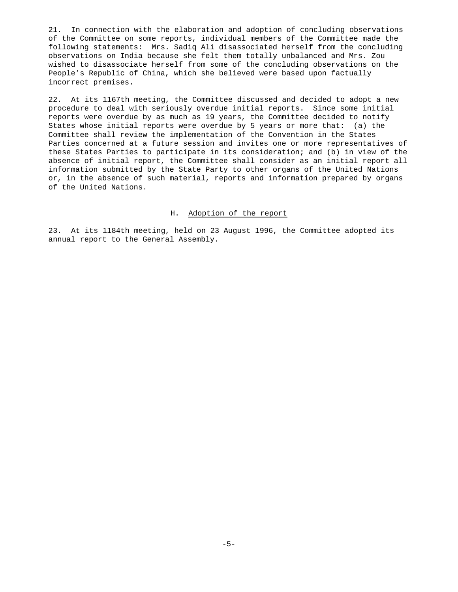21. In connection with the elaboration and adoption of concluding observations of the Committee on some reports, individual members of the Committee made the following statements: Mrs. Sadiq Ali disassociated herself from the concluding observations on India because she felt them totally unbalanced and Mrs. Zou wished to disassociate herself from some of the concluding observations on the People's Republic of China, which she believed were based upon factually incorrect premises.

22. At its 1167th meeting, the Committee discussed and decided to adopt a new procedure to deal with seriously overdue initial reports. Since some initial reports were overdue by as much as 19 years, the Committee decided to notify States whose initial reports were overdue by 5 years or more that: (a) the Committee shall review the implementation of the Convention in the States Parties concerned at a future session and invites one or more representatives of these States Parties to participate in its consideration; and (b) in view of the absence of initial report, the Committee shall consider as an initial report all information submitted by the State Party to other organs of the United Nations or, in the absence of such material, reports and information prepared by organs of the United Nations.

#### H. Adoption of the report

23. At its 1184th meeting, held on 23 August 1996, the Committee adopted its annual report to the General Assembly.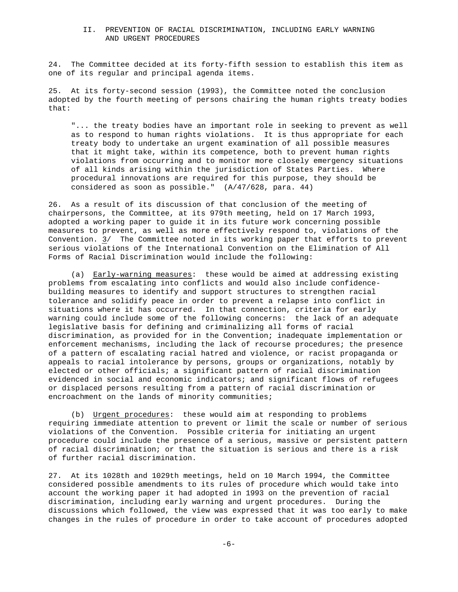#### II. PREVENTION OF RACIAL DISCRIMINATION, INCLUDING EARLY WARNING AND URGENT PROCEDURES

24. The Committee decided at its forty-fifth session to establish this item as one of its regular and principal agenda items.

25. At its forty-second session (1993), the Committee noted the conclusion adopted by the fourth meeting of persons chairing the human rights treaty bodies that:

"... the treaty bodies have an important role in seeking to prevent as well as to respond to human rights violations. It is thus appropriate for each treaty body to undertake an urgent examination of all possible measures that it might take, within its competence, both to prevent human rights violations from occurring and to monitor more closely emergency situations of all kinds arising within the jurisdiction of States Parties. Where procedural innovations are required for this purpose, they should be considered as soon as possible." (A/47/628, para. 44)

26. As a result of its discussion of that conclusion of the meeting of chairpersons, the Committee, at its 979th meeting, held on 17 March 1993, adopted a working paper to guide it in its future work concerning possible measures to prevent, as well as more effectively respond to, violations of the Convention. 3/ The Committee noted in its working paper that efforts to prevent serious violations of the International Convention on the Elimination of All Forms of Racial Discrimination would include the following:

(a) Early-warning measures: these would be aimed at addressing existing problems from escalating into conflicts and would also include confidencebuilding measures to identify and support structures to strengthen racial tolerance and solidify peace in order to prevent a relapse into conflict in situations where it has occurred. In that connection, criteria for early warning could include some of the following concerns: the lack of an adequate legislative basis for defining and criminalizing all forms of racial discrimination, as provided for in the Convention; inadequate implementation or enforcement mechanisms, including the lack of recourse procedures; the presence of a pattern of escalating racial hatred and violence, or racist propaganda or appeals to racial intolerance by persons, groups or organizations, notably by elected or other officials; a significant pattern of racial discrimination evidenced in social and economic indicators; and significant flows of refugees or displaced persons resulting from a pattern of racial discrimination or encroachment on the lands of minority communities;

(b) Urgent procedures: these would aim at responding to problems requiring immediate attention to prevent or limit the scale or number of serious violations of the Convention. Possible criteria for initiating an urgent procedure could include the presence of a serious, massive or persistent pattern of racial discrimination; or that the situation is serious and there is a risk of further racial discrimination.

27. At its 1028th and 1029th meetings, held on 10 March 1994, the Committee considered possible amendments to its rules of procedure which would take into account the working paper it had adopted in 1993 on the prevention of racial discrimination, including early warning and urgent procedures. During the discussions which followed, the view was expressed that it was too early to make changes in the rules of procedure in order to take account of procedures adopted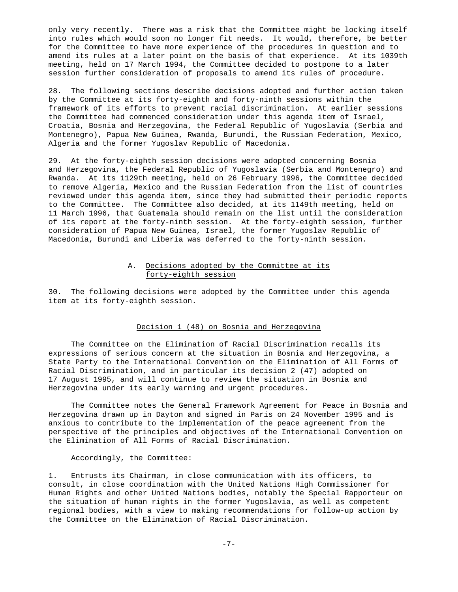only very recently. There was a risk that the Committee might be locking itself into rules which would soon no longer fit needs. It would, therefore, be better for the Committee to have more experience of the procedures in question and to amend its rules at a later point on the basis of that experience. At its 1039th meeting, held on 17 March 1994, the Committee decided to postpone to a later session further consideration of proposals to amend its rules of procedure.

28. The following sections describe decisions adopted and further action taken by the Committee at its forty-eighth and forty-ninth sessions within the framework of its efforts to prevent racial discrimination. At earlier sessions the Committee had commenced consideration under this agenda item of Israel, Croatia, Bosnia and Herzegovina, the Federal Republic of Yugoslavia (Serbia and Montenegro), Papua New Guinea, Rwanda, Burundi, the Russian Federation, Mexico, Algeria and the former Yugoslav Republic of Macedonia.

29. At the forty-eighth session decisions were adopted concerning Bosnia and Herzegovina, the Federal Republic of Yugoslavia (Serbia and Montenegro) and Rwanda. At its 1129th meeting, held on 26 February 1996, the Committee decided to remove Algeria, Mexico and the Russian Federation from the list of countries reviewed under this agenda item, since they had submitted their periodic reports to the Committee. The Committee also decided, at its 1149th meeting, held on 11 March 1996, that Guatemala should remain on the list until the consideration of its report at the forty-ninth session. At the forty-eighth session, further consideration of Papua New Guinea, Israel, the former Yugoslav Republic of Macedonia, Burundi and Liberia was deferred to the forty-ninth session.

#### A. Decisions adopted by the Committee at its forty-eighth session

30. The following decisions were adopted by the Committee under this agenda item at its forty-eighth session.

#### Decision 1 (48) on Bosnia and Herzegovina

The Committee on the Elimination of Racial Discrimination recalls its expressions of serious concern at the situation in Bosnia and Herzegovina, a State Party to the International Convention on the Elimination of All Forms of Racial Discrimination, and in particular its decision 2 (47) adopted on 17 August 1995, and will continue to review the situation in Bosnia and Herzegovina under its early warning and urgent procedures.

The Committee notes the General Framework Agreement for Peace in Bosnia and Herzegovina drawn up in Dayton and signed in Paris on 24 November 1995 and is anxious to contribute to the implementation of the peace agreement from the perspective of the principles and objectives of the International Convention on the Elimination of All Forms of Racial Discrimination.

#### Accordingly, the Committee:

1. Entrusts its Chairman, in close communication with its officers, to consult, in close coordination with the United Nations High Commissioner for Human Rights and other United Nations bodies, notably the Special Rapporteur on the situation of human rights in the former Yugoslavia, as well as competent regional bodies, with a view to making recommendations for follow-up action by the Committee on the Elimination of Racial Discrimination.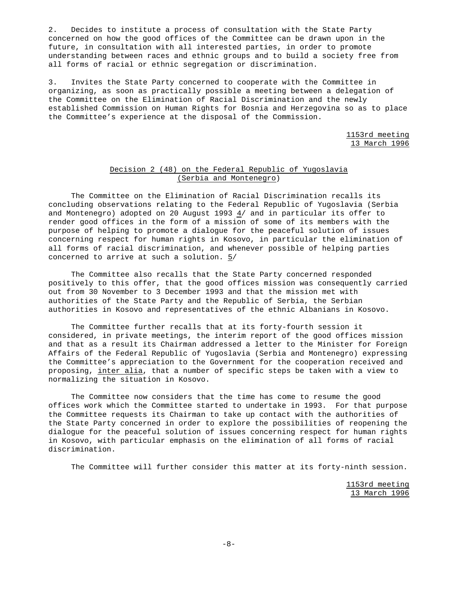2. Decides to institute a process of consultation with the State Party concerned on how the good offices of the Committee can be drawn upon in the future, in consultation with all interested parties, in order to promote understanding between races and ethnic groups and to build a society free from all forms of racial or ethnic segregation or discrimination.

3. Invites the State Party concerned to cooperate with the Committee in organizing, as soon as practically possible a meeting between a delegation of the Committee on the Elimination of Racial Discrimination and the newly established Commission on Human Rights for Bosnia and Herzegovina so as to place the Committee's experience at the disposal of the Commission.

> 1153rd meeting 13 March 1996

# Decision 2 (48) on the Federal Republic of Yugoslavia (Serbia and Montenegro)

The Committee on the Elimination of Racial Discrimination recalls its concluding observations relating to the Federal Republic of Yugoslavia (Serbia and Montenegro) adopted on 20 August 1993  $4/$  and in particular its offer to render good offices in the form of a mission of some of its members with the purpose of helping to promote a dialogue for the peaceful solution of issues concerning respect for human rights in Kosovo, in particular the elimination of all forms of racial discrimination, and whenever possible of helping parties concerned to arrive at such a solution. 5/

The Committee also recalls that the State Party concerned responded positively to this offer, that the good offices mission was consequently carried out from 30 November to 3 December 1993 and that the mission met with authorities of the State Party and the Republic of Serbia, the Serbian authorities in Kosovo and representatives of the ethnic Albanians in Kosovo.

The Committee further recalls that at its forty-fourth session it considered, in private meetings, the interim report of the good offices mission and that as a result its Chairman addressed a letter to the Minister for Foreign Affairs of the Federal Republic of Yugoslavia (Serbia and Montenegro) expressing the Committee's appreciation to the Government for the cooperation received and proposing, inter alia, that a number of specific steps be taken with a view to normalizing the situation in Kosovo.

The Committee now considers that the time has come to resume the good offices work which the Committee started to undertake in 1993. For that purpose the Committee requests its Chairman to take up contact with the authorities of the State Party concerned in order to explore the possibilities of reopening the dialogue for the peaceful solution of issues concerning respect for human rights in Kosovo, with particular emphasis on the elimination of all forms of racial discrimination.

The Committee will further consider this matter at its forty-ninth session.

1153rd meeting 13 March 1996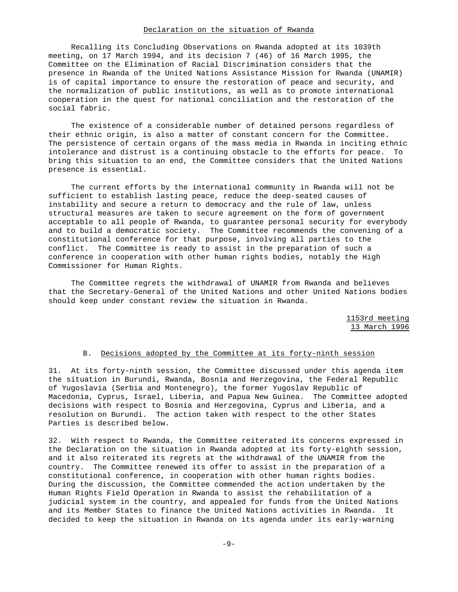#### Declaration on the situation of Rwanda

Recalling its Concluding Observations on Rwanda adopted at its 1039th meeting, on 17 March 1994, and its decision 7 (46) of 16 March 1995, the Committee on the Elimination of Racial Discrimination considers that the presence in Rwanda of the United Nations Assistance Mission for Rwanda (UNAMIR) is of capital importance to ensure the restoration of peace and security, and the normalization of public institutions, as well as to promote international cooperation in the quest for national conciliation and the restoration of the social fabric.

The existence of a considerable number of detained persons regardless of their ethnic origin, is also a matter of constant concern for the Committee. The persistence of certain organs of the mass media in Rwanda in inciting ethnic intolerance and distrust is a continuing obstacle to the efforts for peace. To bring this situation to an end, the Committee considers that the United Nations presence is essential.

The current efforts by the international community in Rwanda will not be sufficient to establish lasting peace, reduce the deep-seated causes of instability and secure a return to democracy and the rule of law, unless structural measures are taken to secure agreement on the form of government acceptable to all people of Rwanda, to guarantee personal security for everybody and to build a democratic society. The Committee recommends the convening of a constitutional conference for that purpose, involving all parties to the conflict. The Committee is ready to assist in the preparation of such a conference in cooperation with other human rights bodies, notably the High Commissioner for Human Rights.

The Committee regrets the withdrawal of UNAMIR from Rwanda and believes that the Secretary-General of the United Nations and other United Nations bodies should keep under constant review the situation in Rwanda.

> 1153rd meeting 13 March 1996

#### B. Decisions adopted by the Committee at its forty-ninth session

31. At its forty-ninth session, the Committee discussed under this agenda item the situation in Burundi, Rwanda, Bosnia and Herzegovina, the Federal Republic of Yugoslavia (Serbia and Montenegro), the former Yugoslav Republic of Macedonia, Cyprus, Israel, Liberia, and Papua New Guinea. The Committee adopted decisions with respect to Bosnia and Herzegovina, Cyprus and Liberia, and a resolution on Burundi. The action taken with respect to the other States Parties is described below.

32. With respect to Rwanda, the Committee reiterated its concerns expressed in the Declaration on the situation in Rwanda adopted at its forty-eighth session, and it also reiterated its regrets at the withdrawal of the UNAMIR from the country. The Committee renewed its offer to assist in the preparation of a constitutional conference, in cooperation with other human rights bodies. During the discussion, the Committee commended the action undertaken by the Human Rights Field Operation in Rwanda to assist the rehabilitation of a judicial system in the country, and appealed for funds from the United Nations and its Member States to finance the United Nations activities in Rwanda. It decided to keep the situation in Rwanda on its agenda under its early-warning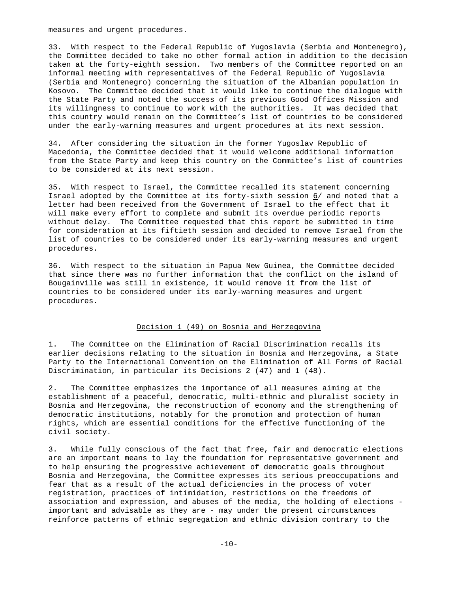measures and urgent procedures.

33. With respect to the Federal Republic of Yugoslavia (Serbia and Montenegro), the Committee decided to take no other formal action in addition to the decision taken at the forty-eighth session. Two members of the Committee reported on an informal meeting with representatives of the Federal Republic of Yugoslavia (Serbia and Montenegro) concerning the situation of the Albanian population in Kosovo. The Committee decided that it would like to continue the dialogue with the State Party and noted the success of its previous Good Offices Mission and its willingness to continue to work with the authorities. It was decided that this country would remain on the Committee's list of countries to be considered under the early-warning measures and urgent procedures at its next session.

34. After considering the situation in the former Yugoslav Republic of Macedonia, the Committee decided that it would welcome additional information from the State Party and keep this country on the Committee's list of countries to be considered at its next session.

35. With respect to Israel, the Committee recalled its statement concerning Israel adopted by the Committee at its forty-sixth session 6/ and noted that a letter had been received from the Government of Israel to the effect that it will make every effort to complete and submit its overdue periodic reports without delay. The Committee requested that this report be submitted in time for consideration at its fiftieth session and decided to remove Israel from the list of countries to be considered under its early-warning measures and urgent procedures.

36. With respect to the situation in Papua New Guinea, the Committee decided that since there was no further information that the conflict on the island of Bougainville was still in existence, it would remove it from the list of countries to be considered under its early-warning measures and urgent procedures.

#### Decision 1 (49) on Bosnia and Herzegovina

1. The Committee on the Elimination of Racial Discrimination recalls its earlier decisions relating to the situation in Bosnia and Herzegovina, a State Party to the International Convention on the Elimination of All Forms of Racial Discrimination, in particular its Decisions 2 (47) and 1 (48).

2. The Committee emphasizes the importance of all measures aiming at the establishment of a peaceful, democratic, multi-ethnic and pluralist society in Bosnia and Herzegovina, the reconstruction of economy and the strengthening of democratic institutions, notably for the promotion and protection of human rights, which are essential conditions for the effective functioning of the civil society.

3. While fully conscious of the fact that free, fair and democratic elections are an important means to lay the foundation for representative government and to help ensuring the progressive achievement of democratic goals throughout Bosnia and Herzegovina, the Committee expresses its serious preoccupations and fear that as a result of the actual deficiencies in the process of voter registration, practices of intimidation, restrictions on the freedoms of association and expression, and abuses of the media, the holding of elections important and advisable as they are - may under the present circumstances reinforce patterns of ethnic segregation and ethnic division contrary to the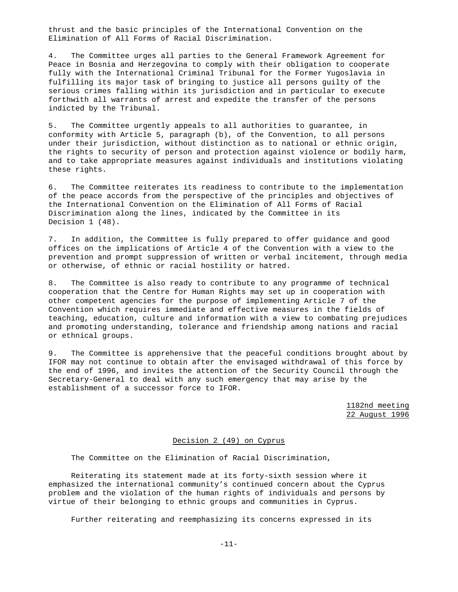thrust and the basic principles of the International Convention on the Elimination of All Forms of Racial Discrimination.

4. The Committee urges all parties to the General Framework Agreement for Peace in Bosnia and Herzegovina to comply with their obligation to cooperate fully with the International Criminal Tribunal for the Former Yugoslavia in fulfilling its major task of bringing to justice all persons guilty of the serious crimes falling within its jurisdiction and in particular to execute forthwith all warrants of arrest and expedite the transfer of the persons indicted by the Tribunal.

5. The Committee urgently appeals to all authorities to guarantee, in conformity with Article 5, paragraph (b), of the Convention, to all persons under their jurisdiction, without distinction as to national or ethnic origin, the rights to security of person and protection against violence or bodily harm, and to take appropriate measures against individuals and institutions violating these rights.

6. The Committee reiterates its readiness to contribute to the implementation of the peace accords from the perspective of the principles and objectives of the International Convention on the Elimination of All Forms of Racial Discrimination along the lines, indicated by the Committee in its Decision 1 (48).

7. In addition, the Committee is fully prepared to offer guidance and good offices on the implications of Article 4 of the Convention with a view to the prevention and prompt suppression of written or verbal incitement, through media or otherwise, of ethnic or racial hostility or hatred.

8. The Committee is also ready to contribute to any programme of technical cooperation that the Centre for Human Rights may set up in cooperation with other competent agencies for the purpose of implementing Article 7 of the Convention which requires immediate and effective measures in the fields of teaching, education, culture and information with a view to combating prejudices and promoting understanding, tolerance and friendship among nations and racial or ethnical groups.

9. The Committee is apprehensive that the peaceful conditions brought about by IFOR may not continue to obtain after the envisaged withdrawal of this force by the end of 1996, and invites the attention of the Security Council through the Secretary-General to deal with any such emergency that may arise by the establishment of a successor force to IFOR.

> 1182nd meeting 22 August 1996

#### Decision 2 (49) on Cyprus

The Committee on the Elimination of Racial Discrimination,

Reiterating its statement made at its forty-sixth session where it emphasized the international community's continued concern about the Cyprus problem and the violation of the human rights of individuals and persons by virtue of their belonging to ethnic groups and communities in Cyprus.

Further reiterating and reemphasizing its concerns expressed in its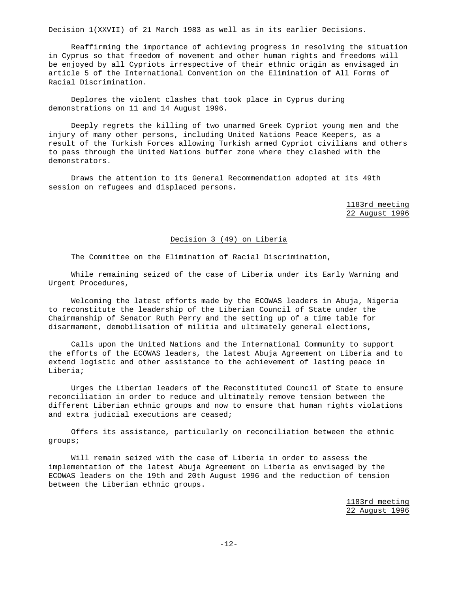Decision 1(XXVII) of 21 March 1983 as well as in its earlier Decisions.

Reaffirming the importance of achieving progress in resolving the situation in Cyprus so that freedom of movement and other human rights and freedoms will be enjoyed by all Cypriots irrespective of their ethnic origin as envisaged in article 5 of the International Convention on the Elimination of All Forms of Racial Discrimination.

Deplores the violent clashes that took place in Cyprus during demonstrations on 11 and 14 August 1996.

Deeply regrets the killing of two unarmed Greek Cypriot young men and the injury of many other persons, including United Nations Peace Keepers, as a result of the Turkish Forces allowing Turkish armed Cypriot civilians and others to pass through the United Nations buffer zone where they clashed with the demonstrators.

Draws the attention to its General Recommendation adopted at its 49th session on refugees and displaced persons.

> 1183rd meeting 22 August 1996

#### Decision 3 (49) on Liberia

The Committee on the Elimination of Racial Discrimination,

While remaining seized of the case of Liberia under its Early Warning and Urgent Procedures,

Welcoming the latest efforts made by the ECOWAS leaders in Abuja, Nigeria to reconstitute the leadership of the Liberian Council of State under the Chairmanship of Senator Ruth Perry and the setting up of a time table for disarmament, demobilisation of militia and ultimately general elections,

Calls upon the United Nations and the International Community to support the efforts of the ECOWAS leaders, the latest Abuja Agreement on Liberia and to extend logistic and other assistance to the achievement of lasting peace in Liberia;

Urges the Liberian leaders of the Reconstituted Council of State to ensure reconciliation in order to reduce and ultimately remove tension between the different Liberian ethnic groups and now to ensure that human rights violations and extra judicial executions are ceased;

Offers its assistance, particularly on reconciliation between the ethnic groups;

Will remain seized with the case of Liberia in order to assess the implementation of the latest Abuja Agreement on Liberia as envisaged by the ECOWAS leaders on the 19th and 20th August 1996 and the reduction of tension between the Liberian ethnic groups.

> 1183rd meeting 22 August 1996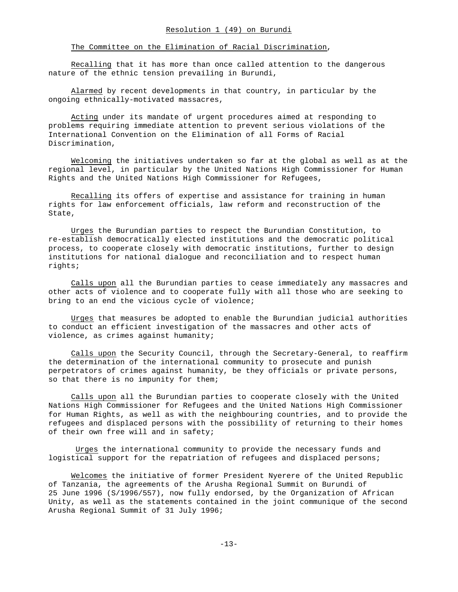#### The Committee on the Elimination of Racial Discrimination,

Recalling that it has more than once called attention to the dangerous nature of the ethnic tension prevailing in Burundi,

Alarmed by recent developments in that country, in particular by the ongoing ethnically-motivated massacres,

Acting under its mandate of urgent procedures aimed at responding to problems requiring immediate attention to prevent serious violations of the International Convention on the Elimination of all Forms of Racial Discrimination,

Welcoming the initiatives undertaken so far at the global as well as at the regional level, in particular by the United Nations High Commissioner for Human Rights and the United Nations High Commissioner for Refugees,

Recalling its offers of expertise and assistance for training in human rights for law enforcement officials, law reform and reconstruction of the State,

Urges the Burundian parties to respect the Burundian Constitution, to re-establish democratically elected institutions and the democratic political process, to cooperate closely with democratic institutions, further to design institutions for national dialogue and reconciliation and to respect human rights;

Calls upon all the Burundian parties to cease immediately any massacres and other acts of violence and to cooperate fully with all those who are seeking to bring to an end the vicious cycle of violence;

Urges that measures be adopted to enable the Burundian judicial authorities to conduct an efficient investigation of the massacres and other acts of violence, as crimes against humanity;

Calls upon the Security Council, through the Secretary-General, to reaffirm the determination of the international community to prosecute and punish perpetrators of crimes against humanity, be they officials or private persons, so that there is no impunity for them;

Calls upon all the Burundian parties to cooperate closely with the United Nations High Commissioner for Refugees and the United Nations High Commissioner for Human Rights, as well as with the neighbouring countries, and to provide the refugees and displaced persons with the possibility of returning to their homes of their own free will and in safety;

Urges the international community to provide the necessary funds and logistical support for the repatriation of refugees and displaced persons;

Welcomes the initiative of former President Nyerere of the United Republic of Tanzania, the agreements of the Arusha Regional Summit on Burundi of 25 June 1996 (S/1996/557), now fully endorsed, by the Organization of African Unity, as well as the statements contained in the joint communique of the second Arusha Regional Summit of 31 July 1996;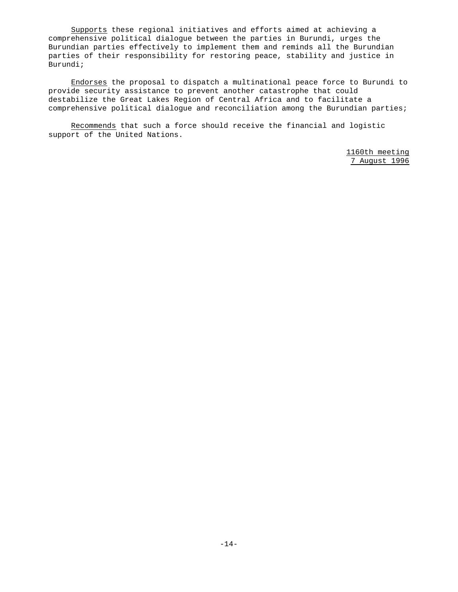Supports these regional initiatives and efforts aimed at achieving a comprehensive political dialogue between the parties in Burundi, urges the Burundian parties effectively to implement them and reminds all the Burundian parties of their responsibility for restoring peace, stability and justice in Burundi;

Endorses the proposal to dispatch a multinational peace force to Burundi to provide security assistance to prevent another catastrophe that could destabilize the Great Lakes Region of Central Africa and to facilitate a comprehensive political dialogue and reconciliation among the Burundian parties;

Recommends that such a force should receive the financial and logistic support of the United Nations.

> 1160th meeting 7 August 1996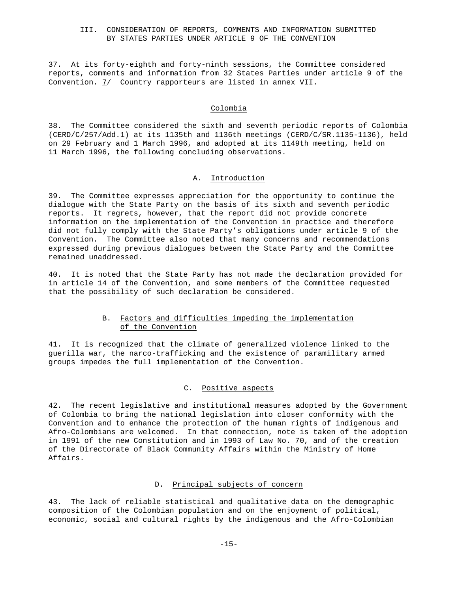### III. CONSIDERATION OF REPORTS, COMMENTS AND INFORMATION SUBMITTED BY STATES PARTIES UNDER ARTICLE 9 OF THE CONVENTION

37. At its forty-eighth and forty-ninth sessions, the Committee considered reports, comments and information from 32 States Parties under article 9 of the Convention. 7/ Country rapporteurs are listed in annex VII.

#### Colombia

38. The Committee considered the sixth and seventh periodic reports of Colombia (CERD/C/257/Add.1) at its 1135th and 1136th meetings (CERD/C/SR.1135-1136), held on 29 February and 1 March 1996, and adopted at its 1149th meeting, held on 11 March 1996, the following concluding observations.

#### A. Introduction

39. The Committee expresses appreciation for the opportunity to continue the dialogue with the State Party on the basis of its sixth and seventh periodic reports. It regrets, however, that the report did not provide concrete information on the implementation of the Convention in practice and therefore did not fully comply with the State Party's obligations under article 9 of the Convention. The Committee also noted that many concerns and recommendations expressed during previous dialogues between the State Party and the Committee remained unaddressed.

40. It is noted that the State Party has not made the declaration provided for in article 14 of the Convention, and some members of the Committee requested that the possibility of such declaration be considered.

# B. Factors and difficulties impeding the implementation of the Convention

41. It is recognized that the climate of generalized violence linked to the guerilla war, the narco-trafficking and the existence of paramilitary armed groups impedes the full implementation of the Convention.

#### C. Positive aspects

42. The recent legislative and institutional measures adopted by the Government of Colombia to bring the national legislation into closer conformity with the Convention and to enhance the protection of the human rights of indigenous and Afro-Colombians are welcomed. In that connection, note is taken of the adoption in 1991 of the new Constitution and in 1993 of Law No. 70, and of the creation of the Directorate of Black Community Affairs within the Ministry of Home Affairs.

#### D. Principal subjects of concern

43. The lack of reliable statistical and qualitative data on the demographic composition of the Colombian population and on the enjoyment of political, economic, social and cultural rights by the indigenous and the Afro-Colombian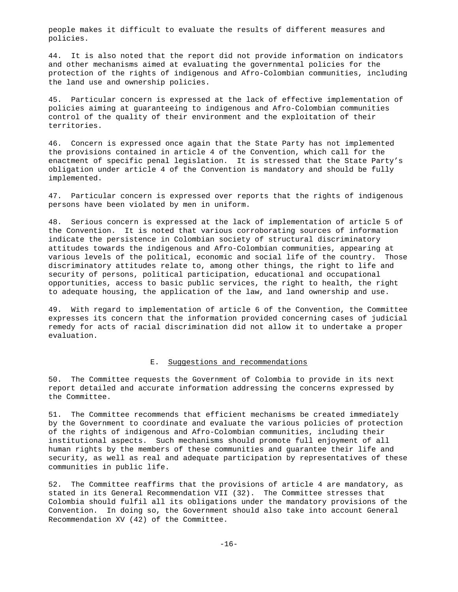people makes it difficult to evaluate the results of different measures and policies.

44. It is also noted that the report did not provide information on indicators and other mechanisms aimed at evaluating the governmental policies for the protection of the rights of indigenous and Afro-Colombian communities, including the land use and ownership policies.

45. Particular concern is expressed at the lack of effective implementation of policies aiming at guaranteeing to indigenous and Afro-Colombian communities control of the quality of their environment and the exploitation of their territories.

46. Concern is expressed once again that the State Party has not implemented the provisions contained in article 4 of the Convention, which call for the enactment of specific penal legislation. It is stressed that the State Party's obligation under article 4 of the Convention is mandatory and should be fully implemented.

47. Particular concern is expressed over reports that the rights of indigenous persons have been violated by men in uniform.

48. Serious concern is expressed at the lack of implementation of article 5 of the Convention. It is noted that various corroborating sources of information indicate the persistence in Colombian society of structural discriminatory attitudes towards the indigenous and Afro-Colombian communities, appearing at various levels of the political, economic and social life of the country. Those discriminatory attitudes relate to, among other things, the right to life and security of persons, political participation, educational and occupational opportunities, access to basic public services, the right to health, the right to adequate housing, the application of the law, and land ownership and use.

49. With regard to implementation of article 6 of the Convention, the Committee expresses its concern that the information provided concerning cases of judicial remedy for acts of racial discrimination did not allow it to undertake a proper evaluation.

#### E. Suggestions and recommendations

50. The Committee requests the Government of Colombia to provide in its next report detailed and accurate information addressing the concerns expressed by the Committee.

51. The Committee recommends that efficient mechanisms be created immediately by the Government to coordinate and evaluate the various policies of protection of the rights of indigenous and Afro-Colombian communities, including their institutional aspects. Such mechanisms should promote full enjoyment of all human rights by the members of these communities and guarantee their life and security, as well as real and adequate participation by representatives of these communities in public life.

52. The Committee reaffirms that the provisions of article 4 are mandatory, as stated in its General Recommendation VII (32). The Committee stresses that Colombia should fulfil all its obligations under the mandatory provisions of the Convention. In doing so, the Government should also take into account General Recommendation XV (42) of the Committee.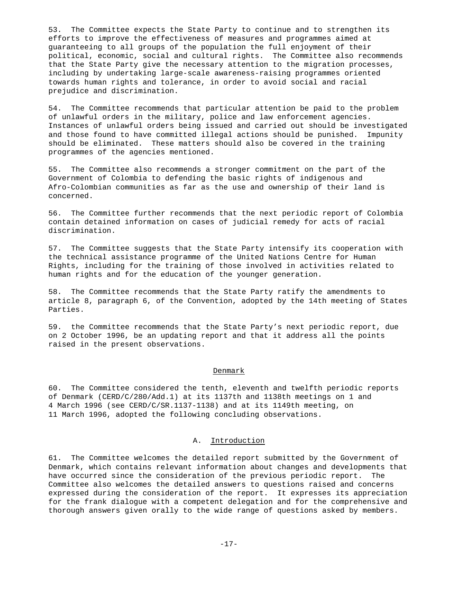53. The Committee expects the State Party to continue and to strengthen its efforts to improve the effectiveness of measures and programmes aimed at guaranteeing to all groups of the population the full enjoyment of their political, economic, social and cultural rights. The Committee also recommends that the State Party give the necessary attention to the migration processes, including by undertaking large-scale awareness-raising programmes oriented towards human rights and tolerance, in order to avoid social and racial prejudice and discrimination.

54. The Committee recommends that particular attention be paid to the problem of unlawful orders in the military, police and law enforcement agencies. Instances of unlawful orders being issued and carried out should be investigated and those found to have committed illegal actions should be punished. Impunity should be eliminated. These matters should also be covered in the training programmes of the agencies mentioned.

55. The Committee also recommends a stronger commitment on the part of the Government of Colombia to defending the basic rights of indigenous and Afro-Colombian communities as far as the use and ownership of their land is concerned.

56. The Committee further recommends that the next periodic report of Colombia contain detained information on cases of judicial remedy for acts of racial discrimination.

57. The Committee suggests that the State Party intensify its cooperation with the technical assistance programme of the United Nations Centre for Human Rights, including for the training of those involved in activities related to human rights and for the education of the younger generation.

58. The Committee recommends that the State Party ratify the amendments to article 8, paragraph 6, of the Convention, adopted by the 14th meeting of States Parties.

59. the Committee recommends that the State Party's next periodic report, due on 2 October 1996, be an updating report and that it address all the points raised in the present observations.

#### Denmark

60. The Committee considered the tenth, eleventh and twelfth periodic reports of Denmark (CERD/C/280/Add.1) at its 1137th and 1138th meetings on 1 and 4 March 1996 (see CERD/C/SR.1137-1138) and at its 1149th meeting, on 11 March 1996, adopted the following concluding observations.

# A. Introduction

61. The Committee welcomes the detailed report submitted by the Government of Denmark, which contains relevant information about changes and developments that have occurred since the consideration of the previous periodic report. The Committee also welcomes the detailed answers to questions raised and concerns expressed during the consideration of the report. It expresses its appreciation for the frank dialogue with a competent delegation and for the comprehensive and thorough answers given orally to the wide range of questions asked by members.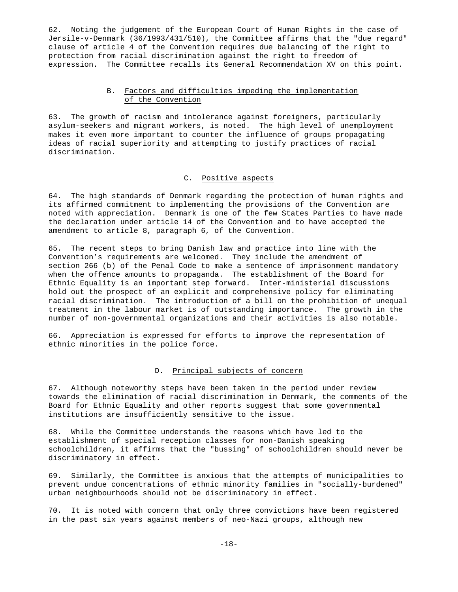62. Noting the judgement of the European Court of Human Rights in the case of Jersile-v-Denmark (36/1993/431/510), the Committee affirms that the "due regard" clause of article 4 of the Convention requires due balancing of the right to protection from racial discrimination against the right to freedom of expression. The Committee recalls its General Recommendation XV on this point.

# B. Factors and difficulties impeding the implementation of the Convention

63. The growth of racism and intolerance against foreigners, particularly asylum-seekers and migrant workers, is noted. The high level of unemployment makes it even more important to counter the influence of groups propagating ideas of racial superiority and attempting to justify practices of racial discrimination.

## C. Positive aspects

64. The high standards of Denmark regarding the protection of human rights and its affirmed commitment to implementing the provisions of the Convention are noted with appreciation. Denmark is one of the few States Parties to have made the declaration under article 14 of the Convention and to have accepted the amendment to article 8, paragraph 6, of the Convention.

65. The recent steps to bring Danish law and practice into line with the Convention's requirements are welcomed. They include the amendment of section 266 (b) of the Penal Code to make a sentence of imprisonment mandatory when the offence amounts to propaganda. The establishment of the Board for Ethnic Equality is an important step forward. Inter-ministerial discussions hold out the prospect of an explicit and comprehensive policy for eliminating racial discrimination. The introduction of a bill on the prohibition of unequal treatment in the labour market is of outstanding importance. The growth in the number of non-governmental organizations and their activities is also notable.

66. Appreciation is expressed for efforts to improve the representation of ethnic minorities in the police force.

#### D. Principal subjects of concern

67. Although noteworthy steps have been taken in the period under review towards the elimination of racial discrimination in Denmark, the comments of the Board for Ethnic Equality and other reports suggest that some governmental institutions are insufficiently sensitive to the issue.

68. While the Committee understands the reasons which have led to the establishment of special reception classes for non-Danish speaking schoolchildren, it affirms that the "bussing" of schoolchildren should never be discriminatory in effect.

69. Similarly, the Committee is anxious that the attempts of municipalities to prevent undue concentrations of ethnic minority families in "socially-burdened" urban neighbourhoods should not be discriminatory in effect.

70. It is noted with concern that only three convictions have been registered in the past six years against members of neo-Nazi groups, although new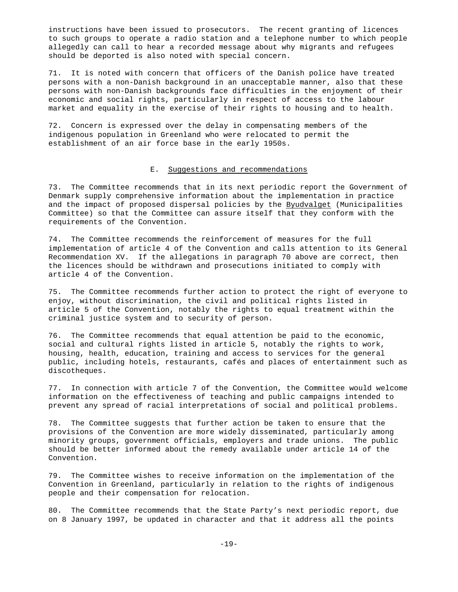instructions have been issued to prosecutors. The recent granting of licences to such groups to operate a radio station and a telephone number to which people allegedly can call to hear a recorded message about why migrants and refugees should be deported is also noted with special concern.

71. It is noted with concern that officers of the Danish police have treated persons with a non-Danish background in an unacceptable manner, also that these persons with non-Danish backgrounds face difficulties in the enjoyment of their economic and social rights, particularly in respect of access to the labour market and equality in the exercise of their rights to housing and to health.

72. Concern is expressed over the delay in compensating members of the indigenous population in Greenland who were relocated to permit the establishment of an air force base in the early 1950s.

#### E. Suggestions and recommendations

73. The Committee recommends that in its next periodic report the Government of Denmark supply comprehensive information about the implementation in practice and the impact of proposed dispersal policies by the Byudvalget (Municipalities Committee) so that the Committee can assure itself that they conform with the requirements of the Convention.

74. The Committee recommends the reinforcement of measures for the full implementation of article 4 of the Convention and calls attention to its General Recommendation XV. If the allegations in paragraph 70 above are correct, then the licences should be withdrawn and prosecutions initiated to comply with article 4 of the Convention.

75. The Committee recommends further action to protect the right of everyone to enjoy, without discrimination, the civil and political rights listed in article 5 of the Convention, notably the rights to equal treatment within the criminal justice system and to security of person.

76. The Committee recommends that equal attention be paid to the economic, social and cultural rights listed in article 5, notably the rights to work, housing, health, education, training and access to services for the general public, including hotels, restaurants, cafés and places of entertainment such as discotheques.

77. In connection with article 7 of the Convention, the Committee would welcome information on the effectiveness of teaching and public campaigns intended to prevent any spread of racial interpretations of social and political problems.

78. The Committee suggests that further action be taken to ensure that the provisions of the Convention are more widely disseminated, particularly among minority groups, government officials, employers and trade unions. The public should be better informed about the remedy available under article 14 of the Convention.

79. The Committee wishes to receive information on the implementation of the Convention in Greenland, particularly in relation to the rights of indigenous people and their compensation for relocation.

80. The Committee recommends that the State Party's next periodic report, due on 8 January 1997, be updated in character and that it address all the points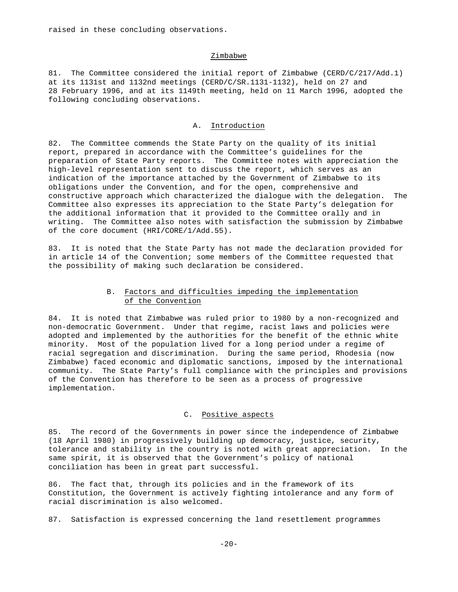raised in these concluding observations.

#### Zimbabwe

81. The Committee considered the initial report of Zimbabwe (CERD/C/217/Add.1) at its 1131st and 1132nd meetings (CERD/C/SR.1131-1132), held on 27 and 28 February 1996, and at its 1149th meeting, held on 11 March 1996, adopted the following concluding observations.

#### A. Introduction

82. The Committee commends the State Party on the quality of its initial report, prepared in accordance with the Committee's guidelines for the preparation of State Party reports. The Committee notes with appreciation the high-level representation sent to discuss the report, which serves as an indication of the importance attached by the Government of Zimbabwe to its obligations under the Convention, and for the open, comprehensive and constructive approach which characterized the dialogue with the delegation. The Committee also expresses its appreciation to the State Party's delegation for the additional information that it provided to the Committee orally and in writing. The Committee also notes with satisfaction the submission by Zimbabwe of the core document (HRI/CORE/1/Add.55).

83. It is noted that the State Party has not made the declaration provided for in article 14 of the Convention; some members of the Committee requested that the possibility of making such declaration be considered.

# B. Factors and difficulties impeding the implementation of the Convention

84. It is noted that Zimbabwe was ruled prior to 1980 by a non-recognized and non-democratic Government. Under that regime, racist laws and policies were adopted and implemented by the authorities for the benefit of the ethnic white minority. Most of the population lived for a long period under a regime of racial segregation and discrimination. During the same period, Rhodesia (now Zimbabwe) faced economic and diplomatic sanctions, imposed by the international community. The State Party's full compliance with the principles and provisions of the Convention has therefore to be seen as a process of progressive implementation.

# C. Positive aspects

85. The record of the Governments in power since the independence of Zimbabwe (18 April 1980) in progressively building up democracy, justice, security, tolerance and stability in the country is noted with great appreciation. In the same spirit, it is observed that the Government's policy of national conciliation has been in great part successful.

86. The fact that, through its policies and in the framework of its Constitution, the Government is actively fighting intolerance and any form of racial discrimination is also welcomed.

87. Satisfaction is expressed concerning the land resettlement programmes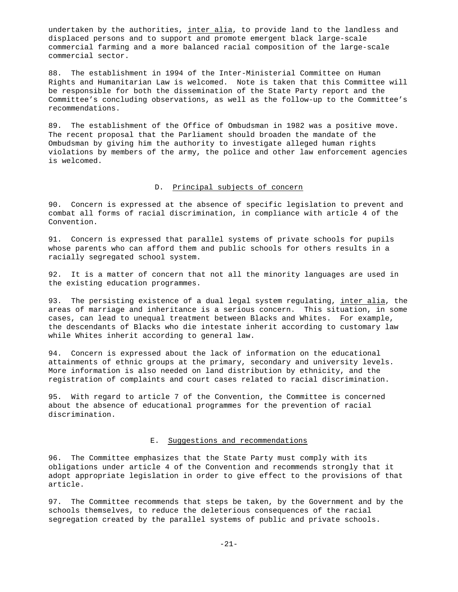undertaken by the authorities, inter alia, to provide land to the landless and displaced persons and to support and promote emergent black large-scale commercial farming and a more balanced racial composition of the large-scale commercial sector.

88. The establishment in 1994 of the Inter-Ministerial Committee on Human Rights and Humanitarian Law is welcomed. Note is taken that this Committee will be responsible for both the dissemination of the State Party report and the Committee's concluding observations, as well as the follow-up to the Committee's recommendations.

89. The establishment of the Office of Ombudsman in 1982 was a positive move. The recent proposal that the Parliament should broaden the mandate of the Ombudsman by giving him the authority to investigate alleged human rights violations by members of the army, the police and other law enforcement agencies is welcomed.

#### D. Principal subjects of concern

90. Concern is expressed at the absence of specific legislation to prevent and combat all forms of racial discrimination, in compliance with article 4 of the Convention.

91. Concern is expressed that parallel systems of private schools for pupils whose parents who can afford them and public schools for others results in a racially segregated school system.

92. It is a matter of concern that not all the minority languages are used in the existing education programmes.

93. The persisting existence of a dual legal system regulating, inter alia, the areas of marriage and inheritance is a serious concern. This situation, in some cases, can lead to unequal treatment between Blacks and Whites. For example, the descendants of Blacks who die intestate inherit according to customary law while Whites inherit according to general law.

94. Concern is expressed about the lack of information on the educational attainments of ethnic groups at the primary, secondary and university levels. More information is also needed on land distribution by ethnicity, and the registration of complaints and court cases related to racial discrimination.

95. With regard to article 7 of the Convention, the Committee is concerned about the absence of educational programmes for the prevention of racial discrimination.

#### E. Suggestions and recommendations

96. The Committee emphasizes that the State Party must comply with its obligations under article 4 of the Convention and recommends strongly that it adopt appropriate legislation in order to give effect to the provisions of that article.

97. The Committee recommends that steps be taken, by the Government and by the schools themselves, to reduce the deleterious consequences of the racial segregation created by the parallel systems of public and private schools.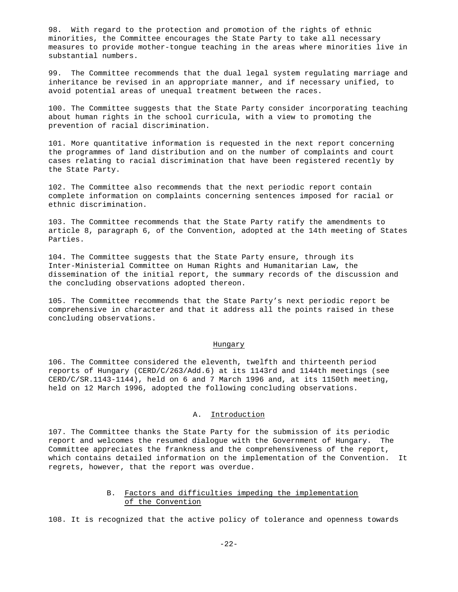98. With regard to the protection and promotion of the rights of ethnic minorities, the Committee encourages the State Party to take all necessary measures to provide mother-tongue teaching in the areas where minorities live in substantial numbers.

99. The Committee recommends that the dual legal system regulating marriage and inheritance be revised in an appropriate manner, and if necessary unified, to avoid potential areas of unequal treatment between the races.

100. The Committee suggests that the State Party consider incorporating teaching about human rights in the school curricula, with a view to promoting the prevention of racial discrimination.

101. More quantitative information is requested in the next report concerning the programmes of land distribution and on the number of complaints and court cases relating to racial discrimination that have been registered recently by the State Party.

102. The Committee also recommends that the next periodic report contain complete information on complaints concerning sentences imposed for racial or ethnic discrimination.

103. The Committee recommends that the State Party ratify the amendments to article 8, paragraph 6, of the Convention, adopted at the 14th meeting of States Parties.

104. The Committee suggests that the State Party ensure, through its Inter-Ministerial Committee on Human Rights and Humanitarian Law, the dissemination of the initial report, the summary records of the discussion and the concluding observations adopted thereon.

105. The Committee recommends that the State Party's next periodic report be comprehensive in character and that it address all the points raised in these concluding observations.

#### Hungary

106. The Committee considered the eleventh, twelfth and thirteenth period reports of Hungary (CERD/C/263/Add.6) at its 1143rd and 1144th meetings (see CERD/C/SR.1143-1144), held on 6 and 7 March 1996 and, at its 1150th meeting, held on 12 March 1996, adopted the following concluding observations.

#### A. Introduction

107. The Committee thanks the State Party for the submission of its periodic report and welcomes the resumed dialogue with the Government of Hungary. The Committee appreciates the frankness and the comprehensiveness of the report, which contains detailed information on the implementation of the Convention. It regrets, however, that the report was overdue.

# B. Factors and difficulties impeding the implementation of the Convention

108. It is recognized that the active policy of tolerance and openness towards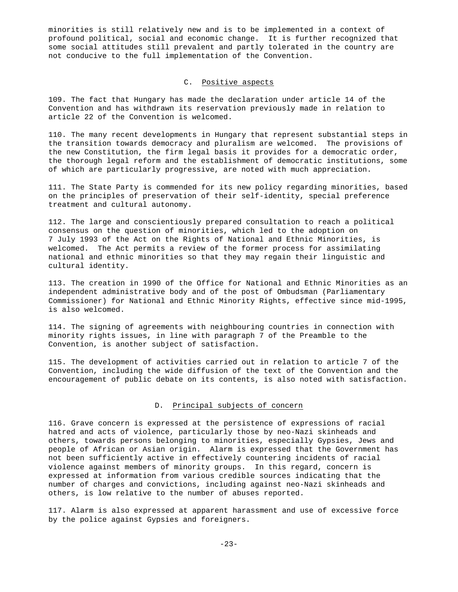minorities is still relatively new and is to be implemented in a context of profound political, social and economic change. It is further recognized that some social attitudes still prevalent and partly tolerated in the country are not conducive to the full implementation of the Convention.

# C. Positive aspects

109. The fact that Hungary has made the declaration under article 14 of the Convention and has withdrawn its reservation previously made in relation to article 22 of the Convention is welcomed.

110. The many recent developments in Hungary that represent substantial steps in the transition towards democracy and pluralism are welcomed. The provisions of the new Constitution, the firm legal basis it provides for a democratic order, the thorough legal reform and the establishment of democratic institutions, some of which are particularly progressive, are noted with much appreciation.

111. The State Party is commended for its new policy regarding minorities, based on the principles of preservation of their self-identity, special preference treatment and cultural autonomy.

112. The large and conscientiously prepared consultation to reach a political consensus on the question of minorities, which led to the adoption on 7 July 1993 of the Act on the Rights of National and Ethnic Minorities, is welcomed. The Act permits a review of the former process for assimilating national and ethnic minorities so that they may regain their linguistic and cultural identity.

113. The creation in 1990 of the Office for National and Ethnic Minorities as an independent administrative body and of the post of Ombudsman (Parliamentary Commissioner) for National and Ethnic Minority Rights, effective since mid-1995, is also welcomed.

114. The signing of agreements with neighbouring countries in connection with minority rights issues, in line with paragraph 7 of the Preamble to the Convention, is another subject of satisfaction.

115. The development of activities carried out in relation to article 7 of the Convention, including the wide diffusion of the text of the Convention and the encouragement of public debate on its contents, is also noted with satisfaction.

#### D. Principal subjects of concern

116. Grave concern is expressed at the persistence of expressions of racial hatred and acts of violence, particularly those by neo-Nazi skinheads and others, towards persons belonging to minorities, especially Gypsies, Jews and people of African or Asian origin. Alarm is expressed that the Government has not been sufficiently active in effectively countering incidents of racial violence against members of minority groups. In this regard, concern is expressed at information from various credible sources indicating that the number of charges and convictions, including against neo-Nazi skinheads and others, is low relative to the number of abuses reported.

117. Alarm is also expressed at apparent harassment and use of excessive force by the police against Gypsies and foreigners.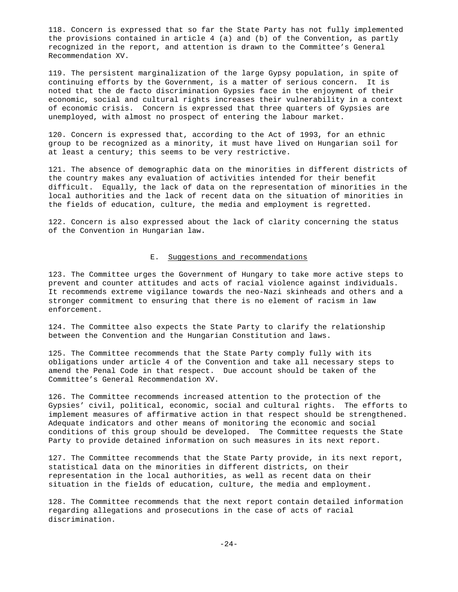118. Concern is expressed that so far the State Party has not fully implemented the provisions contained in article 4 (a) and (b) of the Convention, as partly recognized in the report, and attention is drawn to the Committee's General Recommendation XV.

119. The persistent marginalization of the large Gypsy population, in spite of continuing efforts by the Government, is a matter of serious concern. It is noted that the de facto discrimination Gypsies face in the enjoyment of their economic, social and cultural rights increases their vulnerability in a context of economic crisis. Concern is expressed that three quarters of Gypsies are unemployed, with almost no prospect of entering the labour market.

120. Concern is expressed that, according to the Act of 1993, for an ethnic group to be recognized as a minority, it must have lived on Hungarian soil for at least a century; this seems to be very restrictive.

121. The absence of demographic data on the minorities in different districts of the country makes any evaluation of activities intended for their benefit difficult. Equally, the lack of data on the representation of minorities in the local authorities and the lack of recent data on the situation of minorities in the fields of education, culture, the media and employment is regretted.

122. Concern is also expressed about the lack of clarity concerning the status of the Convention in Hungarian law.

#### E. Suggestions and recommendations

123. The Committee urges the Government of Hungary to take more active steps to prevent and counter attitudes and acts of racial violence against individuals. It recommends extreme vigilance towards the neo-Nazi skinheads and others and a stronger commitment to ensuring that there is no element of racism in law enforcement.

124. The Committee also expects the State Party to clarify the relationship between the Convention and the Hungarian Constitution and laws.

125. The Committee recommends that the State Party comply fully with its obligations under article 4 of the Convention and take all necessary steps to amend the Penal Code in that respect. Due account should be taken of the Committee's General Recommendation XV.

126. The Committee recommends increased attention to the protection of the Gypsies' civil, political, economic, social and cultural rights. The efforts to implement measures of affirmative action in that respect should be strengthened. Adequate indicators and other means of monitoring the economic and social conditions of this group should be developed. The Committee requests the State Party to provide detained information on such measures in its next report.

127. The Committee recommends that the State Party provide, in its next report, statistical data on the minorities in different districts, on their representation in the local authorities, as well as recent data on their situation in the fields of education, culture, the media and employment.

128. The Committee recommends that the next report contain detailed information regarding allegations and prosecutions in the case of acts of racial discrimination.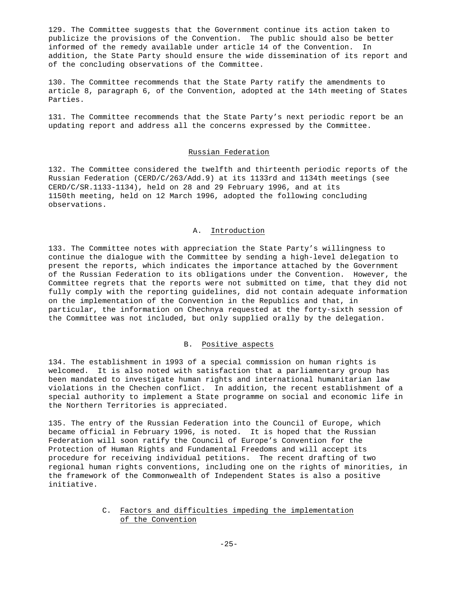129. The Committee suggests that the Government continue its action taken to publicize the provisions of the Convention. The public should also be better informed of the remedy available under article 14 of the Convention. In addition, the State Party should ensure the wide dissemination of its report and of the concluding observations of the Committee.

130. The Committee recommends that the State Party ratify the amendments to article 8, paragraph 6, of the Convention, adopted at the 14th meeting of States Parties.

131. The Committee recommends that the State Party's next periodic report be an updating report and address all the concerns expressed by the Committee.

#### Russian Federation

132. The Committee considered the twelfth and thirteenth periodic reports of the Russian Federation (CERD/C/263/Add.9) at its 1133rd and 1134th meetings (see CERD/C/SR.1133-1134), held on 28 and 29 February 1996, and at its 1150th meeting, held on 12 March 1996, adopted the following concluding observations.

# A. Introduction

133. The Committee notes with appreciation the State Party's willingness to continue the dialogue with the Committee by sending a high-level delegation to present the reports, which indicates the importance attached by the Government of the Russian Federation to its obligations under the Convention. However, the Committee regrets that the reports were not submitted on time, that they did not fully comply with the reporting guidelines, did not contain adequate information on the implementation of the Convention in the Republics and that, in particular, the information on Chechnya requested at the forty-sixth session of the Committee was not included, but only supplied orally by the delegation.

#### B. Positive aspects

134. The establishment in 1993 of a special commission on human rights is welcomed. It is also noted with satisfaction that a parliamentary group has been mandated to investigate human rights and international humanitarian law violations in the Chechen conflict. In addition, the recent establishment of a special authority to implement a State programme on social and economic life in the Northern Territories is appreciated.

135. The entry of the Russian Federation into the Council of Europe, which became official in February 1996, is noted. It is hoped that the Russian Federation will soon ratify the Council of Europe's Convention for the Protection of Human Rights and Fundamental Freedoms and will accept its procedure for receiving individual petitions. The recent drafting of two regional human rights conventions, including one on the rights of minorities, in the framework of the Commonwealth of Independent States is also a positive initiative.

# C. Factors and difficulties impeding the implementation of the Convention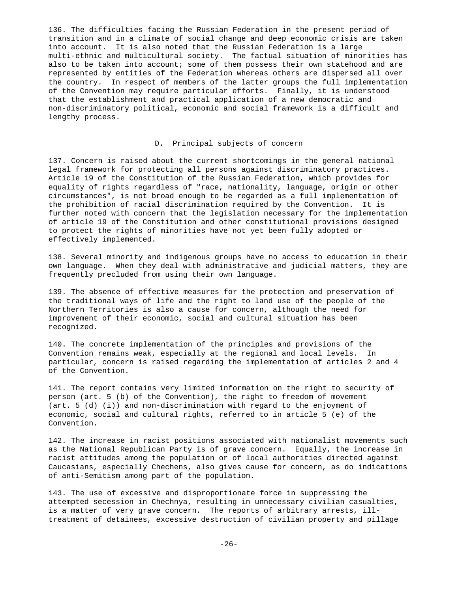136. The difficulties facing the Russian Federation in the present period of transition and in a climate of social change and deep economic crisis are taken into account. It is also noted that the Russian Federation is a large multi-ethnic and multicultural society. The factual situation of minorities has also to be taken into account; some of them possess their own statehood and are represented by entities of the Federation whereas others are dispersed all over the country. In respect of members of the latter groups the full implementation of the Convention may require particular efforts. Finally, it is understood that the establishment and practical application of a new democratic and non-discriminatory political, economic and social framework is a difficult and lengthy process.

#### D. Principal subjects of concern

137. Concern is raised about the current shortcomings in the general national legal framework for protecting all persons against discriminatory practices. Article 19 of the Constitution of the Russian Federation, which provides for equality of rights regardless of "race, nationality, language, origin or other circumstances", is not broad enough to be regarded as a full implementation of the prohibition of racial discrimination required by the Convention. It is further noted with concern that the legislation necessary for the implementation of article 19 of the Constitution and other constitutional provisions designed to protect the rights of minorities have not yet been fully adopted or effectively implemented.

138. Several minority and indigenous groups have no access to education in their own language. When they deal with administrative and judicial matters, they are frequently precluded from using their own language.

139. The absence of effective measures for the protection and preservation of the traditional ways of life and the right to land use of the people of the Northern Territories is also a cause for concern, although the need for improvement of their economic, social and cultural situation has been recognized.

140. The concrete implementation of the principles and provisions of the Convention remains weak, especially at the regional and local levels. In particular, concern is raised regarding the implementation of articles 2 and 4 of the Convention.

141. The report contains very limited information on the right to security of person (art. 5 (b) of the Convention), the right to freedom of movement (art. 5 (d) (i)) and non-discrimination with regard to the enjoyment of economic, social and cultural rights, referred to in article 5 (e) of the Convention.

142. The increase in racist positions associated with nationalist movements such as the National Republican Party is of grave concern. Equally, the increase in racist attitudes among the population or of local authorities directed against Caucasians, especially Chechens, also gives cause for concern, as do indications of anti-Semitism among part of the population.

143. The use of excessive and disproportionate force in suppressing the attempted secession in Chechnya, resulting in unnecessary civilian casualties, is a matter of very grave concern. The reports of arbitrary arrests, illtreatment of detainees, excessive destruction of civilian property and pillage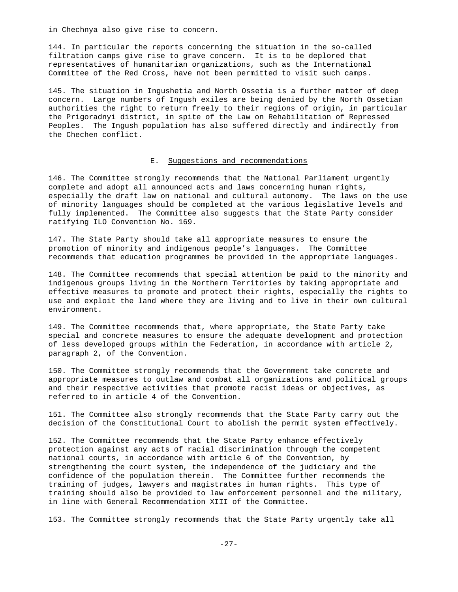in Chechnya also give rise to concern.

144. In particular the reports concerning the situation in the so-called filtration camps give rise to grave concern. It is to be deplored that representatives of humanitarian organizations, such as the International Committee of the Red Cross, have not been permitted to visit such camps.

145. The situation in Ingushetia and North Ossetia is a further matter of deep concern. Large numbers of Ingush exiles are being denied by the North Ossetian authorities the right to return freely to their regions of origin, in particular the Prigoradnyi district, in spite of the Law on Rehabilitation of Repressed Peoples. The Ingush population has also suffered directly and indirectly from the Chechen conflict.

### E. Suggestions and recommendations

146. The Committee strongly recommends that the National Parliament urgently complete and adopt all announced acts and laws concerning human rights, especially the draft law on national and cultural autonomy. The laws on the use of minority languages should be completed at the various legislative levels and fully implemented. The Committee also suggests that the State Party consider ratifying ILO Convention No. 169.

147. The State Party should take all appropriate measures to ensure the promotion of minority and indigenous people's languages. The Committee recommends that education programmes be provided in the appropriate languages.

148. The Committee recommends that special attention be paid to the minority and indigenous groups living in the Northern Territories by taking appropriate and effective measures to promote and protect their rights, especially the rights to use and exploit the land where they are living and to live in their own cultural environment.

149. The Committee recommends that, where appropriate, the State Party take special and concrete measures to ensure the adequate development and protection of less developed groups within the Federation, in accordance with article 2, paragraph 2, of the Convention.

150. The Committee strongly recommends that the Government take concrete and appropriate measures to outlaw and combat all organizations and political groups and their respective activities that promote racist ideas or objectives, as referred to in article 4 of the Convention.

151. The Committee also strongly recommends that the State Party carry out the decision of the Constitutional Court to abolish the permit system effectively.

152. The Committee recommends that the State Party enhance effectively protection against any acts of racial discrimination through the competent national courts, in accordance with article 6 of the Convention, by strengthening the court system, the independence of the judiciary and the confidence of the population therein. The Committee further recommends the training of judges, lawyers and magistrates in human rights. This type of training should also be provided to law enforcement personnel and the military, in line with General Recommendation XIII of the Committee.

153. The Committee strongly recommends that the State Party urgently take all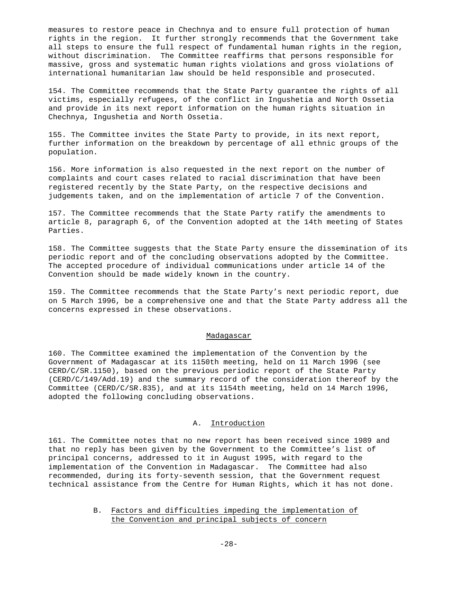measures to restore peace in Chechnya and to ensure full protection of human rights in the region. It further strongly recommends that the Government take all steps to ensure the full respect of fundamental human rights in the region, without discrimination. The Committee reaffirms that persons responsible for massive, gross and systematic human rights violations and gross violations of international humanitarian law should be held responsible and prosecuted.

154. The Committee recommends that the State Party guarantee the rights of all victims, especially refugees, of the conflict in Ingushetia and North Ossetia and provide in its next report information on the human rights situation in Chechnya, Ingushetia and North Ossetia.

155. The Committee invites the State Party to provide, in its next report, further information on the breakdown by percentage of all ethnic groups of the population.

156. More information is also requested in the next report on the number of complaints and court cases related to racial discrimination that have been registered recently by the State Party, on the respective decisions and judgements taken, and on the implementation of article 7 of the Convention.

157. The Committee recommends that the State Party ratify the amendments to article 8, paragraph 6, of the Convention adopted at the 14th meeting of States Parties.

158. The Committee suggests that the State Party ensure the dissemination of its periodic report and of the concluding observations adopted by the Committee. The accepted procedure of individual communications under article 14 of the Convention should be made widely known in the country.

159. The Committee recommends that the State Party's next periodic report, due on 5 March 1996, be a comprehensive one and that the State Party address all the concerns expressed in these observations.

### Madagascar

160. The Committee examined the implementation of the Convention by the Government of Madagascar at its 1150th meeting, held on 11 March 1996 (see CERD/C/SR.1150), based on the previous periodic report of the State Party (CERD/C/149/Add.19) and the summary record of the consideration thereof by the Committee (CERD/C/SR.835), and at its 1154th meeting, held on 14 March 1996, adopted the following concluding observations.

## A. Introduction

161. The Committee notes that no new report has been received since 1989 and that no reply has been given by the Government to the Committee's list of principal concerns, addressed to it in August 1995, with regard to the implementation of the Convention in Madagascar. The Committee had also recommended, during its forty-seventh session, that the Government request technical assistance from the Centre for Human Rights, which it has not done.

> B. Factors and difficulties impeding the implementation of the Convention and principal subjects of concern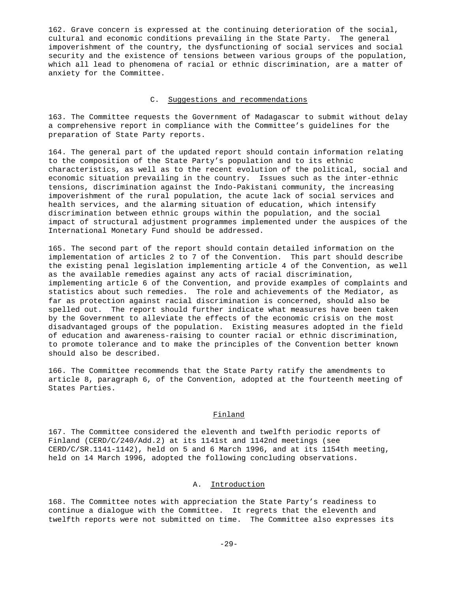162. Grave concern is expressed at the continuing deterioration of the social, cultural and economic conditions prevailing in the State Party. The general impoverishment of the country, the dysfunctioning of social services and social security and the existence of tensions between various groups of the population, which all lead to phenomena of racial or ethnic discrimination, are a matter of anxiety for the Committee.

### C. Suggestions and recommendations

163. The Committee requests the Government of Madagascar to submit without delay a comprehensive report in compliance with the Committee's guidelines for the preparation of State Party reports.

164. The general part of the updated report should contain information relating to the composition of the State Party's population and to its ethnic characteristics, as well as to the recent evolution of the political, social and economic situation prevailing in the country. Issues such as the inter-ethnic tensions, discrimination against the Indo-Pakistani community, the increasing impoverishment of the rural population, the acute lack of social services and health services, and the alarming situation of education, which intensify discrimination between ethnic groups within the population, and the social impact of structural adjustment programmes implemented under the auspices of the International Monetary Fund should be addressed.

165. The second part of the report should contain detailed information on the implementation of articles 2 to 7 of the Convention. This part should describe the existing penal legislation implementing article 4 of the Convention, as well as the available remedies against any acts of racial discrimination, implementing article 6 of the Convention, and provide examples of complaints and statistics about such remedies. The role and achievements of the Mediator, as far as protection against racial discrimination is concerned, should also be spelled out. The report should further indicate what measures have been taken by the Government to alleviate the effects of the economic crisis on the most disadvantaged groups of the population. Existing measures adopted in the field of education and awareness-raising to counter racial or ethnic discrimination, to promote tolerance and to make the principles of the Convention better known should also be described.

166. The Committee recommends that the State Party ratify the amendments to article 8, paragraph 6, of the Convention, adopted at the fourteenth meeting of States Parties.

# Finland

167. The Committee considered the eleventh and twelfth periodic reports of Finland (CERD/C/240/Add.2) at its 1141st and 1142nd meetings (see CERD/C/SR.1141-1142), held on 5 and 6 March 1996, and at its 1154th meeting, held on 14 March 1996, adopted the following concluding observations.

# A. Introduction

168. The Committee notes with appreciation the State Party's readiness to continue a dialogue with the Committee. It regrets that the eleventh and twelfth reports were not submitted on time. The Committee also expresses its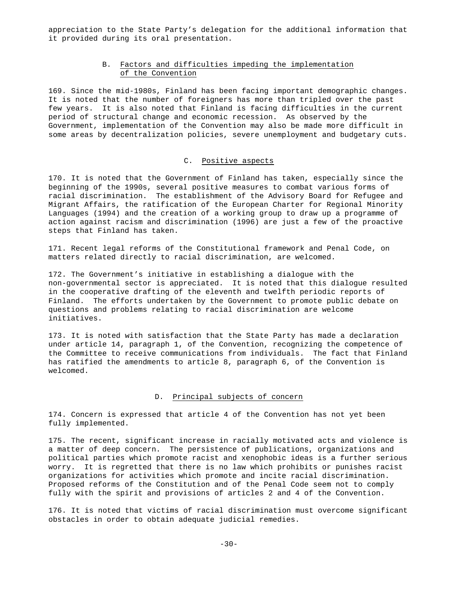appreciation to the State Party's delegation for the additional information that it provided during its oral presentation.

# B. Factors and difficulties impeding the implementation of the Convention

169. Since the mid-1980s, Finland has been facing important demographic changes. It is noted that the number of foreigners has more than tripled over the past few years. It is also noted that Finland is facing difficulties in the current period of structural change and economic recession. As observed by the Government, implementation of the Convention may also be made more difficult in some areas by decentralization policies, severe unemployment and budgetary cuts.

# C. Positive aspects

170. It is noted that the Government of Finland has taken, especially since the beginning of the 1990s, several positive measures to combat various forms of racial discrimination. The establishment of the Advisory Board for Refugee and Migrant Affairs, the ratification of the European Charter for Regional Minority Languages (1994) and the creation of a working group to draw up a programme of action against racism and discrimination (1996) are just a few of the proactive steps that Finland has taken.

171. Recent legal reforms of the Constitutional framework and Penal Code, on matters related directly to racial discrimination, are welcomed.

172. The Government's initiative in establishing a dialogue with the non-governmental sector is appreciated. It is noted that this dialogue resulted in the cooperative drafting of the eleventh and twelfth periodic reports of Finland. The efforts undertaken by the Government to promote public debate on questions and problems relating to racial discrimination are welcome initiatives.

173. It is noted with satisfaction that the State Party has made a declaration under article 14, paragraph 1, of the Convention, recognizing the competence of the Committee to receive communications from individuals. The fact that Finland has ratified the amendments to article 8, paragraph 6, of the Convention is welcomed.

# D. Principal subjects of concern

174. Concern is expressed that article 4 of the Convention has not yet been fully implemented.

175. The recent, significant increase in racially motivated acts and violence is a matter of deep concern. The persistence of publications, organizations and political parties which promote racist and xenophobic ideas is a further serious worry. It is regretted that there is no law which prohibits or punishes racist organizations for activities which promote and incite racial discrimination. Proposed reforms of the Constitution and of the Penal Code seem not to comply fully with the spirit and provisions of articles 2 and 4 of the Convention.

176. It is noted that victims of racial discrimination must overcome significant obstacles in order to obtain adequate judicial remedies.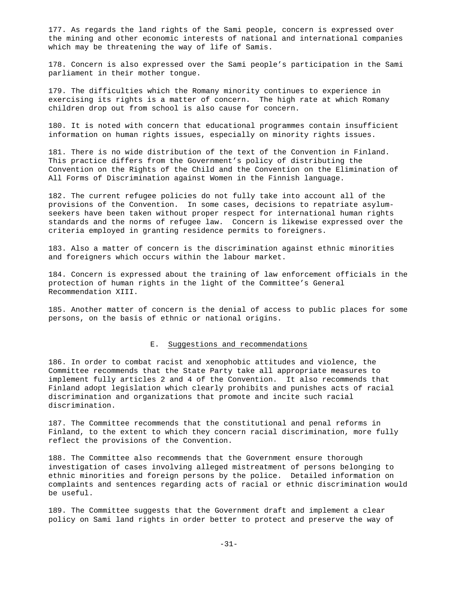177. As regards the land rights of the Sami people, concern is expressed over the mining and other economic interests of national and international companies which may be threatening the way of life of Samis.

178. Concern is also expressed over the Sami people's participation in the Sami parliament in their mother tongue.

179. The difficulties which the Romany minority continues to experience in exercising its rights is a matter of concern. The high rate at which Romany children drop out from school is also cause for concern.

180. It is noted with concern that educational programmes contain insufficient information on human rights issues, especially on minority rights issues.

181. There is no wide distribution of the text of the Convention in Finland. This practice differs from the Government's policy of distributing the Convention on the Rights of the Child and the Convention on the Elimination of All Forms of Discrimination against Women in the Finnish language.

182. The current refugee policies do not fully take into account all of the provisions of the Convention. In some cases, decisions to repatriate asylumseekers have been taken without proper respect for international human rights standards and the norms of refugee law. Concern is likewise expressed over the criteria employed in granting residence permits to foreigners.

183. Also a matter of concern is the discrimination against ethnic minorities and foreigners which occurs within the labour market.

184. Concern is expressed about the training of law enforcement officials in the protection of human rights in the light of the Committee's General Recommendation XIII.

185. Another matter of concern is the denial of access to public places for some persons, on the basis of ethnic or national origins.

### E. Suggestions and recommendations

186. In order to combat racist and xenophobic attitudes and violence, the Committee recommends that the State Party take all appropriate measures to implement fully articles 2 and 4 of the Convention. It also recommends that Finland adopt legislation which clearly prohibits and punishes acts of racial discrimination and organizations that promote and incite such racial discrimination.

187. The Committee recommends that the constitutional and penal reforms in Finland, to the extent to which they concern racial discrimination, more fully reflect the provisions of the Convention.

188. The Committee also recommends that the Government ensure thorough investigation of cases involving alleged mistreatment of persons belonging to ethnic minorities and foreign persons by the police. Detailed information on complaints and sentences regarding acts of racial or ethnic discrimination would be useful.

189. The Committee suggests that the Government draft and implement a clear policy on Sami land rights in order better to protect and preserve the way of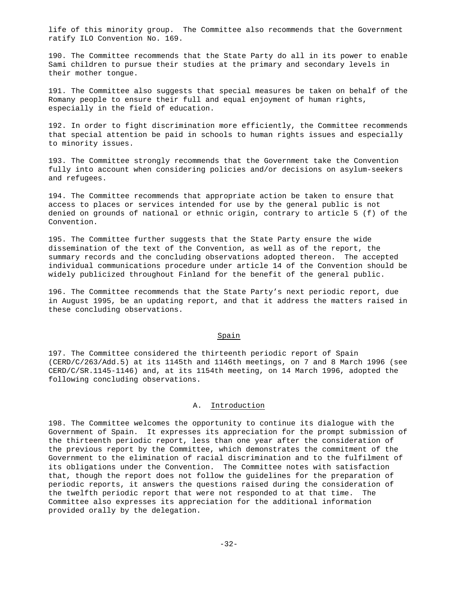life of this minority group. The Committee also recommends that the Government ratify ILO Convention No. 169.

190. The Committee recommends that the State Party do all in its power to enable Sami children to pursue their studies at the primary and secondary levels in their mother tongue.

191. The Committee also suggests that special measures be taken on behalf of the Romany people to ensure their full and equal enjoyment of human rights, especially in the field of education.

192. In order to fight discrimination more efficiently, the Committee recommends that special attention be paid in schools to human rights issues and especially to minority issues.

193. The Committee strongly recommends that the Government take the Convention fully into account when considering policies and/or decisions on asylum-seekers and refugees.

194. The Committee recommends that appropriate action be taken to ensure that access to places or services intended for use by the general public is not denied on grounds of national or ethnic origin, contrary to article 5 (f) of the Convention.

195. The Committee further suggests that the State Party ensure the wide dissemination of the text of the Convention, as well as of the report, the summary records and the concluding observations adopted thereon. The accepted individual communications procedure under article 14 of the Convention should be widely publicized throughout Finland for the benefit of the general public.

196. The Committee recommends that the State Party's next periodic report, due in August 1995, be an updating report, and that it address the matters raised in these concluding observations.

#### Spain

197. The Committee considered the thirteenth periodic report of Spain (CERD/C/263/Add.5) at its 1145th and 1146th meetings, on 7 and 8 March 1996 (see CERD/C/SR.1145-1146) and, at its 1154th meeting, on 14 March 1996, adopted the following concluding observations.

# A. Introduction

198. The Committee welcomes the opportunity to continue its dialogue with the Government of Spain. It expresses its appreciation for the prompt submission of the thirteenth periodic report, less than one year after the consideration of the previous report by the Committee, which demonstrates the commitment of the Government to the elimination of racial discrimination and to the fulfilment of its obligations under the Convention. The Committee notes with satisfaction that, though the report does not follow the guidelines for the preparation of periodic reports, it answers the questions raised during the consideration of the twelfth periodic report that were not responded to at that time. The Committee also expresses its appreciation for the additional information provided orally by the delegation.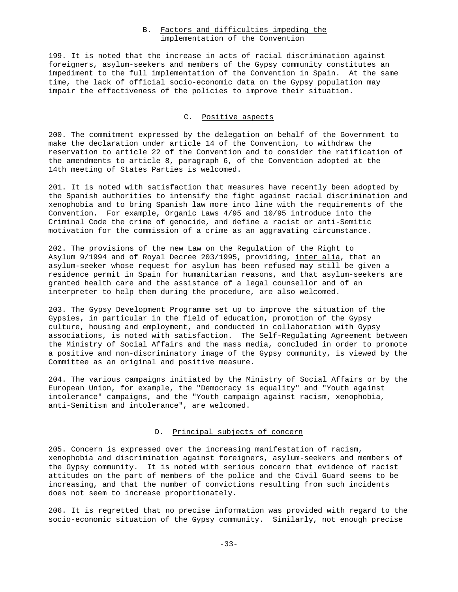# B. Factors and difficulties impeding the implementation of the Convention

199. It is noted that the increase in acts of racial discrimination against foreigners, asylum-seekers and members of the Gypsy community constitutes an impediment to the full implementation of the Convention in Spain. At the same time, the lack of official socio-economic data on the Gypsy population may impair the effectiveness of the policies to improve their situation.

### C. Positive aspects

200. The commitment expressed by the delegation on behalf of the Government to make the declaration under article 14 of the Convention, to withdraw the reservation to article 22 of the Convention and to consider the ratification of the amendments to article 8, paragraph 6, of the Convention adopted at the 14th meeting of States Parties is welcomed.

201. It is noted with satisfaction that measures have recently been adopted by the Spanish authorities to intensify the fight against racial discrimination and xenophobia and to bring Spanish law more into line with the requirements of the Convention. For example, Organic Laws 4/95 and 10/95 introduce into the Criminal Code the crime of genocide, and define a racist or anti-Semitic motivation for the commission of a crime as an aggravating circumstance.

202. The provisions of the new Law on the Regulation of the Right to Asylum 9/1994 and of Royal Decree 203/1995, providing, inter alia, that an asylum-seeker whose request for asylum has been refused may still be given a residence permit in Spain for humanitarian reasons, and that asylum-seekers are granted health care and the assistance of a legal counsellor and of an interpreter to help them during the procedure, are also welcomed.

203. The Gypsy Development Programme set up to improve the situation of the Gypsies, in particular in the field of education, promotion of the Gypsy culture, housing and employment, and conducted in collaboration with Gypsy associations, is noted with satisfaction. The Self-Regulating Agreement between the Ministry of Social Affairs and the mass media, concluded in order to promote a positive and non-discriminatory image of the Gypsy community, is viewed by the Committee as an original and positive measure.

204. The various campaigns initiated by the Ministry of Social Affairs or by the European Union, for example, the "Democracy is equality" and "Youth against intolerance" campaigns, and the "Youth campaign against racism, xenophobia, anti-Semitism and intolerance", are welcomed.

### D. Principal subjects of concern

205. Concern is expressed over the increasing manifestation of racism, xenophobia and discrimination against foreigners, asylum-seekers and members of the Gypsy community. It is noted with serious concern that evidence of racist attitudes on the part of members of the police and the Civil Guard seems to be increasing, and that the number of convictions resulting from such incidents does not seem to increase proportionately.

206. It is regretted that no precise information was provided with regard to the socio-economic situation of the Gypsy community. Similarly, not enough precise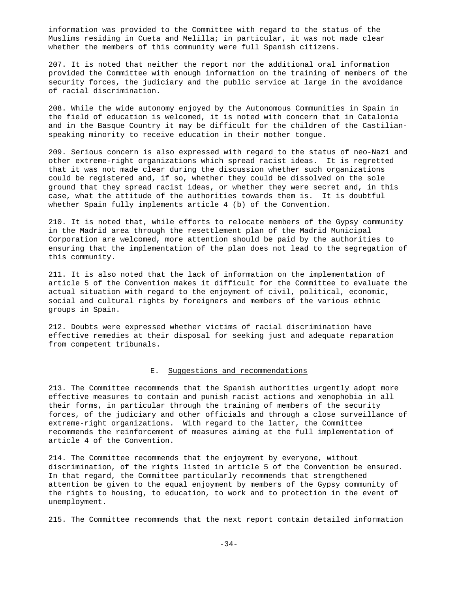information was provided to the Committee with regard to the status of the Muslims residing in Cueta and Melilla; in particular, it was not made clear whether the members of this community were full Spanish citizens.

207. It is noted that neither the report nor the additional oral information provided the Committee with enough information on the training of members of the security forces, the judiciary and the public service at large in the avoidance of racial discrimination.

208. While the wide autonomy enjoyed by the Autonomous Communities in Spain in the field of education is welcomed, it is noted with concern that in Catalonia and in the Basque Country it may be difficult for the children of the Castilianspeaking minority to receive education in their mother tongue.

209. Serious concern is also expressed with regard to the status of neo-Nazi and other extreme-right organizations which spread racist ideas. It is regretted that it was not made clear during the discussion whether such organizations could be registered and, if so, whether they could be dissolved on the sole ground that they spread racist ideas, or whether they were secret and, in this case, what the attitude of the authorities towards them is. It is doubtful whether Spain fully implements article 4 (b) of the Convention.

210. It is noted that, while efforts to relocate members of the Gypsy community in the Madrid area through the resettlement plan of the Madrid Municipal Corporation are welcomed, more attention should be paid by the authorities to ensuring that the implementation of the plan does not lead to the segregation of this community.

211. It is also noted that the lack of information on the implementation of article 5 of the Convention makes it difficult for the Committee to evaluate the actual situation with regard to the enjoyment of civil, political, economic, social and cultural rights by foreigners and members of the various ethnic groups in Spain.

212. Doubts were expressed whether victims of racial discrimination have effective remedies at their disposal for seeking just and adequate reparation from competent tribunals.

#### E. Suggestions and recommendations

213. The Committee recommends that the Spanish authorities urgently adopt more effective measures to contain and punish racist actions and xenophobia in all their forms, in particular through the training of members of the security forces, of the judiciary and other officials and through a close surveillance of extreme-right organizations. With regard to the latter, the Committee recommends the reinforcement of measures aiming at the full implementation of article 4 of the Convention.

214. The Committee recommends that the enjoyment by everyone, without discrimination, of the rights listed in article 5 of the Convention be ensured. In that regard, the Committee particularly recommends that strengthened attention be given to the equal enjoyment by members of the Gypsy community of the rights to housing, to education, to work and to protection in the event of unemployment.

215. The Committee recommends that the next report contain detailed information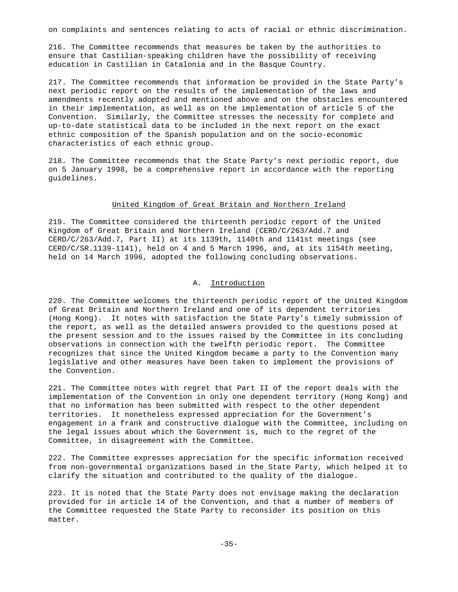on complaints and sentences relating to acts of racial or ethnic discrimination.

216. The Committee recommends that measures be taken by the authorities to ensure that Castilian-speaking children have the possibility of receiving education in Castilian in Catalonia and in the Basque Country.

217. The Committee recommends that information be provided in the State Party's next periodic report on the results of the implementation of the laws and amendments recently adopted and mentioned above and on the obstacles encountered in their implementation, as well as on the implementation of article 5 of the Convention. Similarly, the Committee stresses the necessity for complete and up-to-date statistical data to be included in the next report on the exact ethnic composition of the Spanish population and on the socio-economic characteristics of each ethnic group.

218. The Committee recommends that the State Party's next periodic report, due on 5 January 1998, be a comprehensive report in accordance with the reporting guidelines.

### United Kingdom of Great Britain and Northern Ireland

219. The Committee considered the thirteenth periodic report of the United Kingdom of Great Britain and Northern Ireland (CERD/C/263/Add.7 and CERD/C/263/Add.7, Part II) at its 1139th, 1140th and 1141st meetings (see CERD/C/SR.1139-1141), held on 4 and 5 March 1996, and, at its 1154th meeting, held on 14 March 1996, adopted the following concluding observations.

# A. Introduction

220. The Committee welcomes the thirteenth periodic report of the United Kingdom of Great Britain and Northern Ireland and one of its dependent territories (Hong Kong). It notes with satisfaction the State Party's timely submission of the report, as well as the detailed answers provided to the questions posed at the present session and to the issues raised by the Committee in its concluding observations in connection with the twelfth periodic report. The Committee recognizes that since the United Kingdom became a party to the Convention many legislative and other measures have been taken to implement the provisions of the Convention.

221. The Committee notes with regret that Part II of the report deals with the implementation of the Convention in only one dependent territory (Hong Kong) and that no information has been submitted with respect to the other dependent territories. It nonetheless expressed appreciation for the Government's engagement in a frank and constructive dialogue with the Committee, including on the legal issues about which the Government is, much to the regret of the Committee, in disagreement with the Committee.

222. The Committee expresses appreciation for the specific information received from non-governmental organizations based in the State Party, which helped it to clarify the situation and contributed to the quality of the dialogue.

223. It is noted that the State Party does not envisage making the declaration provided for in article 14 of the Convention, and that a number of members of the Committee requested the State Party to reconsider its position on this matter.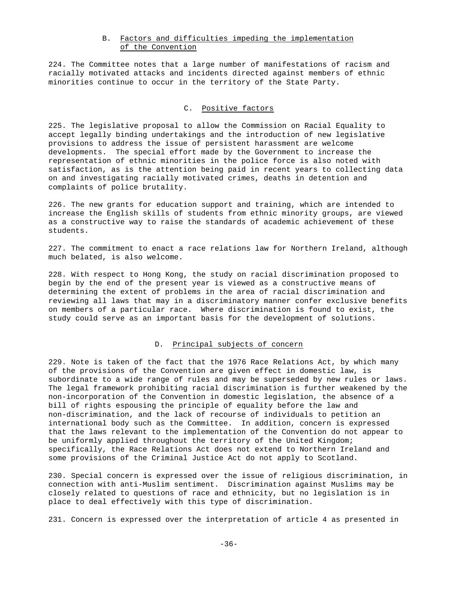## B. Factors and difficulties impeding the implementation of the Convention

224. The Committee notes that a large number of manifestations of racism and racially motivated attacks and incidents directed against members of ethnic minorities continue to occur in the territory of the State Party.

### C. Positive factors

225. The legislative proposal to allow the Commission on Racial Equality to accept legally binding undertakings and the introduction of new legislative provisions to address the issue of persistent harassment are welcome developments. The special effort made by the Government to increase the representation of ethnic minorities in the police force is also noted with satisfaction, as is the attention being paid in recent years to collecting data on and investigating racially motivated crimes, deaths in detention and complaints of police brutality.

226. The new grants for education support and training, which are intended to increase the English skills of students from ethnic minority groups, are viewed as a constructive way to raise the standards of academic achievement of these students.

227. The commitment to enact a race relations law for Northern Ireland, although much belated, is also welcome.

228. With respect to Hong Kong, the study on racial discrimination proposed to begin by the end of the present year is viewed as a constructive means of determining the extent of problems in the area of racial discrimination and reviewing all laws that may in a discriminatory manner confer exclusive benefits on members of a particular race. Where discrimination is found to exist, the study could serve as an important basis for the development of solutions.

# D. Principal subjects of concern

229. Note is taken of the fact that the 1976 Race Relations Act, by which many of the provisions of the Convention are given effect in domestic law, is subordinate to a wide range of rules and may be superseded by new rules or laws. The legal framework prohibiting racial discrimination is further weakened by the non-incorporation of the Convention in domestic legislation, the absence of a bill of rights espousing the principle of equality before the law and non-discrimination, and the lack of recourse of individuals to petition an international body such as the Committee. In addition, concern is expressed that the laws relevant to the implementation of the Convention do not appear to be uniformly applied throughout the territory of the United Kingdom; specifically, the Race Relations Act does not extend to Northern Ireland and some provisions of the Criminal Justice Act do not apply to Scotland.

230. Special concern is expressed over the issue of religious discrimination, in connection with anti-Muslim sentiment. Discrimination against Muslims may be closely related to questions of race and ethnicity, but no legislation is in place to deal effectively with this type of discrimination.

231. Concern is expressed over the interpretation of article 4 as presented in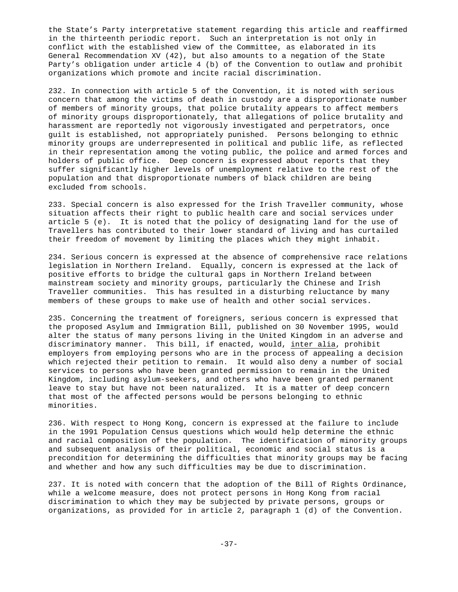the State's Party interpretative statement regarding this article and reaffirmed in the thirteenth periodic report. Such an interpretation is not only in conflict with the established view of the Committee, as elaborated in its General Recommendation XV (42), but also amounts to a negation of the State Party's obligation under article 4 (b) of the Convention to outlaw and prohibit organizations which promote and incite racial discrimination.

232. In connection with article 5 of the Convention, it is noted with serious concern that among the victims of death in custody are a disproportionate number of members of minority groups, that police brutality appears to affect members of minority groups disproportionately, that allegations of police brutality and harassment are reportedly not vigorously investigated and perpetrators, once guilt is established, not appropriately punished. Persons belonging to ethnic minority groups are underrepresented in political and public life, as reflected in their representation among the voting public, the police and armed forces and holders of public office. Deep concern is expressed about reports that they suffer significantly higher levels of unemployment relative to the rest of the population and that disproportionate numbers of black children are being excluded from schools.

233. Special concern is also expressed for the Irish Traveller community, whose situation affects their right to public health care and social services under article 5 (e). It is noted that the policy of designating land for the use of Travellers has contributed to their lower standard of living and has curtailed their freedom of movement by limiting the places which they might inhabit.

234. Serious concern is expressed at the absence of comprehensive race relations legislation in Northern Ireland. Equally, concern is expressed at the lack of positive efforts to bridge the cultural gaps in Northern Ireland between mainstream society and minority groups, particularly the Chinese and Irish Traveller communities. This has resulted in a disturbing reluctance by many members of these groups to make use of health and other social services.

235. Concerning the treatment of foreigners, serious concern is expressed that the proposed Asylum and Immigration Bill, published on 30 November 1995, would alter the status of many persons living in the United Kingdom in an adverse and discriminatory manner. This bill, if enacted, would, inter alia, prohibit employers from employing persons who are in the process of appealing a decision which rejected their petition to remain. It would also deny a number of social services to persons who have been granted permission to remain in the United Kingdom, including asylum-seekers, and others who have been granted permanent leave to stay but have not been naturalized. It is a matter of deep concern that most of the affected persons would be persons belonging to ethnic minorities.

236. With respect to Hong Kong, concern is expressed at the failure to include in the 1991 Population Census questions which would help determine the ethnic and racial composition of the population. The identification of minority groups and subsequent analysis of their political, economic and social status is a precondition for determining the difficulties that minority groups may be facing and whether and how any such difficulties may be due to discrimination.

237. It is noted with concern that the adoption of the Bill of Rights Ordinance, while a welcome measure, does not protect persons in Hong Kong from racial discrimination to which they may be subjected by private persons, groups or organizations, as provided for in article 2, paragraph 1 (d) of the Convention.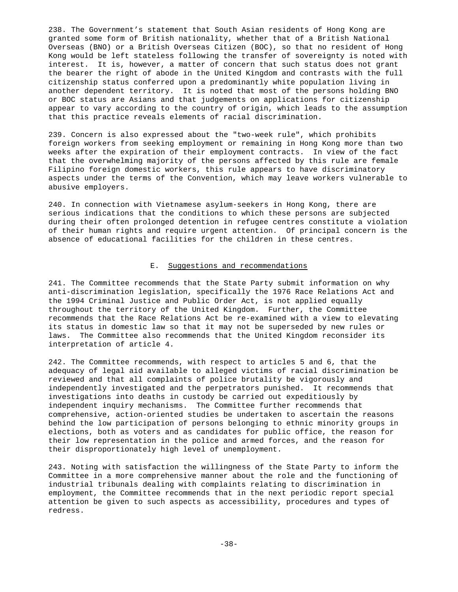238. The Government's statement that South Asian residents of Hong Kong are granted some form of British nationality, whether that of a British National Overseas (BNO) or a British Overseas Citizen (BOC), so that no resident of Hong Kong would be left stateless following the transfer of sovereignty is noted with interest. It is, however, a matter of concern that such status does not grant the bearer the right of abode in the United Kingdom and contrasts with the full citizenship status conferred upon a predominantly white population living in another dependent territory. It is noted that most of the persons holding BNO or BOC status are Asians and that judgements on applications for citizenship appear to vary according to the country of origin, which leads to the assumption that this practice reveals elements of racial discrimination.

239. Concern is also expressed about the "two-week rule", which prohibits foreign workers from seeking employment or remaining in Hong Kong more than two weeks after the expiration of their employment contracts. In view of the fact that the overwhelming majority of the persons affected by this rule are female Filipino foreign domestic workers, this rule appears to have discriminatory aspects under the terms of the Convention, which may leave workers vulnerable to abusive employers.

240. In connection with Vietnamese asylum-seekers in Hong Kong, there are serious indications that the conditions to which these persons are subjected during their often prolonged detention in refugee centres constitute a violation of their human rights and require urgent attention. Of principal concern is the absence of educational facilities for the children in these centres.

### E. Suggestions and recommendations

241. The Committee recommends that the State Party submit information on why anti-discrimination legislation, specifically the 1976 Race Relations Act and the 1994 Criminal Justice and Public Order Act, is not applied equally throughout the territory of the United Kingdom. Further, the Committee recommends that the Race Relations Act be re-examined with a view to elevating its status in domestic law so that it may not be superseded by new rules or laws. The Committee also recommends that the United Kingdom reconsider its interpretation of article 4.

242. The Committee recommends, with respect to articles 5 and 6, that the adequacy of legal aid available to alleged victims of racial discrimination be reviewed and that all complaints of police brutality be vigorously and independently investigated and the perpetrators punished. It recommends that investigations into deaths in custody be carried out expeditiously by independent inquiry mechanisms. The Committee further recommends that comprehensive, action-oriented studies be undertaken to ascertain the reasons behind the low participation of persons belonging to ethnic minority groups in elections, both as voters and as candidates for public office, the reason for their low representation in the police and armed forces, and the reason for their disproportionately high level of unemployment.

243. Noting with satisfaction the willingness of the State Party to inform the Committee in a more comprehensive manner about the role and the functioning of industrial tribunals dealing with complaints relating to discrimination in employment, the Committee recommends that in the next periodic report special attention be given to such aspects as accessibility, procedures and types of redress.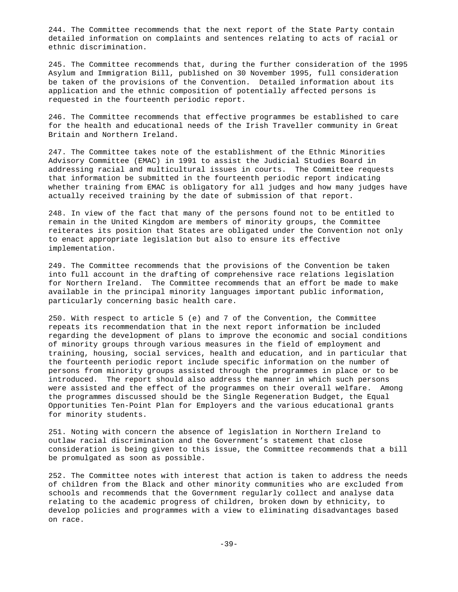244. The Committee recommends that the next report of the State Party contain detailed information on complaints and sentences relating to acts of racial or ethnic discrimination.

245. The Committee recommends that, during the further consideration of the 1995 Asylum and Immigration Bill, published on 30 November 1995, full consideration be taken of the provisions of the Convention. Detailed information about its application and the ethnic composition of potentially affected persons is requested in the fourteenth periodic report.

246. The Committee recommends that effective programmes be established to care for the health and educational needs of the Irish Traveller community in Great Britain and Northern Ireland.

247. The Committee takes note of the establishment of the Ethnic Minorities Advisory Committee (EMAC) in 1991 to assist the Judicial Studies Board in addressing racial and multicultural issues in courts. The Committee requests that information be submitted in the fourteenth periodic report indicating whether training from EMAC is obligatory for all judges and how many judges have actually received training by the date of submission of that report.

248. In view of the fact that many of the persons found not to be entitled to remain in the United Kingdom are members of minority groups, the Committee reiterates its position that States are obligated under the Convention not only to enact appropriate legislation but also to ensure its effective implementation.

249. The Committee recommends that the provisions of the Convention be taken into full account in the drafting of comprehensive race relations legislation for Northern Ireland. The Committee recommends that an effort be made to make available in the principal minority languages important public information, particularly concerning basic health care.

250. With respect to article 5 (e) and 7 of the Convention, the Committee repeats its recommendation that in the next report information be included regarding the development of plans to improve the economic and social conditions of minority groups through various measures in the field of employment and training, housing, social services, health and education, and in particular that the fourteenth periodic report include specific information on the number of persons from minority groups assisted through the programmes in place or to be introduced. The report should also address the manner in which such persons were assisted and the effect of the programmes on their overall welfare. Among the programmes discussed should be the Single Regeneration Budget, the Equal Opportunities Ten-Point Plan for Employers and the various educational grants for minority students.

251. Noting with concern the absence of legislation in Northern Ireland to outlaw racial discrimination and the Government's statement that close consideration is being given to this issue, the Committee recommends that a bill be promulgated as soon as possible.

252. The Committee notes with interest that action is taken to address the needs of children from the Black and other minority communities who are excluded from schools and recommends that the Government regularly collect and analyse data relating to the academic progress of children, broken down by ethnicity, to develop policies and programmes with a view to eliminating disadvantages based on race.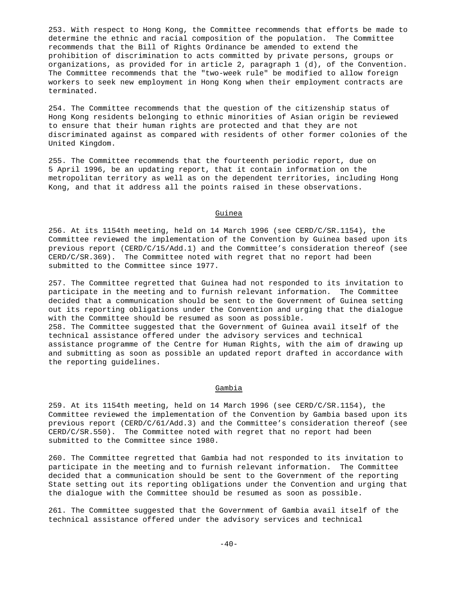253. With respect to Hong Kong, the Committee recommends that efforts be made to determine the ethnic and racial composition of the population. The Committee recommends that the Bill of Rights Ordinance be amended to extend the prohibition of discrimination to acts committed by private persons, groups or organizations, as provided for in article 2, paragraph 1 (d), of the Convention. The Committee recommends that the "two-week rule" be modified to allow foreign workers to seek new employment in Hong Kong when their employment contracts are terminated.

254. The Committee recommends that the question of the citizenship status of Hong Kong residents belonging to ethnic minorities of Asian origin be reviewed to ensure that their human rights are protected and that they are not discriminated against as compared with residents of other former colonies of the United Kingdom.

255. The Committee recommends that the fourteenth periodic report, due on 5 April 1996, be an updating report, that it contain information on the metropolitan territory as well as on the dependent territories, including Hong Kong, and that it address all the points raised in these observations.

#### Guinea

256. At its 1154th meeting, held on 14 March 1996 (see CERD/C/SR.1154), the Committee reviewed the implementation of the Convention by Guinea based upon its previous report (CERD/C/15/Add.1) and the Committee's consideration thereof (see CERD/C/SR.369). The Committee noted with regret that no report had been submitted to the Committee since 1977.

257. The Committee regretted that Guinea had not responded to its invitation to participate in the meeting and to furnish relevant information. The Committee decided that a communication should be sent to the Government of Guinea setting out its reporting obligations under the Convention and urging that the dialogue with the Committee should be resumed as soon as possible. 258. The Committee suggested that the Government of Guinea avail itself of the technical assistance offered under the advisory services and technical assistance programme of the Centre for Human Rights, with the aim of drawing up and submitting as soon as possible an updated report drafted in accordance with the reporting guidelines.

#### **Gambia**

259. At its 1154th meeting, held on 14 March 1996 (see CERD/C/SR.1154), the Committee reviewed the implementation of the Convention by Gambia based upon its previous report (CERD/C/61/Add.3) and the Committee's consideration thereof (see CERD/C/SR.550). The Committee noted with regret that no report had been submitted to the Committee since 1980.

260. The Committee regretted that Gambia had not responded to its invitation to participate in the meeting and to furnish relevant information. The Committee decided that a communication should be sent to the Government of the reporting State setting out its reporting obligations under the Convention and urging that the dialogue with the Committee should be resumed as soon as possible.

261. The Committee suggested that the Government of Gambia avail itself of the technical assistance offered under the advisory services and technical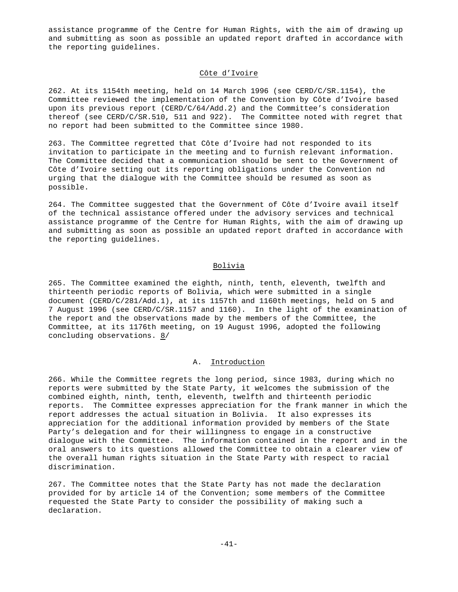assistance programme of the Centre for Human Rights, with the aim of drawing up and submitting as soon as possible an updated report drafted in accordance with the reporting guidelines.

# Côte d'Ivoire

262. At its 1154th meeting, held on 14 March 1996 (see CERD/C/SR.1154), the Committee reviewed the implementation of the Convention by Côte d'Ivoire based upon its previous report (CERD/C/64/Add.2) and the Committee's consideration thereof (see CERD/C/SR.510, 511 and 922). The Committee noted with regret that no report had been submitted to the Committee since 1980.

263. The Committee regretted that Côte d'Ivoire had not responded to its invitation to participate in the meeting and to furnish relevant information. The Committee decided that a communication should be sent to the Government of Côte d'Ivoire setting out its reporting obligations under the Convention nd urging that the dialogue with the Committee should be resumed as soon as possible.

264. The Committee suggested that the Government of Côte d'Ivoire avail itself of the technical assistance offered under the advisory services and technical assistance programme of the Centre for Human Rights, with the aim of drawing up and submitting as soon as possible an updated report drafted in accordance with the reporting guidelines.

#### Bolivia

265. The Committee examined the eighth, ninth, tenth, eleventh, twelfth and thirteenth periodic reports of Bolivia, which were submitted in a single document (CERD/C/281/Add.1), at its 1157th and 1160th meetings, held on 5 and 7 August 1996 (see CERD/C/SR.1157 and 1160). In the light of the examination of the report and the observations made by the members of the Committee, the Committee, at its 1176th meeting, on 19 August 1996, adopted the following concluding observations. 8/

# A. Introduction

266. While the Committee regrets the long period, since 1983, during which no reports were submitted by the State Party, it welcomes the submission of the combined eighth, ninth, tenth, eleventh, twelfth and thirteenth periodic reports. The Committee expresses appreciation for the frank manner in which the report addresses the actual situation in Bolivia. It also expresses its appreciation for the additional information provided by members of the State Party's delegation and for their willingness to engage in a constructive dialogue with the Committee. The information contained in the report and in the oral answers to its questions allowed the Committee to obtain a clearer view of the overall human rights situation in the State Party with respect to racial discrimination.

267. The Committee notes that the State Party has not made the declaration provided for by article 14 of the Convention; some members of the Committee requested the State Party to consider the possibility of making such a declaration.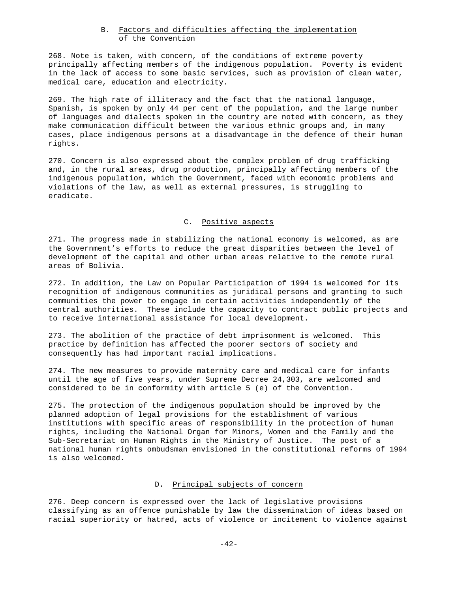# B. Factors and difficulties affecting the implementation of the Convention

268. Note is taken, with concern, of the conditions of extreme poverty principally affecting members of the indigenous population. Poverty is evident in the lack of access to some basic services, such as provision of clean water, medical care, education and electricity.

269. The high rate of illiteracy and the fact that the national language, Spanish, is spoken by only 44 per cent of the population, and the large number of languages and dialects spoken in the country are noted with concern, as they make communication difficult between the various ethnic groups and, in many cases, place indigenous persons at a disadvantage in the defence of their human rights.

270. Concern is also expressed about the complex problem of drug trafficking and, in the rural areas, drug production, principally affecting members of the indigenous population, which the Government, faced with economic problems and violations of the law, as well as external pressures, is struggling to eradicate.

# C. Positive aspects

271. The progress made in stabilizing the national economy is welcomed, as are the Government's efforts to reduce the great disparities between the level of development of the capital and other urban areas relative to the remote rural areas of Bolivia.

272. In addition, the Law on Popular Participation of 1994 is welcomed for its recognition of indigenous communities as juridical persons and granting to such communities the power to engage in certain activities independently of the central authorities. These include the capacity to contract public projects and to receive international assistance for local development.

273. The abolition of the practice of debt imprisonment is welcomed. This practice by definition has affected the poorer sectors of society and consequently has had important racial implications.

274. The new measures to provide maternity care and medical care for infants until the age of five years, under Supreme Decree 24,303, are welcomed and considered to be in conformity with article 5 (e) of the Convention.

275. The protection of the indigenous population should be improved by the planned adoption of legal provisions for the establishment of various institutions with specific areas of responsibility in the protection of human rights, including the National Organ for Minors, Women and the Family and the Sub-Secretariat on Human Rights in the Ministry of Justice. The post of a national human rights ombudsman envisioned in the constitutional reforms of 1994 is also welcomed.

# D. Principal subjects of concern

276. Deep concern is expressed over the lack of legislative provisions classifying as an offence punishable by law the dissemination of ideas based on racial superiority or hatred, acts of violence or incitement to violence against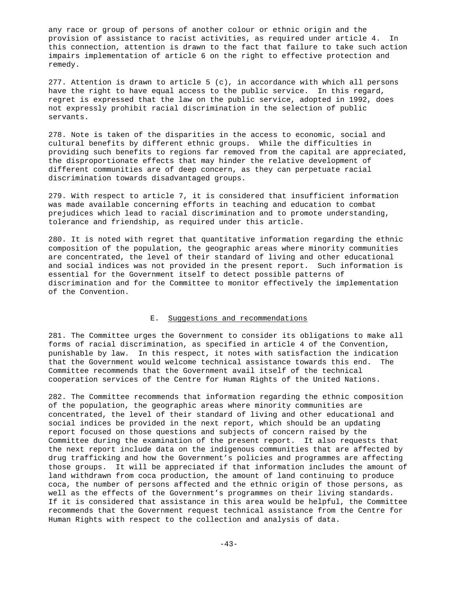any race or group of persons of another colour or ethnic origin and the provision of assistance to racist activities, as required under article 4. In this connection, attention is drawn to the fact that failure to take such action impairs implementation of article 6 on the right to effective protection and remedy.

277. Attention is drawn to article 5 (c), in accordance with which all persons have the right to have equal access to the public service. In this regard, regret is expressed that the law on the public service, adopted in 1992, does not expressly prohibit racial discrimination in the selection of public servants.

278. Note is taken of the disparities in the access to economic, social and cultural benefits by different ethnic groups. While the difficulties in providing such benefits to regions far removed from the capital are appreciated, the disproportionate effects that may hinder the relative development of different communities are of deep concern, as they can perpetuate racial discrimination towards disadvantaged groups.

279. With respect to article 7, it is considered that insufficient information was made available concerning efforts in teaching and education to combat prejudices which lead to racial discrimination and to promote understanding, tolerance and friendship, as required under this article.

280. It is noted with regret that quantitative information regarding the ethnic composition of the population, the geographic areas where minority communities are concentrated, the level of their standard of living and other educational and social indices was not provided in the present report. Such information is essential for the Government itself to detect possible patterns of discrimination and for the Committee to monitor effectively the implementation of the Convention.

### E. Suggestions and recommendations

281. The Committee urges the Government to consider its obligations to make all forms of racial discrimination, as specified in article 4 of the Convention, punishable by law. In this respect, it notes with satisfaction the indication that the Government would welcome technical assistance towards this end. The Committee recommends that the Government avail itself of the technical cooperation services of the Centre for Human Rights of the United Nations.

282. The Committee recommends that information regarding the ethnic composition of the population, the geographic areas where minority communities are concentrated, the level of their standard of living and other educational and social indices be provided in the next report, which should be an updating report focused on those questions and subjects of concern raised by the Committee during the examination of the present report. It also requests that the next report include data on the indigenous communities that are affected by drug trafficking and how the Government's policies and programmes are affecting those groups. It will be appreciated if that information includes the amount of land withdrawn from coca production, the amount of land continuing to produce coca, the number of persons affected and the ethnic origin of those persons, as well as the effects of the Government's programmes on their living standards. If it is considered that assistance in this area would be helpful, the Committee recommends that the Government request technical assistance from the Centre for Human Rights with respect to the collection and analysis of data.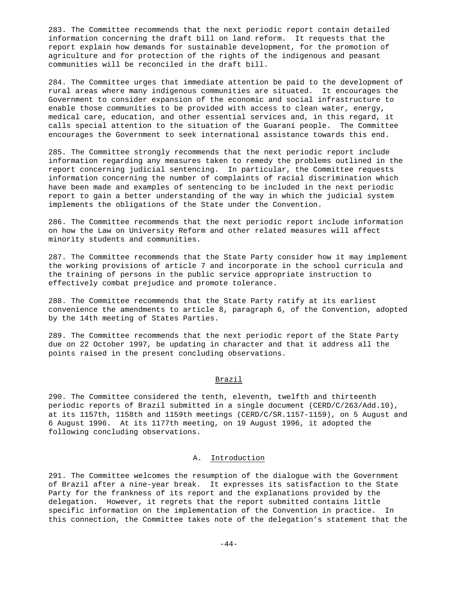283. The Committee recommends that the next periodic report contain detailed information concerning the draft bill on land reform. It requests that the report explain how demands for sustainable development, for the promotion of agriculture and for protection of the rights of the indigenous and peasant communities will be reconciled in the draft bill.

284. The Committee urges that immediate attention be paid to the development of rural areas where many indigenous communities are situated. It encourages the Government to consider expansion of the economic and social infrastructure to enable those communities to be provided with access to clean water, energy, medical care, education, and other essential services and, in this regard, it calls special attention to the situation of the Guaraní people. The Committee encourages the Government to seek international assistance towards this end.

285. The Committee strongly recommends that the next periodic report include information regarding any measures taken to remedy the problems outlined in the report concerning judicial sentencing. In particular, the Committee requests information concerning the number of complaints of racial discrimination which have been made and examples of sentencing to be included in the next periodic report to gain a better understanding of the way in which the judicial system implements the obligations of the State under the Convention.

286. The Committee recommends that the next periodic report include information on how the Law on University Reform and other related measures will affect minority students and communities.

287. The Committee recommends that the State Party consider how it may implement the working provisions of article 7 and incorporate in the school curricula and the training of persons in the public service appropriate instruction to effectively combat prejudice and promote tolerance.

288. The Committee recommends that the State Party ratify at its earliest convenience the amendments to article 8, paragraph 6, of the Convention, adopted by the 14th meeting of States Parties.

289. The Committee recommends that the next periodic report of the State Party due on 22 October 1997, be updating in character and that it address all the points raised in the present concluding observations.

# Brazil

290. The Committee considered the tenth, eleventh, twelfth and thirteenth periodic reports of Brazil submitted in a single document (CERD/C/263/Add.10), at its 1157th, 1158th and 1159th meetings (CERD/C/SR.1157-1159), on 5 August and 6 August 1996. At its 1177th meeting, on 19 August 1996, it adopted the following concluding observations.

#### A. Introduction

291. The Committee welcomes the resumption of the dialogue with the Government of Brazil after a nine-year break. It expresses its satisfaction to the State Party for the frankness of its report and the explanations provided by the delegation. However, it regrets that the report submitted contains little specific information on the implementation of the Convention in practice. In this connection, the Committee takes note of the delegation's statement that the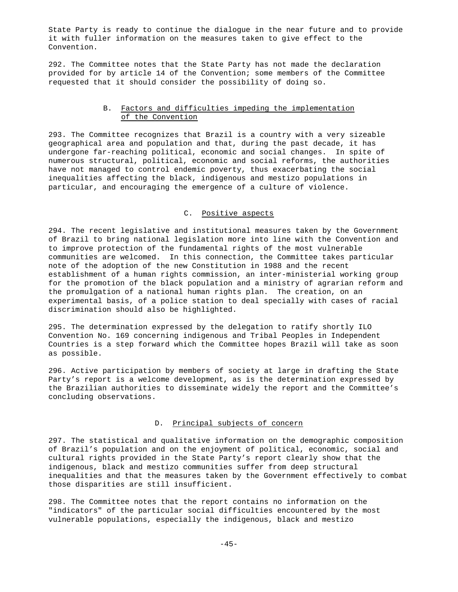State Party is ready to continue the dialogue in the near future and to provide it with fuller information on the measures taken to give effect to the Convention.

292. The Committee notes that the State Party has not made the declaration provided for by article 14 of the Convention; some members of the Committee requested that it should consider the possibility of doing so.

# B. Factors and difficulties impeding the implementation of the Convention

293. The Committee recognizes that Brazil is a country with a very sizeable geographical area and population and that, during the past decade, it has undergone far-reaching political, economic and social changes. In spite of numerous structural, political, economic and social reforms, the authorities have not managed to control endemic poverty, thus exacerbating the social inequalities affecting the black, indigenous and mestizo populations in particular, and encouraging the emergence of a culture of violence.

### C. Positive aspects

294. The recent legislative and institutional measures taken by the Government of Brazil to bring national legislation more into line with the Convention and to improve protection of the fundamental rights of the most vulnerable communities are welcomed. In this connection, the Committee takes particular note of the adoption of the new Constitution in 1988 and the recent establishment of a human rights commission, an inter-ministerial working group for the promotion of the black population and a ministry of agrarian reform and the promulgation of a national human rights plan. The creation, on an experimental basis, of a police station to deal specially with cases of racial discrimination should also be highlighted.

295. The determination expressed by the delegation to ratify shortly ILO Convention No. 169 concerning indigenous and Tribal Peoples in Independent Countries is a step forward which the Committee hopes Brazil will take as soon as possible.

296. Active participation by members of society at large in drafting the State Party's report is a welcome development, as is the determination expressed by the Brazilian authorities to disseminate widely the report and the Committee's concluding observations.

## D. Principal subjects of concern

297. The statistical and qualitative information on the demographic composition of Brazil's population and on the enjoyment of political, economic, social and cultural rights provided in the State Party's report clearly show that the indigenous, black and mestizo communities suffer from deep structural inequalities and that the measures taken by the Government effectively to combat those disparities are still insufficient.

298. The Committee notes that the report contains no information on the "indicators" of the particular social difficulties encountered by the most vulnerable populations, especially the indigenous, black and mestizo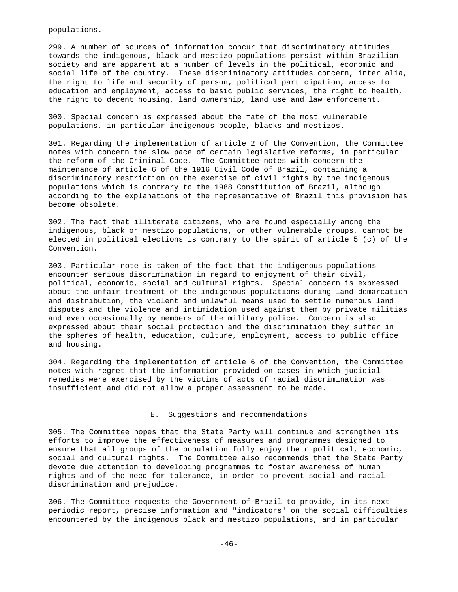populations.

299. A number of sources of information concur that discriminatory attitudes towards the indigenous, black and mestizo populations persist within Brazilian society and are apparent at a number of levels in the political, economic and social life of the country. These discriminatory attitudes concern, inter alia, the right to life and security of person, political participation, access to education and employment, access to basic public services, the right to health, the right to decent housing, land ownership, land use and law enforcement.

300. Special concern is expressed about the fate of the most vulnerable populations, in particular indigenous people, blacks and mestizos.

301. Regarding the implementation of article 2 of the Convention, the Committee notes with concern the slow pace of certain legislative reforms, in particular the reform of the Criminal Code. The Committee notes with concern the maintenance of article 6 of the 1916 Civil Code of Brazil, containing a discriminatory restriction on the exercise of civil rights by the indigenous populations which is contrary to the 1988 Constitution of Brazil, although according to the explanations of the representative of Brazil this provision has become obsolete.

302. The fact that illiterate citizens, who are found especially among the indigenous, black or mestizo populations, or other vulnerable groups, cannot be elected in political elections is contrary to the spirit of article 5 (c) of the Convention.

303. Particular note is taken of the fact that the indigenous populations encounter serious discrimination in regard to enjoyment of their civil, political, economic, social and cultural rights. Special concern is expressed about the unfair treatment of the indigenous populations during land demarcation and distribution, the violent and unlawful means used to settle numerous land disputes and the violence and intimidation used against them by private militias and even occasionally by members of the military police. Concern is also expressed about their social protection and the discrimination they suffer in the spheres of health, education, culture, employment, access to public office and housing.

304. Regarding the implementation of article 6 of the Convention, the Committee notes with regret that the information provided on cases in which judicial remedies were exercised by the victims of acts of racial discrimination was insufficient and did not allow a proper assessment to be made.

### E. Suggestions and recommendations

305. The Committee hopes that the State Party will continue and strengthen its efforts to improve the effectiveness of measures and programmes designed to ensure that all groups of the population fully enjoy their political, economic, social and cultural rights. The Committee also recommends that the State Party devote due attention to developing programmes to foster awareness of human rights and of the need for tolerance, in order to prevent social and racial discrimination and prejudice.

306. The Committee requests the Government of Brazil to provide, in its next periodic report, precise information and "indicators" on the social difficulties encountered by the indigenous black and mestizo populations, and in particular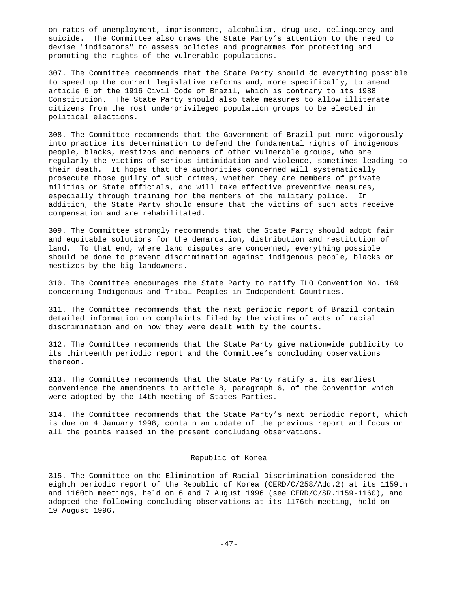on rates of unemployment, imprisonment, alcoholism, drug use, delinquency and suicide. The Committee also draws the State Party's attention to the need to devise "indicators" to assess policies and programmes for protecting and promoting the rights of the vulnerable populations.

307. The Committee recommends that the State Party should do everything possible to speed up the current legislative reforms and, more specifically, to amend article 6 of the 1916 Civil Code of Brazil, which is contrary to its 1988 Constitution. The State Party should also take measures to allow illiterate citizens from the most underprivileged population groups to be elected in political elections.

308. The Committee recommends that the Government of Brazil put more vigorously into practice its determination to defend the fundamental rights of indigenous people, blacks, mestizos and members of other vulnerable groups, who are regularly the victims of serious intimidation and violence, sometimes leading to their death. It hopes that the authorities concerned will systematically prosecute those guilty of such crimes, whether they are members of private militias or State officials, and will take effective preventive measures, especially through training for the members of the military police. In addition, the State Party should ensure that the victims of such acts receive compensation and are rehabilitated.

309. The Committee strongly recommends that the State Party should adopt fair and equitable solutions for the demarcation, distribution and restitution of land. To that end, where land disputes are concerned, everything possible should be done to prevent discrimination against indigenous people, blacks or mestizos by the big landowners.

310. The Committee encourages the State Party to ratify ILO Convention No. 169 concerning Indigenous and Tribal Peoples in Independent Countries.

311. The Committee recommends that the next periodic report of Brazil contain detailed information on complaints filed by the victims of acts of racial discrimination and on how they were dealt with by the courts.

312. The Committee recommends that the State Party give nationwide publicity to its thirteenth periodic report and the Committee's concluding observations thereon.

313. The Committee recommends that the State Party ratify at its earliest convenience the amendments to article 8, paragraph 6, of the Convention which were adopted by the 14th meeting of States Parties.

314. The Committee recommends that the State Party's next periodic report, which is due on 4 January 1998, contain an update of the previous report and focus on all the points raised in the present concluding observations.

# Republic of Korea

315. The Committee on the Elimination of Racial Discrimination considered the eighth periodic report of the Republic of Korea (CERD/C/258/Add.2) at its 1159th and 1160th meetings, held on 6 and 7 August 1996 (see CERD/C/SR.1159-1160), and adopted the following concluding observations at its 1176th meeting, held on 19 August 1996.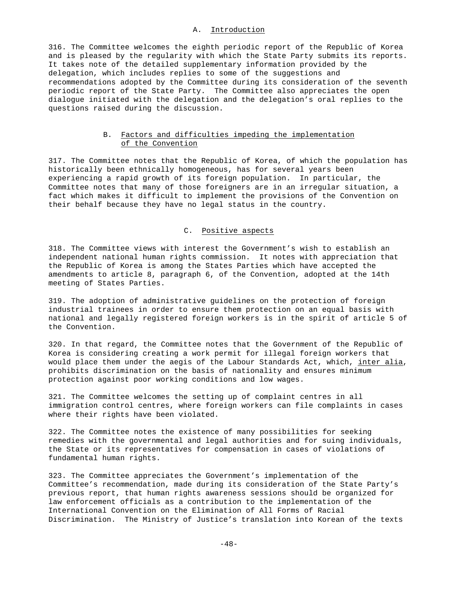# A. Introduction

316. The Committee welcomes the eighth periodic report of the Republic of Korea and is pleased by the regularity with which the State Party submits its reports. It takes note of the detailed supplementary information provided by the delegation, which includes replies to some of the suggestions and recommendations adopted by the Committee during its consideration of the seventh periodic report of the State Party. The Committee also appreciates the open dialogue initiated with the delegation and the delegation's oral replies to the questions raised during the discussion.

# B. Factors and difficulties impeding the implementation of the Convention

317. The Committee notes that the Republic of Korea, of which the population has historically been ethnically homogeneous, has for several years been experiencing a rapid growth of its foreign population. In particular, the Committee notes that many of those foreigners are in an irregular situation, a fact which makes it difficult to implement the provisions of the Convention on their behalf because they have no legal status in the country.

# C. Positive aspects

318. The Committee views with interest the Government's wish to establish an independent national human rights commission. It notes with appreciation that the Republic of Korea is among the States Parties which have accepted the amendments to article 8, paragraph 6, of the Convention, adopted at the 14th meeting of States Parties.

319. The adoption of administrative guidelines on the protection of foreign industrial trainees in order to ensure them protection on an equal basis with national and legally registered foreign workers is in the spirit of article 5 of the Convention.

320. In that regard, the Committee notes that the Government of the Republic of Korea is considering creating a work permit for illegal foreign workers that would place them under the aegis of the Labour Standards Act, which, inter alia, prohibits discrimination on the basis of nationality and ensures minimum protection against poor working conditions and low wages.

321. The Committee welcomes the setting up of complaint centres in all immigration control centres, where foreign workers can file complaints in cases where their rights have been violated.

322. The Committee notes the existence of many possibilities for seeking remedies with the governmental and legal authorities and for suing individuals, the State or its representatives for compensation in cases of violations of fundamental human rights.

323. The Committee appreciates the Government's implementation of the Committee's recommendation, made during its consideration of the State Party's previous report, that human rights awareness sessions should be organized for law enforcement officials as a contribution to the implementation of the International Convention on the Elimination of All Forms of Racial Discrimination. The Ministry of Justice's translation into Korean of the texts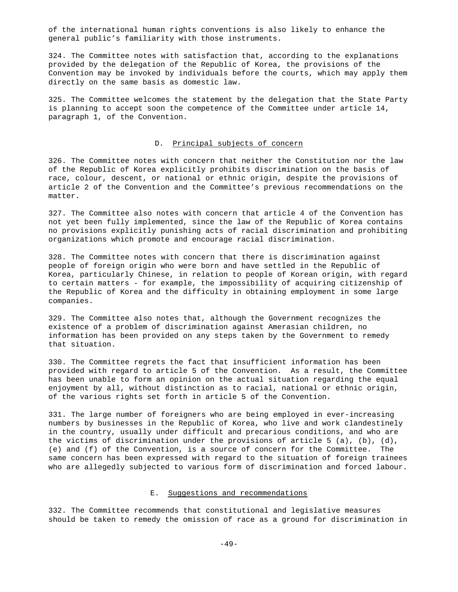of the international human rights conventions is also likely to enhance the general public's familiarity with those instruments.

324. The Committee notes with satisfaction that, according to the explanations provided by the delegation of the Republic of Korea, the provisions of the Convention may be invoked by individuals before the courts, which may apply them directly on the same basis as domestic law.

325. The Committee welcomes the statement by the delegation that the State Party is planning to accept soon the competence of the Committee under article 14, paragraph 1, of the Convention.

### D. Principal subjects of concern

326. The Committee notes with concern that neither the Constitution nor the law of the Republic of Korea explicitly prohibits discrimination on the basis of race, colour, descent, or national or ethnic origin, despite the provisions of article 2 of the Convention and the Committee's previous recommendations on the matter.

327. The Committee also notes with concern that article 4 of the Convention has not yet been fully implemented, since the law of the Republic of Korea contains no provisions explicitly punishing acts of racial discrimination and prohibiting organizations which promote and encourage racial discrimination.

328. The Committee notes with concern that there is discrimination against people of foreign origin who were born and have settled in the Republic of Korea, particularly Chinese, in relation to people of Korean origin, with regard to certain matters - for example, the impossibility of acquiring citizenship of the Republic of Korea and the difficulty in obtaining employment in some large companies.

329. The Committee also notes that, although the Government recognizes the existence of a problem of discrimination against Amerasian children, no information has been provided on any steps taken by the Government to remedy that situation.

330. The Committee regrets the fact that insufficient information has been provided with regard to article 5 of the Convention. As a result, the Committee has been unable to form an opinion on the actual situation regarding the equal enjoyment by all, without distinction as to racial, national or ethnic origin, of the various rights set forth in article 5 of the Convention.

331. The large number of foreigners who are being employed in ever-increasing numbers by businesses in the Republic of Korea, who live and work clandestinely in the country, usually under difficult and precarious conditions, and who are the victims of discrimination under the provisions of article 5 (a), (b), (d), (e) and (f) of the Convention, is a source of concern for the Committee. The same concern has been expressed with regard to the situation of foreign trainees who are allegedly subjected to various form of discrimination and forced labour.

## E. Suggestions and recommendations

332. The Committee recommends that constitutional and legislative measures should be taken to remedy the omission of race as a ground for discrimination in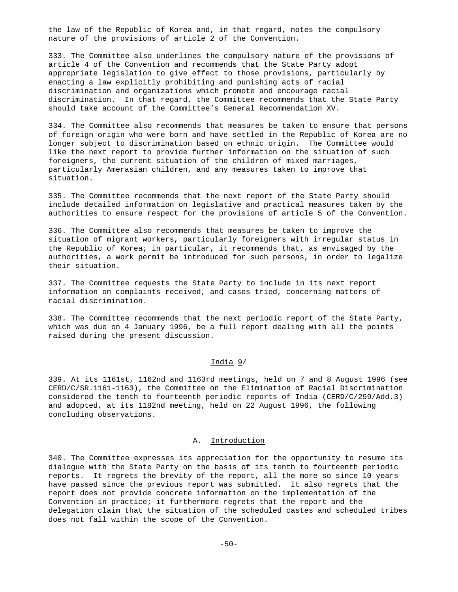the law of the Republic of Korea and, in that regard, notes the compulsory nature of the provisions of article 2 of the Convention.

333. The Committee also underlines the compulsory nature of the provisions of article 4 of the Convention and recommends that the State Party adopt appropriate legislation to give effect to those provisions, particularly by enacting a law explicitly prohibiting and punishing acts of racial discrimination and organizations which promote and encourage racial discrimination. In that regard, the Committee recommends that the State Party should take account of the Committee's General Recommendation XV.

334. The Committee also recommends that measures be taken to ensure that persons of foreign origin who were born and have settled in the Republic of Korea are no longer subject to discrimination based on ethnic origin. The Committee would like the next report to provide further information on the situation of such foreigners, the current situation of the children of mixed marriages, particularly Amerasian children, and any measures taken to improve that situation.

335. The Committee recommends that the next report of the State Party should include detailed information on legislative and practical measures taken by the authorities to ensure respect for the provisions of article 5 of the Convention.

336. The Committee also recommends that measures be taken to improve the situation of migrant workers, particularly foreigners with irregular status in the Republic of Korea; in particular, it recommends that, as envisaged by the authorities, a work permit be introduced for such persons, in order to legalize their situation.

337. The Committee requests the State Party to include in its next report information on complaints received, and cases tried, concerning matters of racial discrimination.

338. The Committee recommends that the next periodic report of the State Party, which was due on 4 January 1996, be a full report dealing with all the points raised during the present discussion.

# India 9/

339. At its 1161st, 1162nd and 1163rd meetings, held on 7 and 8 August 1996 (see CERD/C/SR.1161-1163), the Committee on the Elimination of Racial Discrimination considered the tenth to fourteenth periodic reports of India (CERD/C/299/Add.3) and adopted, at its 1182nd meeting, held on 22 August 1996, the following concluding observations.

## A. Introduction

340. The Committee expresses its appreciation for the opportunity to resume its dialogue with the State Party on the basis of its tenth to fourteenth periodic reports. It regrets the brevity of the report, all the more so since 10 years have passed since the previous report was submitted. It also regrets that the report does not provide concrete information on the implementation of the Convention in practice; it furthermore regrets that the report and the delegation claim that the situation of the scheduled castes and scheduled tribes does not fall within the scope of the Convention.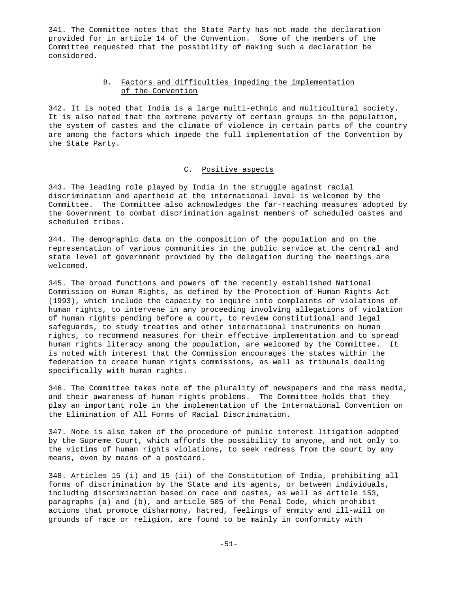341. The Committee notes that the State Party has not made the declaration provided for in article 14 of the Convention. Some of the members of the Committee requested that the possibility of making such a declaration be considered.

# B. Factors and difficulties impeding the implementation of the Convention

342. It is noted that India is a large multi-ethnic and multicultural society. It is also noted that the extreme poverty of certain groups in the population, the system of castes and the climate of violence in certain parts of the country are among the factors which impede the full implementation of the Convention by the State Party.

# C. Positive aspects

343. The leading role played by India in the struggle against racial discrimination and apartheid at the international level is welcomed by the Committee. The Committee also acknowledges the far-reaching measures adopted by the Government to combat discrimination against members of scheduled castes and scheduled tribes.

344. The demographic data on the composition of the population and on the representation of various communities in the public service at the central and state level of government provided by the delegation during the meetings are welcomed.

345. The broad functions and powers of the recently established National Commission on Human Rights, as defined by the Protection of Human Rights Act (1993), which include the capacity to inquire into complaints of violations of human rights, to intervene in any proceeding involving allegations of violation of human rights pending before a court, to review constitutional and legal safeguards, to study treaties and other international instruments on human rights, to recommend measures for their effective implementation and to spread human rights literacy among the population, are welcomed by the Committee. It is noted with interest that the Commission encourages the states within the federation to create human rights commissions, as well as tribunals dealing specifically with human rights.

346. The Committee takes note of the plurality of newspapers and the mass media, and their awareness of human rights problems. The Committee holds that they play an important role in the implementation of the International Convention on the Elimination of All Forms of Racial Discrimination.

347. Note is also taken of the procedure of public interest litigation adopted by the Supreme Court, which affords the possibility to anyone, and not only to the victims of human rights violations, to seek redress from the court by any means, even by means of a postcard.

348. Articles 15 (i) and 15 (ii) of the Constitution of India, prohibiting all forms of discrimination by the State and its agents, or between individuals, including discrimination based on race and castes, as well as article 153, paragraphs (a) and (b), and article 505 of the Penal Code, which prohibit actions that promote disharmony, hatred, feelings of enmity and ill-will on grounds of race or religion, are found to be mainly in conformity with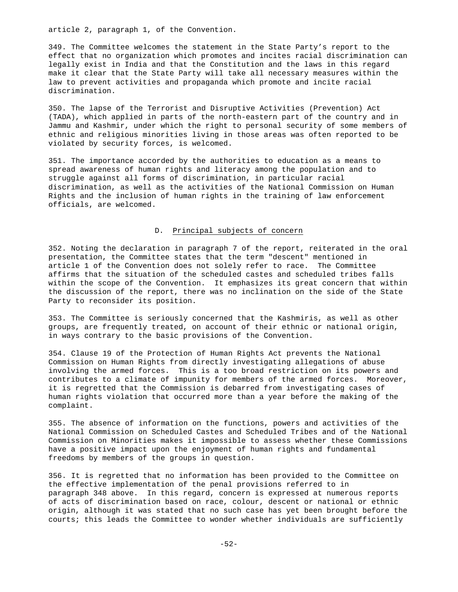article 2, paragraph 1, of the Convention.

349. The Committee welcomes the statement in the State Party's report to the effect that no organization which promotes and incites racial discrimination can legally exist in India and that the Constitution and the laws in this regard make it clear that the State Party will take all necessary measures within the law to prevent activities and propaganda which promote and incite racial discrimination.

350. The lapse of the Terrorist and Disruptive Activities (Prevention) Act (TADA), which applied in parts of the north-eastern part of the country and in Jammu and Kashmir, under which the right to personal security of some members of ethnic and religious minorities living in those areas was often reported to be violated by security forces, is welcomed.

351. The importance accorded by the authorities to education as a means to spread awareness of human rights and literacy among the population and to struggle against all forms of discrimination, in particular racial discrimination, as well as the activities of the National Commission on Human Rights and the inclusion of human rights in the training of law enforcement officials, are welcomed.

### D. Principal subjects of concern

352. Noting the declaration in paragraph 7 of the report, reiterated in the oral presentation, the Committee states that the term "descent" mentioned in article 1 of the Convention does not solely refer to race. The Committee affirms that the situation of the scheduled castes and scheduled tribes falls within the scope of the Convention. It emphasizes its great concern that within the discussion of the report, there was no inclination on the side of the State Party to reconsider its position.

353. The Committee is seriously concerned that the Kashmiris, as well as other groups, are frequently treated, on account of their ethnic or national origin, in ways contrary to the basic provisions of the Convention.

354. Clause 19 of the Protection of Human Rights Act prevents the National Commission on Human Rights from directly investigating allegations of abuse involving the armed forces. This is a too broad restriction on its powers and contributes to a climate of impunity for members of the armed forces. Moreover, it is regretted that the Commission is debarred from investigating cases of human rights violation that occurred more than a year before the making of the complaint.

355. The absence of information on the functions, powers and activities of the National Commission on Scheduled Castes and Scheduled Tribes and of the National Commission on Minorities makes it impossible to assess whether these Commissions have a positive impact upon the enjoyment of human rights and fundamental freedoms by members of the groups in question.

356. It is regretted that no information has been provided to the Committee on the effective implementation of the penal provisions referred to in paragraph 348 above. In this regard, concern is expressed at numerous reports of acts of discrimination based on race, colour, descent or national or ethnic origin, although it was stated that no such case has yet been brought before the courts; this leads the Committee to wonder whether individuals are sufficiently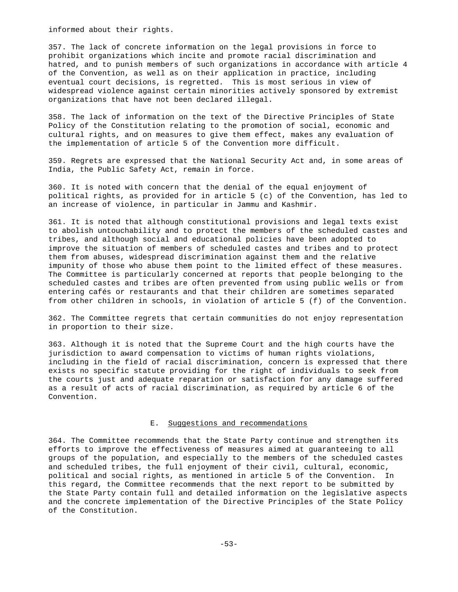informed about their rights.

357. The lack of concrete information on the legal provisions in force to prohibit organizations which incite and promote racial discrimination and hatred, and to punish members of such organizations in accordance with article 4 of the Convention, as well as on their application in practice, including eventual court decisions, is regretted. This is most serious in view of widespread violence against certain minorities actively sponsored by extremist organizations that have not been declared illegal.

358. The lack of information on the text of the Directive Principles of State Policy of the Constitution relating to the promotion of social, economic and cultural rights, and on measures to give them effect, makes any evaluation of the implementation of article 5 of the Convention more difficult.

359. Regrets are expressed that the National Security Act and, in some areas of India, the Public Safety Act, remain in force.

360. It is noted with concern that the denial of the equal enjoyment of political rights, as provided for in article 5 (c) of the Convention, has led to an increase of violence, in particular in Jammu and Kashmir.

361. It is noted that although constitutional provisions and legal texts exist to abolish untouchability and to protect the members of the scheduled castes and tribes, and although social and educational policies have been adopted to improve the situation of members of scheduled castes and tribes and to protect them from abuses, widespread discrimination against them and the relative impunity of those who abuse them point to the limited effect of these measures. The Committee is particularly concerned at reports that people belonging to the scheduled castes and tribes are often prevented from using public wells or from entering cafés or restaurants and that their children are sometimes separated from other children in schools, in violation of article 5 (f) of the Convention.

362. The Committee regrets that certain communities do not enjoy representation in proportion to their size.

363. Although it is noted that the Supreme Court and the high courts have the jurisdiction to award compensation to victims of human rights violations, including in the field of racial discrimination, concern is expressed that there exists no specific statute providing for the right of individuals to seek from the courts just and adequate reparation or satisfaction for any damage suffered as a result of acts of racial discrimination, as required by article 6 of the Convention.

#### E. Suggestions and recommendations

364. The Committee recommends that the State Party continue and strengthen its efforts to improve the effectiveness of measures aimed at guaranteeing to all groups of the population, and especially to the members of the scheduled castes and scheduled tribes, the full enjoyment of their civil, cultural, economic, political and social rights, as mentioned in article 5 of the Convention. In this regard, the Committee recommends that the next report to be submitted by the State Party contain full and detailed information on the legislative aspects and the concrete implementation of the Directive Principles of the State Policy of the Constitution.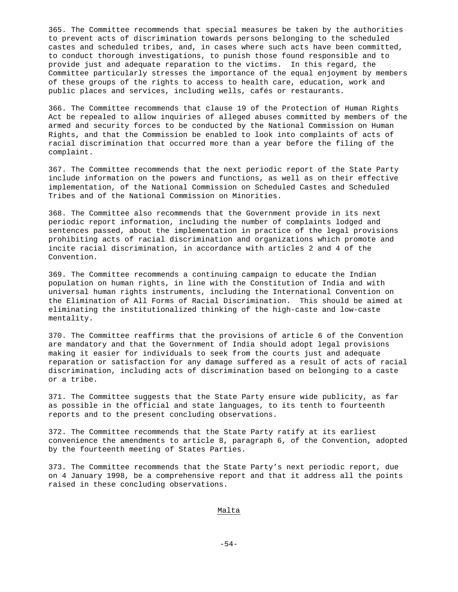365. The Committee recommends that special measures be taken by the authorities to prevent acts of discrimination towards persons belonging to the scheduled castes and scheduled tribes, and, in cases where such acts have been committed, to conduct thorough investigations, to punish those found responsible and to provide just and adequate reparation to the victims. In this regard, the Committee particularly stresses the importance of the equal enjoyment by members of these groups of the rights to access to health care, education, work and public places and services, including wells, cafés or restaurants.

366. The Committee recommends that clause 19 of the Protection of Human Rights Act be repealed to allow inquiries of alleged abuses committed by members of the armed and security forces to be conducted by the National Commission on Human Rights, and that the Commission be enabled to look into complaints of acts of racial discrimination that occurred more than a year before the filing of the complaint.

367. The Committee recommends that the next periodic report of the State Party include information on the powers and functions, as well as on their effective implementation, of the National Commission on Scheduled Castes and Scheduled Tribes and of the National Commission on Minorities.

368. The Committee also recommends that the Government provide in its next periodic report information, including the number of complaints lodged and sentences passed, about the implementation in practice of the legal provisions prohibiting acts of racial discrimination and organizations which promote and incite racial discrimination, in accordance with articles 2 and 4 of the Convention.

369. The Committee recommends a continuing campaign to educate the Indian population on human rights, in line with the Constitution of India and with universal human rights instruments, including the International Convention on the Elimination of All Forms of Racial Discrimination. This should be aimed at eliminating the institutionalized thinking of the high-caste and low-caste mentality.

370. The Committee reaffirms that the provisions of article 6 of the Convention are mandatory and that the Government of India should adopt legal provisions making it easier for individuals to seek from the courts just and adequate reparation or satisfaction for any damage suffered as a result of acts of racial discrimination, including acts of discrimination based on belonging to a caste or a tribe.

371. The Committee suggests that the State Party ensure wide publicity, as far as possible in the official and state languages, to its tenth to fourteenth reports and to the present concluding observations.

372. The Committee recommends that the State Party ratify at its earliest convenience the amendments to article 8, paragraph 6, of the Convention, adopted by the fourteenth meeting of States Parties.

373. The Committee recommends that the State Party's next periodic report, due on 4 January 1998, be a comprehensive report and that it address all the points raised in these concluding observations.

# Malta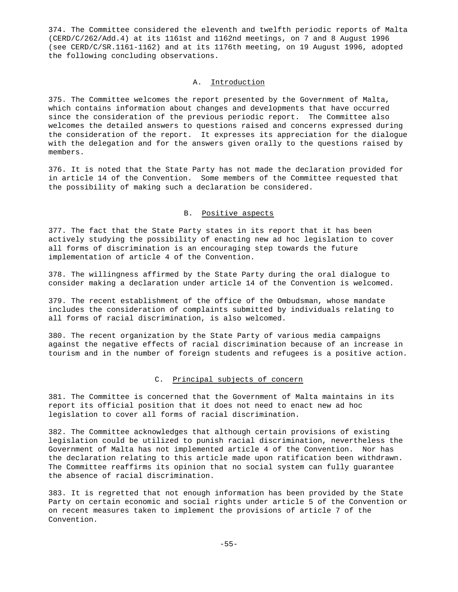374. The Committee considered the eleventh and twelfth periodic reports of Malta (CERD/C/262/Add.4) at its 1161st and 1162nd meetings, on 7 and 8 August 1996 (see CERD/C/SR.1161-1162) and at its 1176th meeting, on 19 August 1996, adopted the following concluding observations.

## A. Introduction

375. The Committee welcomes the report presented by the Government of Malta, which contains information about changes and developments that have occurred since the consideration of the previous periodic report. The Committee also welcomes the detailed answers to questions raised and concerns expressed during the consideration of the report. It expresses its appreciation for the dialogue with the delegation and for the answers given orally to the questions raised by members.

376. It is noted that the State Party has not made the declaration provided for in article 14 of the Convention. Some members of the Committee requested that the possibility of making such a declaration be considered.

## B. Positive aspects

377. The fact that the State Party states in its report that it has been actively studying the possibility of enacting new ad hoc legislation to cover all forms of discrimination is an encouraging step towards the future implementation of article 4 of the Convention.

378. The willingness affirmed by the State Party during the oral dialogue to consider making a declaration under article 14 of the Convention is welcomed.

379. The recent establishment of the office of the Ombudsman, whose mandate includes the consideration of complaints submitted by individuals relating to all forms of racial discrimination, is also welcomed.

380. The recent organization by the State Party of various media campaigns against the negative effects of racial discrimination because of an increase in tourism and in the number of foreign students and refugees is a positive action.

# C. Principal subjects of concern

381. The Committee is concerned that the Government of Malta maintains in its report its official position that it does not need to enact new ad hoc legislation to cover all forms of racial discrimination.

382. The Committee acknowledges that although certain provisions of existing legislation could be utilized to punish racial discrimination, nevertheless the Government of Malta has not implemented article 4 of the Convention. Nor has the declaration relating to this article made upon ratification been withdrawn. The Committee reaffirms its opinion that no social system can fully guarantee the absence of racial discrimination.

383. It is regretted that not enough information has been provided by the State Party on certain economic and social rights under article 5 of the Convention or on recent measures taken to implement the provisions of article 7 of the Convention.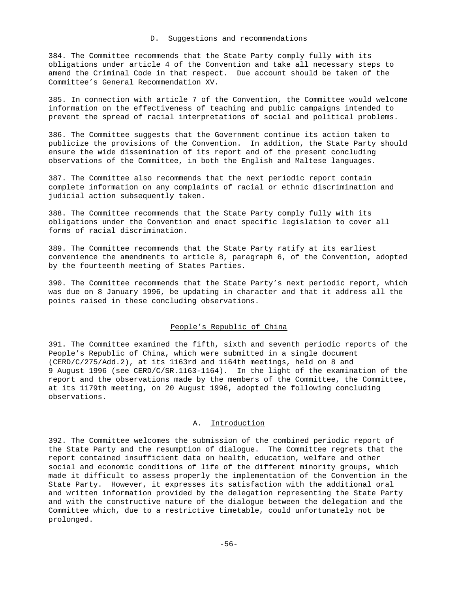#### D. Suggestions and recommendations

384. The Committee recommends that the State Party comply fully with its obligations under article 4 of the Convention and take all necessary steps to amend the Criminal Code in that respect. Due account should be taken of the Committee's General Recommendation XV.

385. In connection with article 7 of the Convention, the Committee would welcome information on the effectiveness of teaching and public campaigns intended to prevent the spread of racial interpretations of social and political problems.

386. The Committee suggests that the Government continue its action taken to publicize the provisions of the Convention. In addition, the State Party should ensure the wide dissemination of its report and of the present concluding observations of the Committee, in both the English and Maltese languages.

387. The Committee also recommends that the next periodic report contain complete information on any complaints of racial or ethnic discrimination and judicial action subsequently taken.

388. The Committee recommends that the State Party comply fully with its obligations under the Convention and enact specific legislation to cover all forms of racial discrimination.

389. The Committee recommends that the State Party ratify at its earliest convenience the amendments to article 8, paragraph 6, of the Convention, adopted by the fourteenth meeting of States Parties.

390. The Committee recommends that the State Party's next periodic report, which was due on 8 January 1996, be updating in character and that it address all the points raised in these concluding observations.

### People's Republic of China

391. The Committee examined the fifth, sixth and seventh periodic reports of the People's Republic of China, which were submitted in a single document (CERD/C/275/Add.2), at its 1163rd and 1164th meetings, held on 8 and 9 August 1996 (see CERD/C/SR.1163-1164). In the light of the examination of the report and the observations made by the members of the Committee, the Committee, at its 1179th meeting, on 20 August 1996, adopted the following concluding observations.

## A. Introduction

392. The Committee welcomes the submission of the combined periodic report of the State Party and the resumption of dialogue. The Committee regrets that the report contained insufficient data on health, education, welfare and other social and economic conditions of life of the different minority groups, which made it difficult to assess properly the implementation of the Convention in the State Party. However, it expresses its satisfaction with the additional oral and written information provided by the delegation representing the State Party and with the constructive nature of the dialogue between the delegation and the Committee which, due to a restrictive timetable, could unfortunately not be prolonged.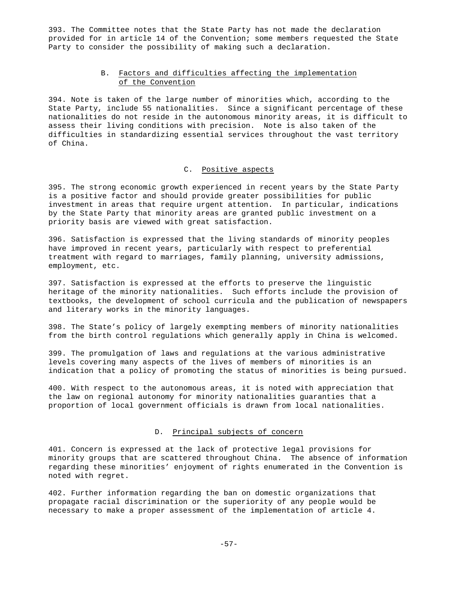393. The Committee notes that the State Party has not made the declaration provided for in article 14 of the Convention; some members requested the State Party to consider the possibility of making such a declaration.

# B. Factors and difficulties affecting the implementation of the Convention

394. Note is taken of the large number of minorities which, according to the State Party, include 55 nationalities. Since a significant percentage of these nationalities do not reside in the autonomous minority areas, it is difficult to assess their living conditions with precision. Note is also taken of the difficulties in standardizing essential services throughout the vast territory of China.

# C. Positive aspects

395. The strong economic growth experienced in recent years by the State Party is a positive factor and should provide greater possibilities for public investment in areas that require urgent attention. In particular, indications by the State Party that minority areas are granted public investment on a priority basis are viewed with great satisfaction.

396. Satisfaction is expressed that the living standards of minority peoples have improved in recent years, particularly with respect to preferential treatment with regard to marriages, family planning, university admissions, employment, etc.

397. Satisfaction is expressed at the efforts to preserve the linguistic heritage of the minority nationalities. Such efforts include the provision of textbooks, the development of school curricula and the publication of newspapers and literary works in the minority languages.

398. The State's policy of largely exempting members of minority nationalities from the birth control regulations which generally apply in China is welcomed.

399. The promulgation of laws and regulations at the various administrative levels covering many aspects of the lives of members of minorities is an indication that a policy of promoting the status of minorities is being pursued.

400. With respect to the autonomous areas, it is noted with appreciation that the law on regional autonomy for minority nationalities guaranties that a proportion of local government officials is drawn from local nationalities.

## D. Principal subjects of concern

401. Concern is expressed at the lack of protective legal provisions for minority groups that are scattered throughout China. The absence of information regarding these minorities' enjoyment of rights enumerated in the Convention is noted with regret.

402. Further information regarding the ban on domestic organizations that propagate racial discrimination or the superiority of any people would be necessary to make a proper assessment of the implementation of article 4.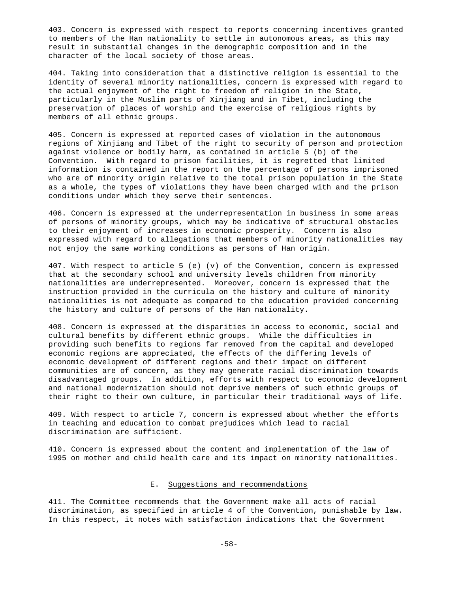403. Concern is expressed with respect to reports concerning incentives granted to members of the Han nationality to settle in autonomous areas, as this may result in substantial changes in the demographic composition and in the character of the local society of those areas.

404. Taking into consideration that a distinctive religion is essential to the identity of several minority nationalities, concern is expressed with regard to the actual enjoyment of the right to freedom of religion in the State, particularly in the Muslim parts of Xinjiang and in Tibet, including the preservation of places of worship and the exercise of religious rights by members of all ethnic groups.

405. Concern is expressed at reported cases of violation in the autonomous regions of Xinjiang and Tibet of the right to security of person and protection against violence or bodily harm, as contained in article 5 (b) of the Convention. With regard to prison facilities, it is regretted that limited information is contained in the report on the percentage of persons imprisoned who are of minority origin relative to the total prison population in the State as a whole, the types of violations they have been charged with and the prison conditions under which they serve their sentences.

406. Concern is expressed at the underrepresentation in business in some areas of persons of minority groups, which may be indicative of structural obstacles to their enjoyment of increases in economic prosperity. Concern is also expressed with regard to allegations that members of minority nationalities may not enjoy the same working conditions as persons of Han origin.

407. With respect to article 5 (e) (v) of the Convention, concern is expressed that at the secondary school and university levels children from minority nationalities are underrepresented. Moreover, concern is expressed that the instruction provided in the curricula on the history and culture of minority nationalities is not adequate as compared to the education provided concerning the history and culture of persons of the Han nationality.

408. Concern is expressed at the disparities in access to economic, social and cultural benefits by different ethnic groups. While the difficulties in providing such benefits to regions far removed from the capital and developed economic regions are appreciated, the effects of the differing levels of economic development of different regions and their impact on different communities are of concern, as they may generate racial discrimination towards disadvantaged groups. In addition, efforts with respect to economic development and national modernization should not deprive members of such ethnic groups of their right to their own culture, in particular their traditional ways of life.

409. With respect to article 7, concern is expressed about whether the efforts in teaching and education to combat prejudices which lead to racial discrimination are sufficient.

410. Concern is expressed about the content and implementation of the law of 1995 on mother and child health care and its impact on minority nationalities.

## E. Suggestions and recommendations

411. The Committee recommends that the Government make all acts of racial discrimination, as specified in article 4 of the Convention, punishable by law. In this respect, it notes with satisfaction indications that the Government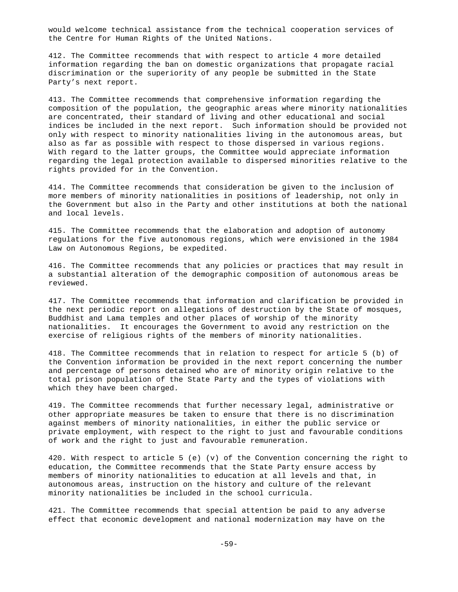would welcome technical assistance from the technical cooperation services of the Centre for Human Rights of the United Nations.

412. The Committee recommends that with respect to article 4 more detailed information regarding the ban on domestic organizations that propagate racial discrimination or the superiority of any people be submitted in the State Party's next report.

413. The Committee recommends that comprehensive information regarding the composition of the population, the geographic areas where minority nationalities are concentrated, their standard of living and other educational and social indices be included in the next report. Such information should be provided not only with respect to minority nationalities living in the autonomous areas, but also as far as possible with respect to those dispersed in various regions. With regard to the latter groups, the Committee would appreciate information regarding the legal protection available to dispersed minorities relative to the rights provided for in the Convention.

414. The Committee recommends that consideration be given to the inclusion of more members of minority nationalities in positions of leadership, not only in the Government but also in the Party and other institutions at both the national and local levels.

415. The Committee recommends that the elaboration and adoption of autonomy regulations for the five autonomous regions, which were envisioned in the 1984 Law on Autonomous Regions, be expedited.

416. The Committee recommends that any policies or practices that may result in a substantial alteration of the demographic composition of autonomous areas be reviewed.

417. The Committee recommends that information and clarification be provided in the next periodic report on allegations of destruction by the State of mosques, Buddhist and Lama temples and other places of worship of the minority nationalities. It encourages the Government to avoid any restriction on the exercise of religious rights of the members of minority nationalities.

418. The Committee recommends that in relation to respect for article 5 (b) of the Convention information be provided in the next report concerning the number and percentage of persons detained who are of minority origin relative to the total prison population of the State Party and the types of violations with which they have been charged.

419. The Committee recommends that further necessary legal, administrative or other appropriate measures be taken to ensure that there is no discrimination against members of minority nationalities, in either the public service or private employment, with respect to the right to just and favourable conditions of work and the right to just and favourable remuneration.

420. With respect to article 5 (e) (v) of the Convention concerning the right to education, the Committee recommends that the State Party ensure access by members of minority nationalities to education at all levels and that, in autonomous areas, instruction on the history and culture of the relevant minority nationalities be included in the school curricula.

421. The Committee recommends that special attention be paid to any adverse effect that economic development and national modernization may have on the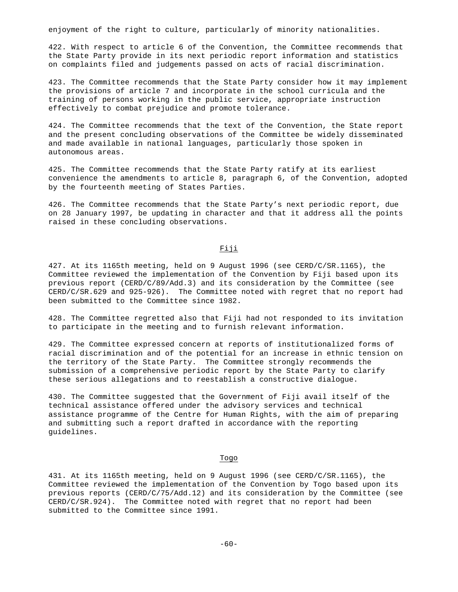enjoyment of the right to culture, particularly of minority nationalities.

422. With respect to article 6 of the Convention, the Committee recommends that the State Party provide in its next periodic report information and statistics on complaints filed and judgements passed on acts of racial discrimination.

423. The Committee recommends that the State Party consider how it may implement the provisions of article 7 and incorporate in the school curricula and the training of persons working in the public service, appropriate instruction effectively to combat prejudice and promote tolerance.

424. The Committee recommends that the text of the Convention, the State report and the present concluding observations of the Committee be widely disseminated and made available in national languages, particularly those spoken in autonomous areas.

425. The Committee recommends that the State Party ratify at its earliest convenience the amendments to article 8, paragraph 6, of the Convention, adopted by the fourteenth meeting of States Parties.

426. The Committee recommends that the State Party's next periodic report, due on 28 January 1997, be updating in character and that it address all the points raised in these concluding observations.

### Fiji

427. At its 1165th meeting, held on 9 August 1996 (see CERD/C/SR.1165), the Committee reviewed the implementation of the Convention by Fiji based upon its previous report (CERD/C/89/Add.3) and its consideration by the Committee (see CERD/C/SR.629 and 925-926). The Committee noted with regret that no report had been submitted to the Committee since 1982.

428. The Committee regretted also that Fiji had not responded to its invitation to participate in the meeting and to furnish relevant information.

429. The Committee expressed concern at reports of institutionalized forms of racial discrimination and of the potential for an increase in ethnic tension on the territory of the State Party. The Committee strongly recommends the submission of a comprehensive periodic report by the State Party to clarify these serious allegations and to reestablish a constructive dialogue.

430. The Committee suggested that the Government of Fiji avail itself of the technical assistance offered under the advisory services and technical assistance programme of the Centre for Human Rights, with the aim of preparing and submitting such a report drafted in accordance with the reporting guidelines.

#### Togo

431. At its 1165th meeting, held on 9 August 1996 (see CERD/C/SR.1165), the Committee reviewed the implementation of the Convention by Togo based upon its previous reports (CERD/C/75/Add.12) and its consideration by the Committee (see CERD/C/SR.924). The Committee noted with regret that no report had been submitted to the Committee since 1991.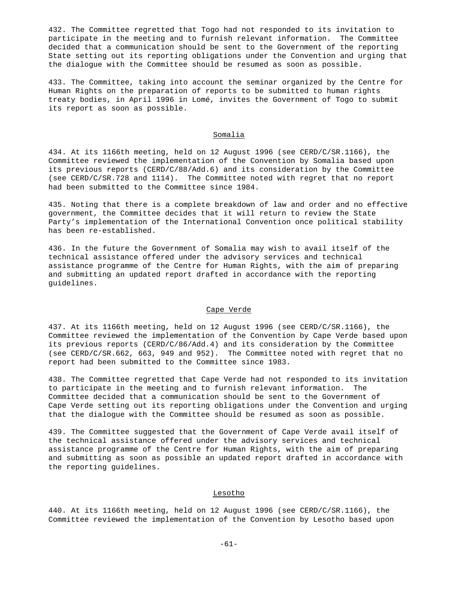432. The Committee regretted that Togo had not responded to its invitation to participate in the meeting and to furnish relevant information. The Committee decided that a communication should be sent to the Government of the reporting State setting out its reporting obligations under the Convention and urging that the dialogue with the Committee should be resumed as soon as possible.

433. The Committee, taking into account the seminar organized by the Centre for Human Rights on the preparation of reports to be submitted to human rights treaty bodies, in April 1996 in Lomé, invites the Government of Togo to submit its report as soon as possible.

# Somalia

434. At its 1166th meeting, held on 12 August 1996 (see CERD/C/SR.1166), the Committee reviewed the implementation of the Convention by Somalia based upon its previous reports (CERD/C/88/Add.6) and its consideration by the Committee (see CERD/C/SR.728 and 1114). The Committee noted with regret that no report had been submitted to the Committee since 1984.

435. Noting that there is a complete breakdown of law and order and no effective government, the Committee decides that it will return to review the State Party's implementation of the International Convention once political stability has been re-established.

436. In the future the Government of Somalia may wish to avail itself of the technical assistance offered under the advisory services and technical assistance programme of the Centre for Human Rights, with the aim of preparing and submitting an updated report drafted in accordance with the reporting guidelines.

#### Cape Verde

437. At its 1166th meeting, held on 12 August 1996 (see CERD/C/SR.1166), the Committee reviewed the implementation of the Convention by Cape Verde based upon its previous reports (CERD/C/86/Add.4) and its consideration by the Committee (see CERD/C/SR.662, 663, 949 and 952). The Committee noted with regret that no report had been submitted to the Committee since 1983.

438. The Committee regretted that Cape Verde had not responded to its invitation to participate in the meeting and to furnish relevant information. The Committee decided that a communication should be sent to the Government of Cape Verde setting out its reporting obligations under the Convention and urging that the dialogue with the Committee should be resumed as soon as possible.

439. The Committee suggested that the Government of Cape Verde avail itself of the technical assistance offered under the advisory services and technical assistance programme of the Centre for Human Rights, with the aim of preparing and submitting as soon as possible an updated report drafted in accordance with the reporting guidelines.

# Lesotho

440. At its 1166th meeting, held on 12 August 1996 (see CERD/C/SR.1166), the Committee reviewed the implementation of the Convention by Lesotho based upon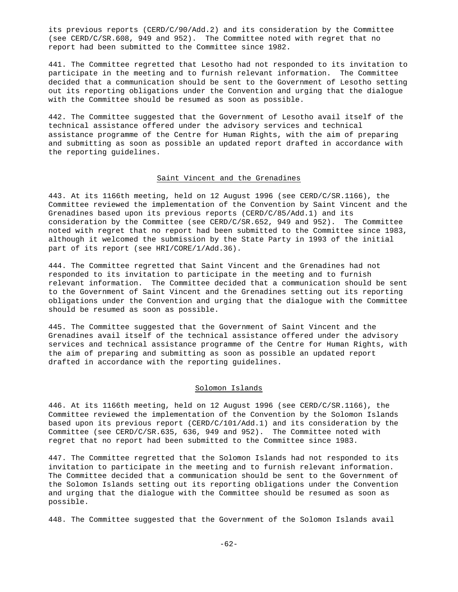its previous reports (CERD/C/90/Add.2) and its consideration by the Committee (see CERD/C/SR.608, 949 and 952). The Committee noted with regret that no report had been submitted to the Committee since 1982.

441. The Committee regretted that Lesotho had not responded to its invitation to participate in the meeting and to furnish relevant information. The Committee decided that a communication should be sent to the Government of Lesotho setting out its reporting obligations under the Convention and urging that the dialogue with the Committee should be resumed as soon as possible.

442. The Committee suggested that the Government of Lesotho avail itself of the technical assistance offered under the advisory services and technical assistance programme of the Centre for Human Rights, with the aim of preparing and submitting as soon as possible an updated report drafted in accordance with the reporting guidelines.

### Saint Vincent and the Grenadines

443. At its 1166th meeting, held on 12 August 1996 (see CERD/C/SR.1166), the Committee reviewed the implementation of the Convention by Saint Vincent and the Grenadines based upon its previous reports (CERD/C/85/Add.1) and its consideration by the Committee (see CERD/C/SR.652, 949 and 952). The Committee noted with regret that no report had been submitted to the Committee since 1983, although it welcomed the submission by the State Party in 1993 of the initial part of its report (see HRI/CORE/1/Add.36).

444. The Committee regretted that Saint Vincent and the Grenadines had not responded to its invitation to participate in the meeting and to furnish relevant information. The Committee decided that a communication should be sent to the Government of Saint Vincent and the Grenadines setting out its reporting obligations under the Convention and urging that the dialogue with the Committee should be resumed as soon as possible.

445. The Committee suggested that the Government of Saint Vincent and the Grenadines avail itself of the technical assistance offered under the advisory services and technical assistance programme of the Centre for Human Rights, with the aim of preparing and submitting as soon as possible an updated report drafted in accordance with the reporting guidelines.

#### Solomon Islands

446. At its 1166th meeting, held on 12 August 1996 (see CERD/C/SR.1166), the Committee reviewed the implementation of the Convention by the Solomon Islands based upon its previous report (CERD/C/101/Add.1) and its consideration by the Committee (see CERD/C/SR.635, 636, 949 and 952). The Committee noted with regret that no report had been submitted to the Committee since 1983.

447. The Committee regretted that the Solomon Islands had not responded to its invitation to participate in the meeting and to furnish relevant information. The Committee decided that a communication should be sent to the Government of the Solomon Islands setting out its reporting obligations under the Convention and urging that the dialogue with the Committee should be resumed as soon as possible.

448. The Committee suggested that the Government of the Solomon Islands avail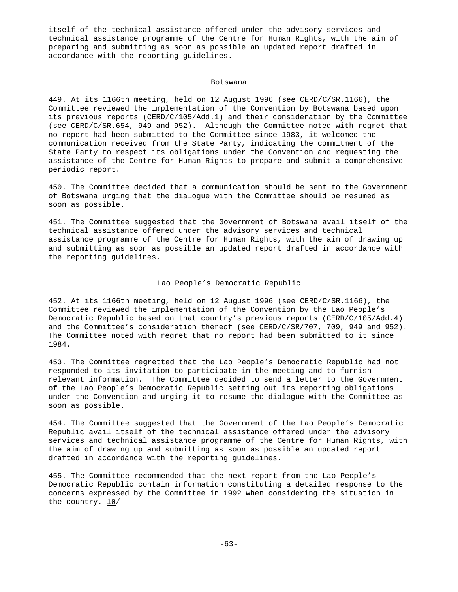itself of the technical assistance offered under the advisory services and technical assistance programme of the Centre for Human Rights, with the aim of preparing and submitting as soon as possible an updated report drafted in accordance with the reporting guidelines.

#### Botswana

449. At its 1166th meeting, held on 12 August 1996 (see CERD/C/SR.1166), the Committee reviewed the implementation of the Convention by Botswana based upon its previous reports (CERD/C/105/Add.1) and their consideration by the Committee (see CERD/C/SR.654, 949 and 952). Although the Committee noted with regret that no report had been submitted to the Committee since 1983, it welcomed the communication received from the State Party, indicating the commitment of the State Party to respect its obligations under the Convention and requesting the assistance of the Centre for Human Rights to prepare and submit a comprehensive periodic report.

450. The Committee decided that a communication should be sent to the Government of Botswana urging that the dialogue with the Committee should be resumed as soon as possible.

451. The Committee suggested that the Government of Botswana avail itself of the technical assistance offered under the advisory services and technical assistance programme of the Centre for Human Rights, with the aim of drawing up and submitting as soon as possible an updated report drafted in accordance with the reporting guidelines.

## Lao People's Democratic Republic

452. At its 1166th meeting, held on 12 August 1996 (see CERD/C/SR.1166), the Committee reviewed the implementation of the Convention by the Lao People's Democratic Republic based on that country's previous reports (CERD/C/105/Add.4) and the Committee's consideration thereof (see CERD/C/SR/707, 709, 949 and 952). The Committee noted with regret that no report had been submitted to it since 1984.

453. The Committee regretted that the Lao People's Democratic Republic had not responded to its invitation to participate in the meeting and to furnish relevant information. The Committee decided to send a letter to the Government of the Lao People's Democratic Republic setting out its reporting obligations under the Convention and urging it to resume the dialogue with the Committee as soon as possible.

454. The Committee suggested that the Government of the Lao People's Democratic Republic avail itself of the technical assistance offered under the advisory services and technical assistance programme of the Centre for Human Rights, with the aim of drawing up and submitting as soon as possible an updated report drafted in accordance with the reporting guidelines.

455. The Committee recommended that the next report from the Lao People's Democratic Republic contain information constituting a detailed response to the concerns expressed by the Committee in 1992 when considering the situation in the country. 10/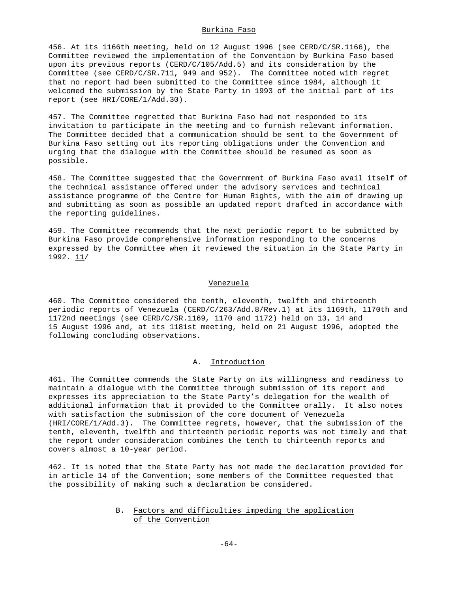#### Burkina Faso

456. At its 1166th meeting, held on 12 August 1996 (see CERD/C/SR.1166), the Committee reviewed the implementation of the Convention by Burkina Faso based upon its previous reports (CERD/C/105/Add.5) and its consideration by the Committee (see CERD/C/SR.711, 949 and 952). The Committee noted with regret that no report had been submitted to the Committee since 1984, although it welcomed the submission by the State Party in 1993 of the initial part of its report (see HRI/CORE/1/Add.30).

457. The Committee regretted that Burkina Faso had not responded to its invitation to participate in the meeting and to furnish relevant information. The Committee decided that a communication should be sent to the Government of Burkina Faso setting out its reporting obligations under the Convention and urging that the dialogue with the Committee should be resumed as soon as possible.

458. The Committee suggested that the Government of Burkina Faso avail itself of the technical assistance offered under the advisory services and technical assistance programme of the Centre for Human Rights, with the aim of drawing up and submitting as soon as possible an updated report drafted in accordance with the reporting guidelines.

459. The Committee recommends that the next periodic report to be submitted by Burkina Faso provide comprehensive information responding to the concerns expressed by the Committee when it reviewed the situation in the State Party in 1992.  $11$ 

#### Venezuela

460. The Committee considered the tenth, eleventh, twelfth and thirteenth periodic reports of Venezuela (CERD/C/263/Add.8/Rev.1) at its 1169th, 1170th and 1172nd meetings (see CERD/C/SR.1169, 1170 and 1172) held on 13, 14 and 15 August 1996 and, at its 1181st meeting, held on 21 August 1996, adopted the following concluding observations.

#### A. Introduction

461. The Committee commends the State Party on its willingness and readiness to maintain a dialogue with the Committee through submission of its report and expresses its appreciation to the State Party's delegation for the wealth of additional information that it provided to the Committee orally. It also notes with satisfaction the submission of the core document of Venezuela (HRI/CORE/1/Add.3). The Committee regrets, however, that the submission of the tenth, eleventh, twelfth and thirteenth periodic reports was not timely and that the report under consideration combines the tenth to thirteenth reports and covers almost a 10-year period.

462. It is noted that the State Party has not made the declaration provided for in article 14 of the Convention; some members of the Committee requested that the possibility of making such a declaration be considered.

# B. Factors and difficulties impeding the application of the Convention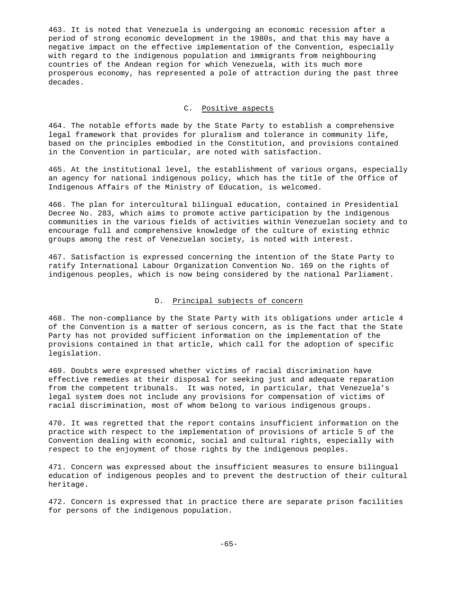463. It is noted that Venezuela is undergoing an economic recession after a period of strong economic development in the 1980s, and that this may have a negative impact on the effective implementation of the Convention, especially with regard to the indigenous population and immigrants from neighbouring countries of the Andean region for which Venezuela, with its much more prosperous economy, has represented a pole of attraction during the past three decades.

#### C. Positive aspects

464. The notable efforts made by the State Party to establish a comprehensive legal framework that provides for pluralism and tolerance in community life, based on the principles embodied in the Constitution, and provisions contained in the Convention in particular, are noted with satisfaction.

465. At the institutional level, the establishment of various organs, especially an agency for national indigenous policy, which has the title of the Office of Indigenous Affairs of the Ministry of Education, is welcomed.

466. The plan for intercultural bilingual education, contained in Presidential Decree No. 283, which aims to promote active participation by the indigenous communities in the various fields of activities within Venezuelan society and to encourage full and comprehensive knowledge of the culture of existing ethnic groups among the rest of Venezuelan society, is noted with interest.

467. Satisfaction is expressed concerning the intention of the State Party to ratify International Labour Organization Convention No. 169 on the rights of indigenous peoples, which is now being considered by the national Parliament.

# D. Principal subjects of concern

468. The non-compliance by the State Party with its obligations under article 4 of the Convention is a matter of serious concern, as is the fact that the State Party has not provided sufficient information on the implementation of the provisions contained in that article, which call for the adoption of specific legislation.

469. Doubts were expressed whether victims of racial discrimination have effective remedies at their disposal for seeking just and adequate reparation from the competent tribunals. It was noted, in particular, that Venezuela's legal system does not include any provisions for compensation of victims of racial discrimination, most of whom belong to various indigenous groups.

470. It was regretted that the report contains insufficient information on the practice with respect to the implementation of provisions of article 5 of the Convention dealing with economic, social and cultural rights, especially with respect to the enjoyment of those rights by the indigenous peoples.

471. Concern was expressed about the insufficient measures to ensure bilingual education of indigenous peoples and to prevent the destruction of their cultural heritage.

472. Concern is expressed that in practice there are separate prison facilities for persons of the indigenous population.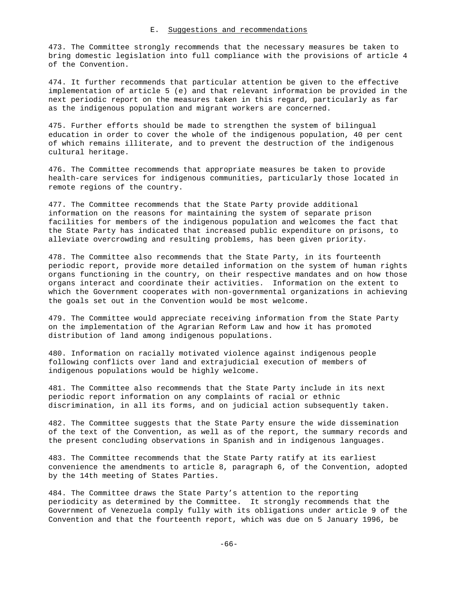## E. Suggestions and recommendations

473. The Committee strongly recommends that the necessary measures be taken to bring domestic legislation into full compliance with the provisions of article 4 of the Convention.

474. It further recommends that particular attention be given to the effective implementation of article 5 (e) and that relevant information be provided in the next periodic report on the measures taken in this regard, particularly as far as the indigenous population and migrant workers are concerned.

475. Further efforts should be made to strengthen the system of bilingual education in order to cover the whole of the indigenous population, 40 per cent of which remains illiterate, and to prevent the destruction of the indigenous cultural heritage.

476. The Committee recommends that appropriate measures be taken to provide health-care services for indigenous communities, particularly those located in remote regions of the country.

477. The Committee recommends that the State Party provide additional information on the reasons for maintaining the system of separate prison facilities for members of the indigenous population and welcomes the fact that the State Party has indicated that increased public expenditure on prisons, to alleviate overcrowding and resulting problems, has been given priority.

478. The Committee also recommends that the State Party, in its fourteenth periodic report, provide more detailed information on the system of human rights organs functioning in the country, on their respective mandates and on how those organs interact and coordinate their activities. Information on the extent to which the Government cooperates with non-governmental organizations in achieving the goals set out in the Convention would be most welcome.

479. The Committee would appreciate receiving information from the State Party on the implementation of the Agrarian Reform Law and how it has promoted distribution of land among indigenous populations.

480. Information on racially motivated violence against indigenous people following conflicts over land and extrajudicial execution of members of indigenous populations would be highly welcome.

481. The Committee also recommends that the State Party include in its next periodic report information on any complaints of racial or ethnic discrimination, in all its forms, and on judicial action subsequently taken.

482. The Committee suggests that the State Party ensure the wide dissemination of the text of the Convention, as well as of the report, the summary records and the present concluding observations in Spanish and in indigenous languages.

483. The Committee recommends that the State Party ratify at its earliest convenience the amendments to article 8, paragraph 6, of the Convention, adopted by the 14th meeting of States Parties.

484. The Committee draws the State Party's attention to the reporting periodicity as determined by the Committee. It strongly recommends that the Government of Venezuela comply fully with its obligations under article 9 of the Convention and that the fourteenth report, which was due on 5 January 1996, be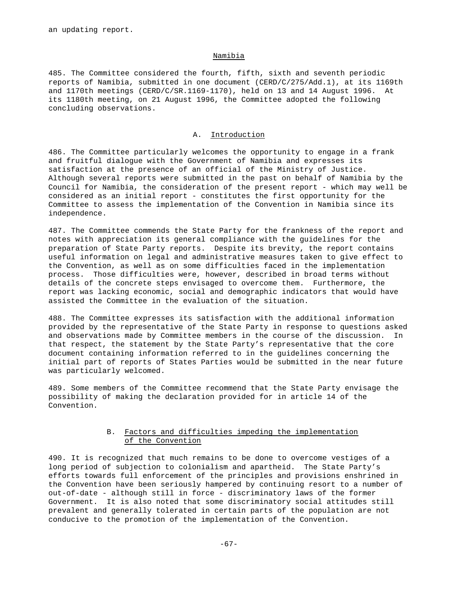#### Namibia

485. The Committee considered the fourth, fifth, sixth and seventh periodic reports of Namibia, submitted in one document (CERD/C/275/Add.1), at its 1169th and 1170th meetings (CERD/C/SR.1169-1170), held on 13 and 14 August 1996. At its 1180th meeting, on 21 August 1996, the Committee adopted the following concluding observations.

## A. Introduction

486. The Committee particularly welcomes the opportunity to engage in a frank and fruitful dialogue with the Government of Namibia and expresses its satisfaction at the presence of an official of the Ministry of Justice. Although several reports were submitted in the past on behalf of Namibia by the Council for Namibia, the consideration of the present report - which may well be considered as an initial report - constitutes the first opportunity for the Committee to assess the implementation of the Convention in Namibia since its independence.

487. The Committee commends the State Party for the frankness of the report and notes with appreciation its general compliance with the guidelines for the preparation of State Party reports. Despite its brevity, the report contains useful information on legal and administrative measures taken to give effect to the Convention, as well as on some difficulties faced in the implementation process. Those difficulties were, however, described in broad terms without details of the concrete steps envisaged to overcome them. Furthermore, the report was lacking economic, social and demographic indicators that would have assisted the Committee in the evaluation of the situation.

488. The Committee expresses its satisfaction with the additional information provided by the representative of the State Party in response to questions asked and observations made by Committee members in the course of the discussion. In that respect, the statement by the State Party's representative that the core document containing information referred to in the guidelines concerning the initial part of reports of States Parties would be submitted in the near future was particularly welcomed.

489. Some members of the Committee recommend that the State Party envisage the possibility of making the declaration provided for in article 14 of the Convention.

# B. Factors and difficulties impeding the implementation of the Convention

490. It is recognized that much remains to be done to overcome vestiges of a long period of subjection to colonialism and apartheid. The State Party's efforts towards full enforcement of the principles and provisions enshrined in the Convention have been seriously hampered by continuing resort to a number of out-of-date - although still in force - discriminatory laws of the former Government. It is also noted that some discriminatory social attitudes still prevalent and generally tolerated in certain parts of the population are not conducive to the promotion of the implementation of the Convention.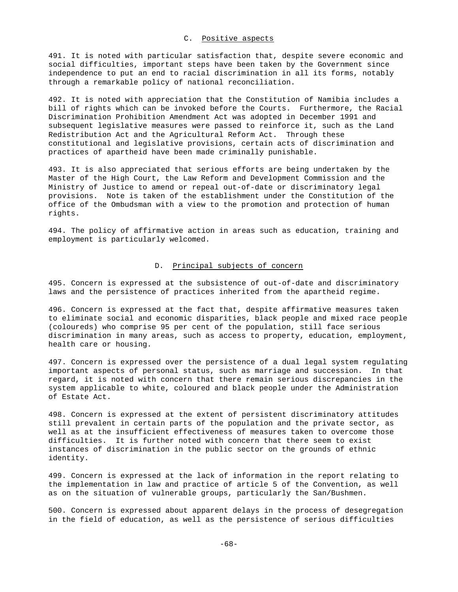#### C. Positive aspects

491. It is noted with particular satisfaction that, despite severe economic and social difficulties, important steps have been taken by the Government since independence to put an end to racial discrimination in all its forms, notably through a remarkable policy of national reconciliation.

492. It is noted with appreciation that the Constitution of Namibia includes a bill of rights which can be invoked before the Courts. Furthermore, the Racial Discrimination Prohibition Amendment Act was adopted in December 1991 and subsequent legislative measures were passed to reinforce it, such as the Land Redistribution Act and the Agricultural Reform Act. Through these constitutional and legislative provisions, certain acts of discrimination and practices of apartheid have been made criminally punishable.

493. It is also appreciated that serious efforts are being undertaken by the Master of the High Court, the Law Reform and Development Commission and the Ministry of Justice to amend or repeal out-of-date or discriminatory legal provisions. Note is taken of the establishment under the Constitution of the office of the Ombudsman with a view to the promotion and protection of human rights.

494. The policy of affirmative action in areas such as education, training and employment is particularly welcomed.

#### D. Principal subjects of concern

495. Concern is expressed at the subsistence of out-of-date and discriminatory laws and the persistence of practices inherited from the apartheid regime.

496. Concern is expressed at the fact that, despite affirmative measures taken to eliminate social and economic disparities, black people and mixed race people (coloureds) who comprise 95 per cent of the population, still face serious discrimination in many areas, such as access to property, education, employment, health care or housing.

497. Concern is expressed over the persistence of a dual legal system regulating important aspects of personal status, such as marriage and succession. In that regard, it is noted with concern that there remain serious discrepancies in the system applicable to white, coloured and black people under the Administration of Estate Act.

498. Concern is expressed at the extent of persistent discriminatory attitudes still prevalent in certain parts of the population and the private sector, as well as at the insufficient effectiveness of measures taken to overcome those difficulties. It is further noted with concern that there seem to exist instances of discrimination in the public sector on the grounds of ethnic identity.

499. Concern is expressed at the lack of information in the report relating to the implementation in law and practice of article 5 of the Convention, as well as on the situation of vulnerable groups, particularly the San/Bushmen.

500. Concern is expressed about apparent delays in the process of desegregation in the field of education, as well as the persistence of serious difficulties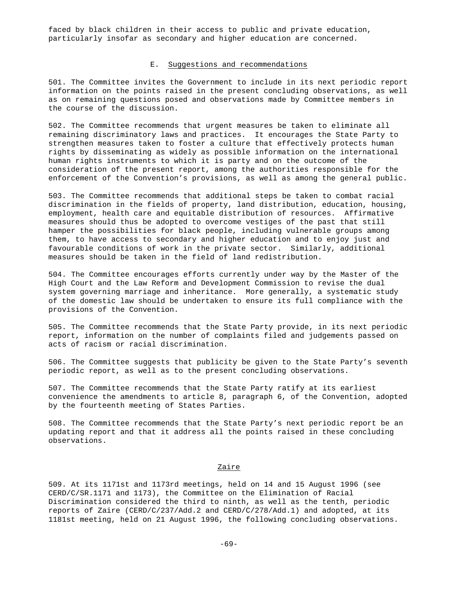faced by black children in their access to public and private education, particularly insofar as secondary and higher education are concerned.

#### E. Suggestions and recommendations

501. The Committee invites the Government to include in its next periodic report information on the points raised in the present concluding observations, as well as on remaining questions posed and observations made by Committee members in the course of the discussion.

502. The Committee recommends that urgent measures be taken to eliminate all remaining discriminatory laws and practices. It encourages the State Party to strengthen measures taken to foster a culture that effectively protects human rights by disseminating as widely as possible information on the international human rights instruments to which it is party and on the outcome of the consideration of the present report, among the authorities responsible for the enforcement of the Convention's provisions, as well as among the general public.

503. The Committee recommends that additional steps be taken to combat racial discrimination in the fields of property, land distribution, education, housing, employment, health care and equitable distribution of resources. Affirmative measures should thus be adopted to overcome vestiges of the past that still hamper the possibilities for black people, including vulnerable groups among them, to have access to secondary and higher education and to enjoy just and favourable conditions of work in the private sector. Similarly, additional measures should be taken in the field of land redistribution.

504. The Committee encourages efforts currently under way by the Master of the High Court and the Law Reform and Development Commission to revise the dual system governing marriage and inheritance. More generally, a systematic study of the domestic law should be undertaken to ensure its full compliance with the provisions of the Convention.

505. The Committee recommends that the State Party provide, in its next periodic report, information on the number of complaints filed and judgements passed on acts of racism or racial discrimination.

506. The Committee suggests that publicity be given to the State Party's seventh periodic report, as well as to the present concluding observations.

507. The Committee recommends that the State Party ratify at its earliest convenience the amendments to article 8, paragraph 6, of the Convention, adopted by the fourteenth meeting of States Parties.

508. The Committee recommends that the State Party's next periodic report be an updating report and that it address all the points raised in these concluding observations.

#### Zaire

509. At its 1171st and 1173rd meetings, held on 14 and 15 August 1996 (see CERD/C/SR.1171 and 1173), the Committee on the Elimination of Racial Discrimination considered the third to ninth, as well as the tenth, periodic reports of Zaire (CERD/C/237/Add.2 and CERD/C/278/Add.1) and adopted, at its 1181st meeting, held on 21 August 1996, the following concluding observations.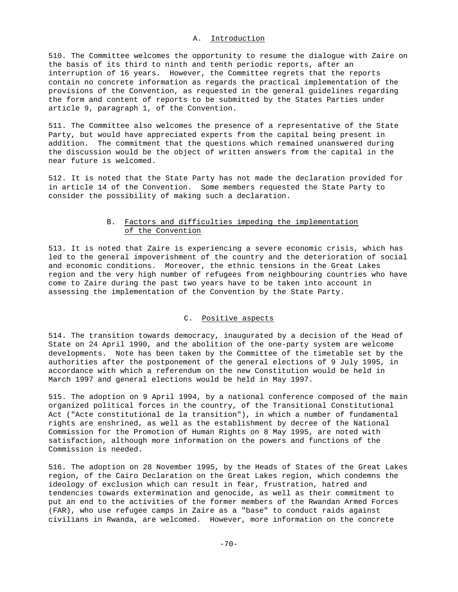#### A. Introduction

510. The Committee welcomes the opportunity to resume the dialogue with Zaire on the basis of its third to ninth and tenth periodic reports, after an interruption of 16 years. However, the Committee regrets that the reports contain no concrete information as regards the practical implementation of the provisions of the Convention, as requested in the general guidelines regarding the form and content of reports to be submitted by the States Parties under article 9, paragraph 1, of the Convention.

511. The Committee also welcomes the presence of a representative of the State Party, but would have appreciated experts from the capital being present in addition. The commitment that the questions which remained unanswered during the discussion would be the object of written answers from the capital in the near future is welcomed.

512. It is noted that the State Party has not made the declaration provided for in article 14 of the Convention. Some members requested the State Party to consider the possibility of making such a declaration.

# B. Factors and difficulties impeding the implementation of the Convention

513. It is noted that Zaire is experiencing a severe economic crisis, which has led to the general impoverishment of the country and the deterioration of social and economic conditions. Moreover, the ethnic tensions in the Great Lakes region and the very high number of refugees from neighbouring countries who have come to Zaire during the past two years have to be taken into account in assessing the implementation of the Convention by the State Party.

# C. Positive aspects

514. The transition towards democracy, inaugurated by a decision of the Head of State on 24 April 1990, and the abolition of the one-party system are welcome developments. Note has been taken by the Committee of the timetable set by the authorities after the postponement of the general elections of 9 July 1995, in accordance with which a referendum on the new Constitution would be held in March 1997 and general elections would be held in May 1997.

515. The adoption on 9 April 1994, by a national conference composed of the main organized political forces in the country, of the Transitional Constitutional Act ("Acte constitutional de la transition"), in which a number of fundamental rights are enshrined, as well as the establishment by decree of the National Commission for the Promotion of Human Rights on 8 May 1995, are noted with satisfaction, although more information on the powers and functions of the Commission is needed.

516. The adoption on 28 November 1995, by the Heads of States of the Great Lakes region, of the Cairo Declaration on the Great Lakes region, which condemns the ideology of exclusion which can result in fear, frustration, hatred and tendencies towards extermination and genocide, as well as their commitment to put an end to the activities of the former members of the Rwandan Armed Forces (FAR), who use refugee camps in Zaire as a "base" to conduct raids against civilians in Rwanda, are welcomed. However, more information on the concrete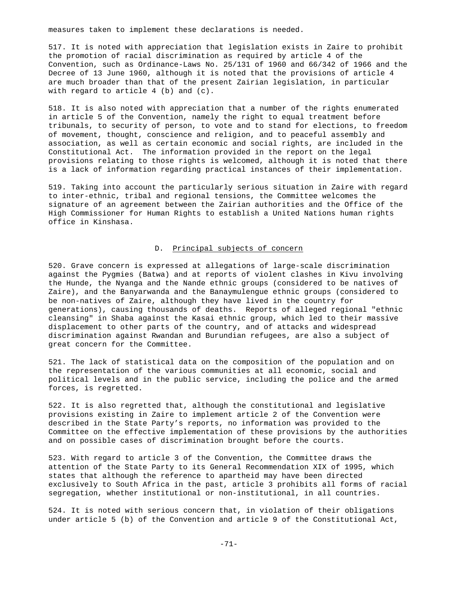measures taken to implement these declarations is needed.

517. It is noted with appreciation that legislation exists in Zaire to prohibit the promotion of racial discrimination as required by article 4 of the Convention, such as Ordinance-Laws No. 25/131 of 1960 and 66/342 of 1966 and the Decree of 13 June 1960, although it is noted that the provisions of article 4 are much broader than that of the present Zairian legislation, in particular with regard to article 4 (b) and (c).

518. It is also noted with appreciation that a number of the rights enumerated in article 5 of the Convention, namely the right to equal treatment before tribunals, to security of person, to vote and to stand for elections, to freedom of movement, thought, conscience and religion, and to peaceful assembly and association, as well as certain economic and social rights, are included in the Constitutional Act. The information provided in the report on the legal provisions relating to those rights is welcomed, although it is noted that there is a lack of information regarding practical instances of their implementation.

519. Taking into account the particularly serious situation in Zaire with regard to inter-ethnic, tribal and regional tensions, the Committee welcomes the signature of an agreement between the Zairian authorities and the Office of the High Commissioner for Human Rights to establish a United Nations human rights office in Kinshasa.

#### D. Principal subjects of concern

520. Grave concern is expressed at allegations of large-scale discrimination against the Pygmies (Batwa) and at reports of violent clashes in Kivu involving the Hunde, the Nyanga and the Nande ethnic groups (considered to be natives of Zaire), and the Banyarwanda and the Banaymulengue ethnic groups (considered to be non-natives of Zaire, although they have lived in the country for generations), causing thousands of deaths. Reports of alleged regional "ethnic cleansing" in Shaba against the Kasai ethnic group, which led to their massive displacement to other parts of the country, and of attacks and widespread discrimination against Rwandan and Burundian refugees, are also a subject of great concern for the Committee.

521. The lack of statistical data on the composition of the population and on the representation of the various communities at all economic, social and political levels and in the public service, including the police and the armed forces, is regretted.

522. It is also regretted that, although the constitutional and legislative provisions existing in Zaire to implement article 2 of the Convention were described in the State Party's reports, no information was provided to the Committee on the effective implementation of these provisions by the authorities and on possible cases of discrimination brought before the courts.

523. With regard to article 3 of the Convention, the Committee draws the attention of the State Party to its General Recommendation XIX of 1995, which states that although the reference to apartheid may have been directed exclusively to South Africa in the past, article 3 prohibits all forms of racial segregation, whether institutional or non-institutional, in all countries.

524. It is noted with serious concern that, in violation of their obligations under article 5 (b) of the Convention and article 9 of the Constitutional Act,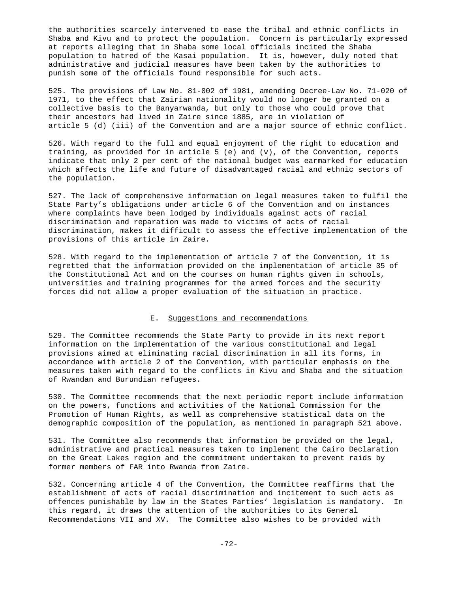the authorities scarcely intervened to ease the tribal and ethnic conflicts in Shaba and Kivu and to protect the population. Concern is particularly expressed at reports alleging that in Shaba some local officials incited the Shaba population to hatred of the Kasai population. It is, however, duly noted that administrative and judicial measures have been taken by the authorities to punish some of the officials found responsible for such acts.

525. The provisions of Law No. 81-002 of 1981, amending Decree-Law No. 71-020 of 1971, to the effect that Zairian nationality would no longer be granted on a collective basis to the Banyarwanda, but only to those who could prove that their ancestors had lived in Zaire since 1885, are in violation of article 5 (d) (iii) of the Convention and are a major source of ethnic conflict.

526. With regard to the full and equal enjoyment of the right to education and training, as provided for in article 5 (e) and (v), of the Convention, reports indicate that only 2 per cent of the national budget was earmarked for education which affects the life and future of disadvantaged racial and ethnic sectors of the population.

527. The lack of comprehensive information on legal measures taken to fulfil the State Party's obligations under article 6 of the Convention and on instances where complaints have been lodged by individuals against acts of racial discrimination and reparation was made to victims of acts of racial discrimination, makes it difficult to assess the effective implementation of the provisions of this article in Zaire.

528. With regard to the implementation of article 7 of the Convention, it is regretted that the information provided on the implementation of article 35 of the Constitutional Act and on the courses on human rights given in schools, universities and training programmes for the armed forces and the security forces did not allow a proper evaluation of the situation in practice.

#### E. Suggestions and recommendations

529. The Committee recommends the State Party to provide in its next report information on the implementation of the various constitutional and legal provisions aimed at eliminating racial discrimination in all its forms, in accordance with article 2 of the Convention, with particular emphasis on the measures taken with regard to the conflicts in Kivu and Shaba and the situation of Rwandan and Burundian refugees.

530. The Committee recommends that the next periodic report include information on the powers, functions and activities of the National Commission for the Promotion of Human Rights, as well as comprehensive statistical data on the demographic composition of the population, as mentioned in paragraph 521 above.

531. The Committee also recommends that information be provided on the legal, administrative and practical measures taken to implement the Cairo Declaration on the Great Lakes region and the commitment undertaken to prevent raids by former members of FAR into Rwanda from Zaire.

532. Concerning article 4 of the Convention, the Committee reaffirms that the establishment of acts of racial discrimination and incitement to such acts as offences punishable by law in the States Parties' legislation is mandatory. In this regard, it draws the attention of the authorities to its General Recommendations VII and XV. The Committee also wishes to be provided with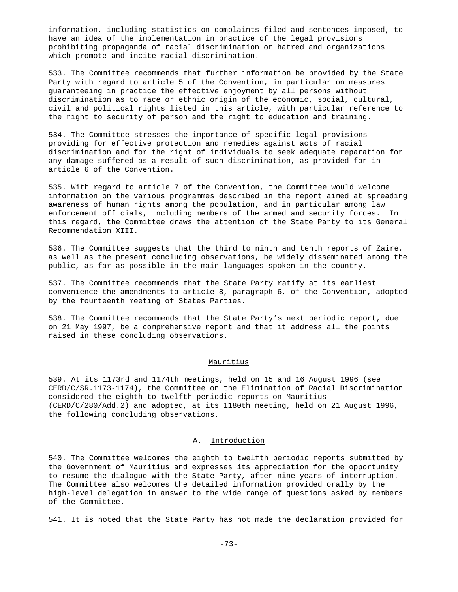information, including statistics on complaints filed and sentences imposed, to have an idea of the implementation in practice of the legal provisions prohibiting propaganda of racial discrimination or hatred and organizations which promote and incite racial discrimination.

533. The Committee recommends that further information be provided by the State Party with regard to article 5 of the Convention, in particular on measures guaranteeing in practice the effective enjoyment by all persons without discrimination as to race or ethnic origin of the economic, social, cultural, civil and political rights listed in this article, with particular reference to the right to security of person and the right to education and training.

534. The Committee stresses the importance of specific legal provisions providing for effective protection and remedies against acts of racial discrimination and for the right of individuals to seek adequate reparation for any damage suffered as a result of such discrimination, as provided for in article 6 of the Convention.

535. With regard to article 7 of the Convention, the Committee would welcome information on the various programmes described in the report aimed at spreading awareness of human rights among the population, and in particular among law enforcement officials, including members of the armed and security forces. In this regard, the Committee draws the attention of the State Party to its General Recommendation XIII.

536. The Committee suggests that the third to ninth and tenth reports of Zaire, as well as the present concluding observations, be widely disseminated among the public, as far as possible in the main languages spoken in the country.

537. The Committee recommends that the State Party ratify at its earliest convenience the amendments to article 8, paragraph 6, of the Convention, adopted by the fourteenth meeting of States Parties.

538. The Committee recommends that the State Party's next periodic report, due on 21 May 1997, be a comprehensive report and that it address all the points raised in these concluding observations.

#### Mauritius

539. At its 1173rd and 1174th meetings, held on 15 and 16 August 1996 (see CERD/C/SR.1173-1174), the Committee on the Elimination of Racial Discrimination considered the eighth to twelfth periodic reports on Mauritius (CERD/C/280/Add.2) and adopted, at its 1180th meeting, held on 21 August 1996, the following concluding observations.

# A. Introduction

540. The Committee welcomes the eighth to twelfth periodic reports submitted by the Government of Mauritius and expresses its appreciation for the opportunity to resume the dialogue with the State Party, after nine years of interruption. The Committee also welcomes the detailed information provided orally by the high-level delegation in answer to the wide range of questions asked by members of the Committee.

541. It is noted that the State Party has not made the declaration provided for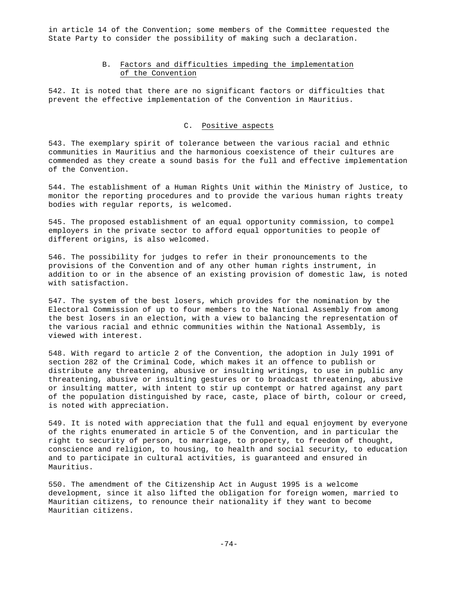in article 14 of the Convention; some members of the Committee requested the State Party to consider the possibility of making such a declaration.

# B. Factors and difficulties impeding the implementation of the Convention

542. It is noted that there are no significant factors or difficulties that prevent the effective implementation of the Convention in Mauritius.

## C. Positive aspects

543. The exemplary spirit of tolerance between the various racial and ethnic communities in Mauritius and the harmonious coexistence of their cultures are commended as they create a sound basis for the full and effective implementation of the Convention.

544. The establishment of a Human Rights Unit within the Ministry of Justice, to monitor the reporting procedures and to provide the various human rights treaty bodies with regular reports, is welcomed.

545. The proposed establishment of an equal opportunity commission, to compel employers in the private sector to afford equal opportunities to people of different origins, is also welcomed.

546. The possibility for judges to refer in their pronouncements to the provisions of the Convention and of any other human rights instrument, in addition to or in the absence of an existing provision of domestic law, is noted with satisfaction.

547. The system of the best losers, which provides for the nomination by the Electoral Commission of up to four members to the National Assembly from among the best losers in an election, with a view to balancing the representation of the various racial and ethnic communities within the National Assembly, is viewed with interest.

548. With regard to article 2 of the Convention, the adoption in July 1991 of section 282 of the Criminal Code, which makes it an offence to publish or distribute any threatening, abusive or insulting writings, to use in public any threatening, abusive or insulting gestures or to broadcast threatening, abusive or insulting matter, with intent to stir up contempt or hatred against any part of the population distinguished by race, caste, place of birth, colour or creed, is noted with appreciation.

549. It is noted with appreciation that the full and equal enjoyment by everyone of the rights enumerated in article 5 of the Convention, and in particular the right to security of person, to marriage, to property, to freedom of thought, conscience and religion, to housing, to health and social security, to education and to participate in cultural activities, is guaranteed and ensured in Mauritius.

550. The amendment of the Citizenship Act in August 1995 is a welcome development, since it also lifted the obligation for foreign women, married to Mauritian citizens, to renounce their nationality if they want to become Mauritian citizens.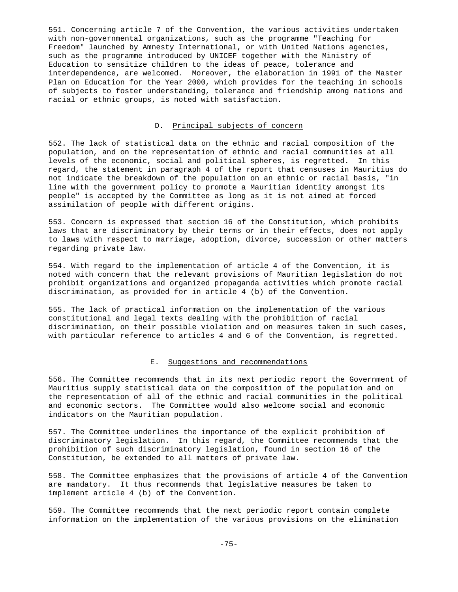551. Concerning article 7 of the Convention, the various activities undertaken with non-governmental organizations, such as the programme "Teaching for Freedom" launched by Amnesty International, or with United Nations agencies, such as the programme introduced by UNICEF together with the Ministry of Education to sensitize children to the ideas of peace, tolerance and interdependence, are welcomed. Moreover, the elaboration in 1991 of the Master Plan on Education for the Year 2000, which provides for the teaching in schools of subjects to foster understanding, tolerance and friendship among nations and racial or ethnic groups, is noted with satisfaction.

# D. Principal subjects of concern

552. The lack of statistical data on the ethnic and racial composition of the population, and on the representation of ethnic and racial communities at all levels of the economic, social and political spheres, is regretted. In this regard, the statement in paragraph 4 of the report that censuses in Mauritius do not indicate the breakdown of the population on an ethnic or racial basis, "in line with the government policy to promote a Mauritian identity amongst its people" is accepted by the Committee as long as it is not aimed at forced assimilation of people with different origins.

553. Concern is expressed that section 16 of the Constitution, which prohibits laws that are discriminatory by their terms or in their effects, does not apply to laws with respect to marriage, adoption, divorce, succession or other matters regarding private law.

554. With regard to the implementation of article 4 of the Convention, it is noted with concern that the relevant provisions of Mauritian legislation do not prohibit organizations and organized propaganda activities which promote racial discrimination, as provided for in article 4 (b) of the Convention.

555. The lack of practical information on the implementation of the various constitutional and legal texts dealing with the prohibition of racial discrimination, on their possible violation and on measures taken in such cases, with particular reference to articles 4 and 6 of the Convention, is regretted.

# E. Suggestions and recommendations

556. The Committee recommends that in its next periodic report the Government of Mauritius supply statistical data on the composition of the population and on the representation of all of the ethnic and racial communities in the political and economic sectors. The Committee would also welcome social and economic indicators on the Mauritian population.

557. The Committee underlines the importance of the explicit prohibition of discriminatory legislation. In this regard, the Committee recommends that the prohibition of such discriminatory legislation, found in section 16 of the Constitution, be extended to all matters of private law.

558. The Committee emphasizes that the provisions of article 4 of the Convention are mandatory. It thus recommends that legislative measures be taken to implement article 4 (b) of the Convention.

559. The Committee recommends that the next periodic report contain complete information on the implementation of the various provisions on the elimination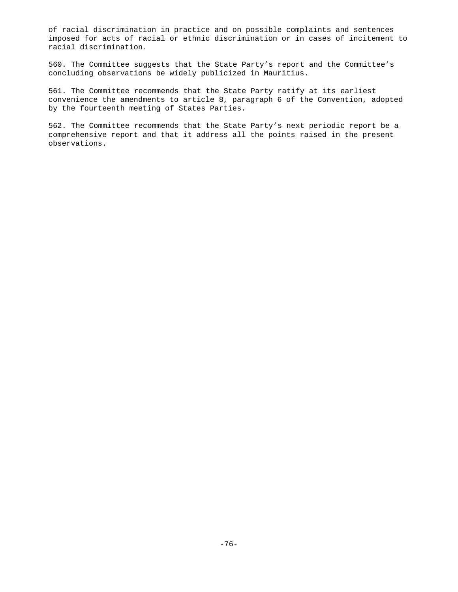of racial discrimination in practice and on possible complaints and sentences imposed for acts of racial or ethnic discrimination or in cases of incitement to racial discrimination.

560. The Committee suggests that the State Party's report and the Committee's concluding observations be widely publicized in Mauritius.

561. The Committee recommends that the State Party ratify at its earliest convenience the amendments to article 8, paragraph 6 of the Convention, adopted by the fourteenth meeting of States Parties.

562. The Committee recommends that the State Party's next periodic report be a comprehensive report and that it address all the points raised in the present observations.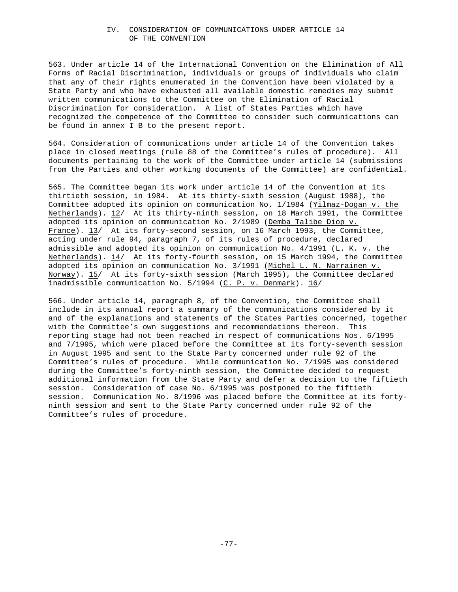# IV. CONSIDERATION OF COMMUNICATIONS UNDER ARTICLE 14 OF THE CONVENTION

563. Under article 14 of the International Convention on the Elimination of All Forms of Racial Discrimination, individuals or groups of individuals who claim that any of their rights enumerated in the Convention have been violated by a State Party and who have exhausted all available domestic remedies may submit written communications to the Committee on the Elimination of Racial Discrimination for consideration. A list of States Parties which have recognized the competence of the Committee to consider such communications can be found in annex I B to the present report.

564. Consideration of communications under article 14 of the Convention takes place in closed meetings (rule 88 of the Committee's rules of procedure). All documents pertaining to the work of the Committee under article 14 (submissions from the Parties and other working documents of the Committee) are confidential.

565. The Committee began its work under article 14 of the Convention at its thirtieth session, in 1984. At its thirty-sixth session (August 1988), the Committee adopted its opinion on communication No. 1/1984 (Yilmaz-Dogan v. the Netherlands). 12/ At its thirty-ninth session, on 18 March 1991, the Committee adopted its opinion on communication No. 2/1989 (Demba Talibe Diop v. France). 13/ At its forty-second session, on 16 March 1993, the Committee, acting under rule 94, paragraph 7, of its rules of procedure, declared admissible and adopted its opinion on communication No.  $4/1991$  ( $L.$  K. v. the Netherlands). 14/ At its forty-fourth session, on 15 March 1994, the Committee adopted its opinion on communication No. 3/1991 (Michel L. N. Narrainen v. Morway). 15/ At its forty-sixth session (March 1995), the Committee declared inadmissible communication No.  $5/1994$  (C. P. v. Denmark).  $16/$ 

566. Under article 14, paragraph 8, of the Convention, the Committee shall include in its annual report a summary of the communications considered by it and of the explanations and statements of the States Parties concerned, together with the Committee's own suggestions and recommendations thereon. This reporting stage had not been reached in respect of communications Nos. 6/1995 and 7/1995, which were placed before the Committee at its forty-seventh session in August 1995 and sent to the State Party concerned under rule 92 of the Committee's rules of procedure. While communication No. 7/1995 was considered during the Committee's forty-ninth session, the Committee decided to request additional information from the State Party and defer a decision to the fiftieth session. Consideration of case No. 6/1995 was postponed to the fiftieth session. Communication No. 8/1996 was placed before the Committee at its fortyninth session and sent to the State Party concerned under rule 92 of the Committee's rules of procedure.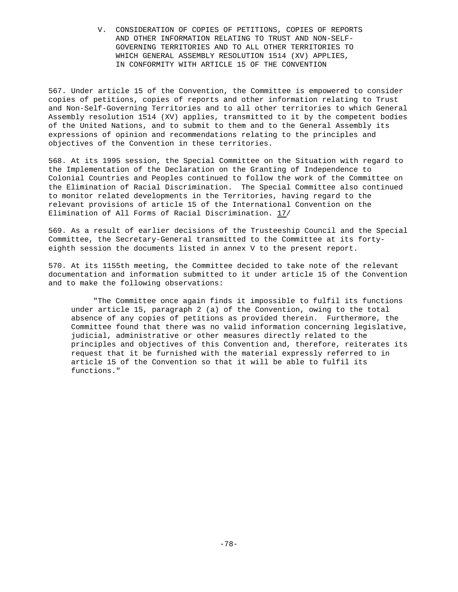V. CONSIDERATION OF COPIES OF PETITIONS, COPIES OF REPORTS AND OTHER INFORMATION RELATING TO TRUST AND NON-SELF-GOVERNING TERRITORIES AND TO ALL OTHER TERRITORIES TO WHICH GENERAL ASSEMBLY RESOLUTION 1514 (XV) APPLIES, IN CONFORMITY WITH ARTICLE 15 OF THE CONVENTION

567. Under article 15 of the Convention, the Committee is empowered to consider copies of petitions, copies of reports and other information relating to Trust and Non-Self-Governing Territories and to all other territories to which General Assembly resolution 1514 (XV) applies, transmitted to it by the competent bodies of the United Nations, and to submit to them and to the General Assembly its expressions of opinion and recommendations relating to the principles and objectives of the Convention in these territories.

568. At its 1995 session, the Special Committee on the Situation with regard to the Implementation of the Declaration on the Granting of Independence to Colonial Countries and Peoples continued to follow the work of the Committee on the Elimination of Racial Discrimination. The Special Committee also continued to monitor related developments in the Territories, having regard to the relevant provisions of article 15 of the International Convention on the Elimination of All Forms of Racial Discrimination. 17/

569. As a result of earlier decisions of the Trusteeship Council and the Special Committee, the Secretary-General transmitted to the Committee at its fortyeighth session the documents listed in annex V to the present report.

570. At its 1155th meeting, the Committee decided to take note of the relevant documentation and information submitted to it under article 15 of the Convention and to make the following observations:

"The Committee once again finds it impossible to fulfil its functions under article 15, paragraph 2 (a) of the Convention, owing to the total absence of any copies of petitions as provided therein. Furthermore, the Committee found that there was no valid information concerning legislative, judicial, administrative or other measures directly related to the principles and objectives of this Convention and, therefore, reiterates its request that it be furnished with the material expressly referred to in article 15 of the Convention so that it will be able to fulfil its functions."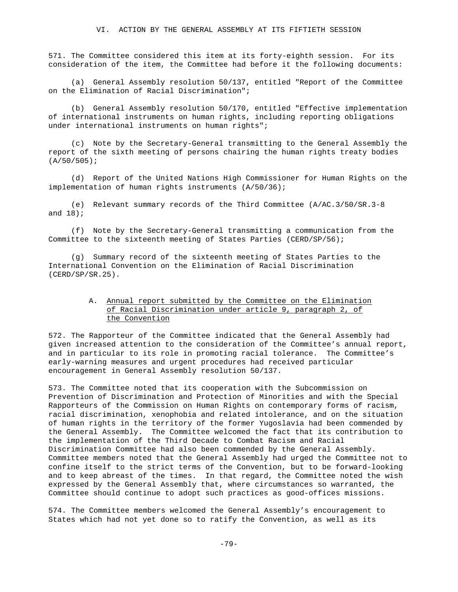571. The Committee considered this item at its forty-eighth session. For its consideration of the item, the Committee had before it the following documents:

(a) General Assembly resolution 50/137, entitled "Report of the Committee on the Elimination of Racial Discrimination";

(b) General Assembly resolution 50/170, entitled "Effective implementation of international instruments on human rights, including reporting obligations under international instruments on human rights";

(c) Note by the Secretary-General transmitting to the General Assembly the report of the sixth meeting of persons chairing the human rights treaty bodies (A/50/505);

(d) Report of the United Nations High Commissioner for Human Rights on the implementation of human rights instruments (A/50/36);

(e) Relevant summary records of the Third Committee (A/AC.3/50/SR.3-8 and 18);

(f) Note by the Secretary-General transmitting a communication from the Committee to the sixteenth meeting of States Parties (CERD/SP/56);

(g) Summary record of the sixteenth meeting of States Parties to the International Convention on the Elimination of Racial Discrimination (CERD/SP/SR.25).

# A. Annual report submitted by the Committee on the Elimination of Racial Discrimination under article 9, paragraph 2, of the Convention

572. The Rapporteur of the Committee indicated that the General Assembly had given increased attention to the consideration of the Committee's annual report, and in particular to its role in promoting racial tolerance. The Committee's early-warning measures and urgent procedures had received particular encouragement in General Assembly resolution 50/137.

573. The Committee noted that its cooperation with the Subcommission on Prevention of Discrimination and Protection of Minorities and with the Special Rapporteurs of the Commission on Human Rights on contemporary forms of racism, racial discrimination, xenophobia and related intolerance, and on the situation of human rights in the territory of the former Yugoslavia had been commended by the General Assembly. The Committee welcomed the fact that its contribution to the implementation of the Third Decade to Combat Racism and Racial Discrimination Committee had also been commended by the General Assembly. Committee members noted that the General Assembly had urged the Committee not to confine itself to the strict terms of the Convention, but to be forward-looking and to keep abreast of the times. In that regard, the Committee noted the wish expressed by the General Assembly that, where circumstances so warranted, the Committee should continue to adopt such practices as good-offices missions.

574. The Committee members welcomed the General Assembly's encouragement to States which had not yet done so to ratify the Convention, as well as its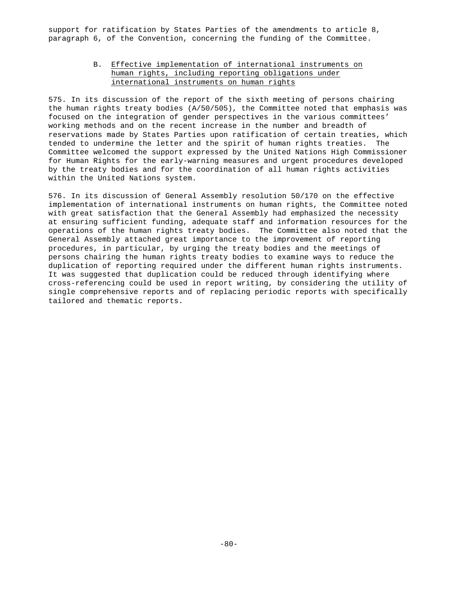support for ratification by States Parties of the amendments to article 8, paragraph 6, of the Convention, concerning the funding of the Committee.

# B. Effective implementation of international instruments on human rights, including reporting obligations under international instruments on human rights

575. In its discussion of the report of the sixth meeting of persons chairing the human rights treaty bodies (A/50/505), the Committee noted that emphasis was focused on the integration of gender perspectives in the various committees' working methods and on the recent increase in the number and breadth of reservations made by States Parties upon ratification of certain treaties, which tended to undermine the letter and the spirit of human rights treaties. The Committee welcomed the support expressed by the United Nations High Commissioner for Human Rights for the early-warning measures and urgent procedures developed by the treaty bodies and for the coordination of all human rights activities within the United Nations system.

576. In its discussion of General Assembly resolution 50/170 on the effective implementation of international instruments on human rights, the Committee noted with great satisfaction that the General Assembly had emphasized the necessity at ensuring sufficient funding, adequate staff and information resources for the operations of the human rights treaty bodies. The Committee also noted that the General Assembly attached great importance to the improvement of reporting procedures, in particular, by urging the treaty bodies and the meetings of persons chairing the human rights treaty bodies to examine ways to reduce the duplication of reporting required under the different human rights instruments. It was suggested that duplication could be reduced through identifying where cross-referencing could be used in report writing, by considering the utility of single comprehensive reports and of replacing periodic reports with specifically tailored and thematic reports.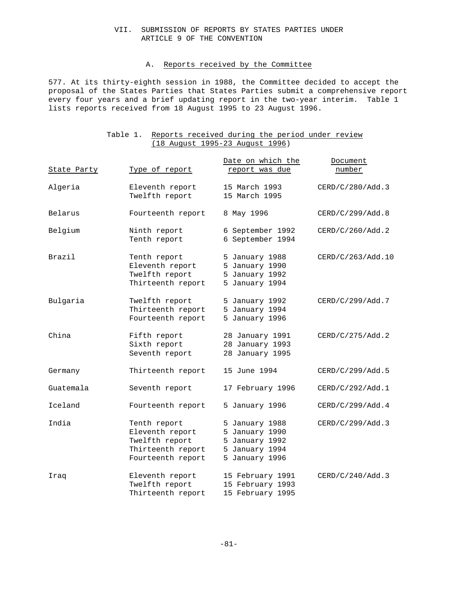# VII. SUBMISSION OF REPORTS BY STATES PARTIES UNDER ARTICLE 9 OF THE CONVENTION

# A. Reports received by the Committee

577. At its thirty-eighth session in 1988, the Committee decided to accept the proposal of the States Parties that States Parties submit a comprehensive report every four years and a brief updating report in the two-year interim. Table 1 lists reports received from 18 August 1995 to 23 August 1996.

# Table 1. Reports received during the period under review (18 August 1995-23 August 1996)

| State Party | Type of report                                                                              | Date on which the<br>report was due                                                    | Document<br>number |
|-------------|---------------------------------------------------------------------------------------------|----------------------------------------------------------------------------------------|--------------------|
| Algeria     | Eleventh report<br>Twelfth report                                                           | 15 March 1993<br>15 March 1995                                                         | CERD/C/280/Add.3   |
| Belarus     | Fourteenth report                                                                           | 8 May 1996                                                                             | CERD/C/299/Add.8   |
| Belgium     | Ninth report<br>Tenth report                                                                | 6 September 1992<br>6 September 1994                                                   | CERD/C/260/Add.2   |
| Brazil      | Tenth report<br>Eleventh report<br>Twelfth report<br>Thirteenth report                      | 5 January 1988<br>5 January 1990<br>5 January 1992<br>5 January 1994                   | CERD/C/263/Add.10  |
| Bulgaria    | Twelfth report<br>Thirteenth report<br>Fourteenth report                                    | 5 January 1992<br>5 January 1994<br>5 January 1996                                     | CERD/C/299/Add.7   |
| China       | Fifth report<br>Sixth report<br>Seventh report                                              | 28 January 1991<br>28 January 1993<br>28 January 1995                                  | CERD/C/275/Add.2   |
| Germany     | Thirteenth report                                                                           | 15 June 1994                                                                           | CERD/C/299/Add.5   |
| Guatemala   | Seventh report                                                                              | 17 February 1996                                                                       | CERD/C/292/Add.1   |
| Iceland     | Fourteenth report                                                                           | 5 January 1996                                                                         | CERD/C/299/Add.4   |
| India       | Tenth report<br>Eleventh report<br>Twelfth report<br>Thirteenth report<br>Fourteenth report | 5 January 1988<br>5 January 1990<br>5 January 1992<br>5 January 1994<br>5 January 1996 | CERD/C/299/Add.3   |
| Iraq        | Eleventh report<br>Twelfth report<br>Thirteenth report                                      | 15 February 1991<br>15 February 1993<br>15 February 1995                               | CERD/C/240/Add.3   |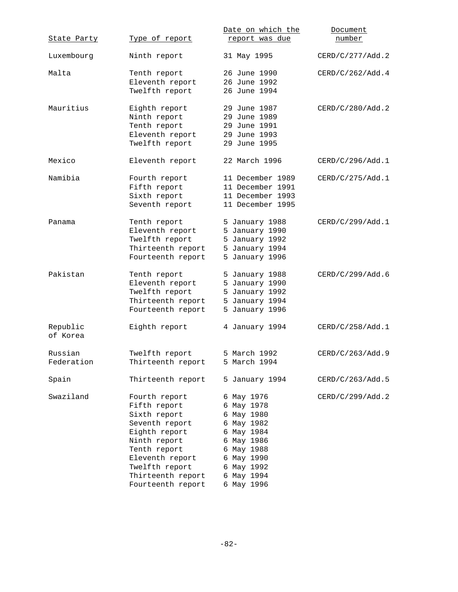|                      |                   | Date on which the | Document         |
|----------------------|-------------------|-------------------|------------------|
| State Party          | Type of report    | report was due    | number           |
| Luxembourg           | Ninth report      | 31 May 1995       | CERD/C/277/Add.2 |
| Malta                | Tenth report      | 26 June 1990      | CERD/C/262/Add.4 |
|                      | Eleventh report   | 26 June 1992      |                  |
|                      | Twelfth report    | 26 June 1994      |                  |
| Mauritius            | Eighth report     | 29 June 1987      | CERD/C/280/Add.2 |
|                      | Ninth report      | 29 June 1989      |                  |
|                      | Tenth report      | 29 June 1991      |                  |
|                      | Eleventh report   | 29 June 1993      |                  |
|                      | Twelfth report    | 29 June 1995      |                  |
| Mexico               | Eleventh report   | 22 March 1996     | CERD/C/296/Add.1 |
| Namibia              | Fourth report     | 11 December 1989  | CERD/C/275/Add.1 |
|                      | Fifth report      | 11 December 1991  |                  |
|                      | Sixth report      | 11 December 1993  |                  |
|                      | Seventh report    | 11 December 1995  |                  |
| Panama               | Tenth report      | 5 January 1988    | CERD/C/299/Add.1 |
|                      | Eleventh report   | 5 January 1990    |                  |
|                      | Twelfth report    | 5 January 1992    |                  |
|                      | Thirteenth report | 5 January 1994    |                  |
|                      | Fourteenth report | 5 January 1996    |                  |
| Pakistan             | Tenth report      | 5 January 1988    | CERD/C/299/Add.6 |
|                      | Eleventh report   | 5 January 1990    |                  |
|                      | Twelfth report    | 5 January 1992    |                  |
|                      | Thirteenth report | 5 January 1994    |                  |
|                      | Fourteenth report | 5 January 1996    |                  |
| Republic<br>of Korea | Eighth report     | 4 January 1994    | CERD/C/258/Add.1 |
| Russian              | Twelfth report    | 5 March 1992      | CERD/C/263/Add.9 |
| Federation           | Thirteenth report | 5 March 1994      |                  |
| Spain                | Thirteenth report | 5 January 1994    | CERD/C/263/Add.5 |
| Swaziland            | Fourth report     | 6 May 1976        | CERD/C/299/Add.2 |
|                      | Fifth report      | 6 May 1978        |                  |
|                      | Sixth report      | 6 May 1980        |                  |
|                      | Seventh report    | 6 May 1982        |                  |
|                      | Eighth report     | 6 May 1984        |                  |
|                      | Ninth report      | 6 May 1986        |                  |
|                      | Tenth report      | 6 May 1988        |                  |
|                      | Eleventh report   | 6 May 1990        |                  |
|                      | Twelfth report    | 6 May 1992        |                  |
|                      | Thirteenth report | 6 May 1994        |                  |
|                      | Fourteenth report | 6 May 1996        |                  |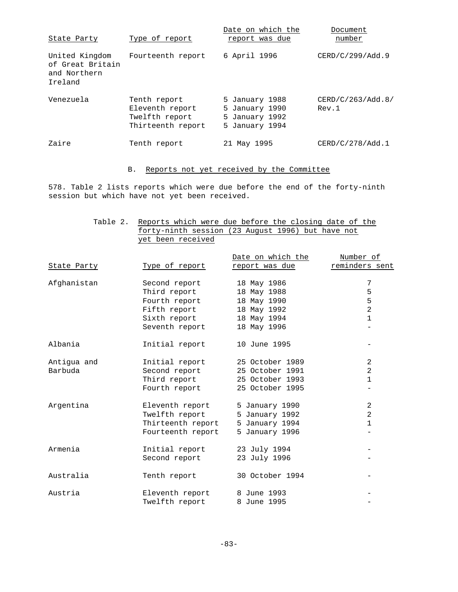| State Party                                                   | Type of report                                                         | Date on which the<br>report was due                                  | Document<br>number         |
|---------------------------------------------------------------|------------------------------------------------------------------------|----------------------------------------------------------------------|----------------------------|
| United Kingdom<br>of Great Britain<br>and Northern<br>Ireland | Fourteenth report                                                      | 6 April 1996                                                         | CERD/C/299/Add.9           |
| Venezuela                                                     | Tenth report<br>Eleventh report<br>Twelfth report<br>Thirteenth report | 5 January 1988<br>5 January 1990<br>5 January 1992<br>5 January 1994 | CERD/C/263/Add.8/<br>Rev.1 |
| Zaire                                                         | Tenth report                                                           | 21 May 1995                                                          | CERD/C/278/Add.1           |

# B. Reports not yet received by the Committee

578. Table 2 lists reports which were due before the end of the forty-ninth session but which have not yet been received.

| Table 2. Reports which were due before the closing date of the |                                                   |  |  |  |  |  |
|----------------------------------------------------------------|---------------------------------------------------|--|--|--|--|--|
|                                                                | forty-ninth session (23 August 1996) but have not |  |  |  |  |  |
|                                                                | yet been received                                 |  |  |  |  |  |

|             |                   | Date on which the | Number of      |
|-------------|-------------------|-------------------|----------------|
| State Party | Type of report    | report was due    | reminders sent |
| Afghanistan | Second report     | 18 May 1986       | 7              |
|             | Third report      | 18 May 1988       | 5              |
|             | Fourth report     | 18 May 1990       | 5              |
|             | Fifth report      | 18 May 1992       | $\overline{2}$ |
|             | Sixth report      | 18 May 1994       | $\mathbf{1}$   |
|             | Seventh report    | 18 May 1996       |                |
| Albania     | Initial report    | 10 June 1995      |                |
| Antigua and | Initial report    | 25 October 1989   | 2              |
| Barbuda     | Second report     | 25 October 1991   | $\overline{2}$ |
|             | Third report      | 25 October 1993   | $\mathbf{1}$   |
|             | Fourth report     | 25 October 1995   |                |
| Argentina   | Eleventh report   | 5 January 1990    | 2              |
|             | Twelfth report    | 5 January 1992    | 2              |
|             | Thirteenth report | 5 January 1994    | 1              |
|             | Fourteenth report | 5 January 1996    |                |
| Armenia     | Initial report    | 23 July 1994      |                |
|             | Second report     | 23 July 1996      |                |
| Australia   | Tenth report      | 30 October 1994   |                |
| Austria     | Eleventh report   | 8 June 1993       |                |
|             | Twelfth report    | 8 June 1995       |                |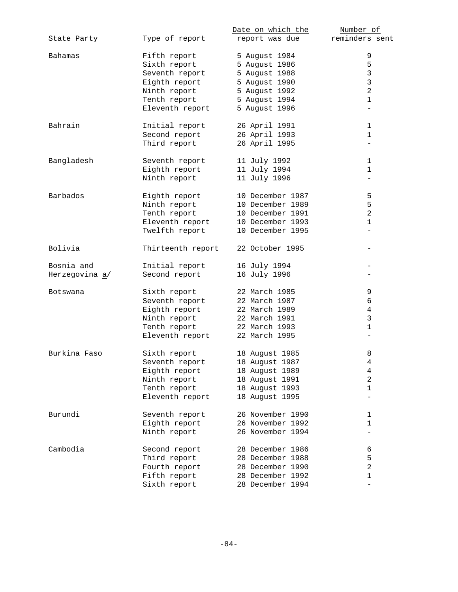| State Party    | Type of report    | Date on which the<br>report was due | Number of<br>reminders sent |
|----------------|-------------------|-------------------------------------|-----------------------------|
| Bahamas        | Fifth report      | 5 August 1984                       | 9                           |
|                | Sixth report      | 5 August 1986                       | 5                           |
|                | Seventh report    | 5 August 1988                       | 3                           |
|                | Eighth report     | 5 August 1990                       | 3                           |
|                | Ninth report      | 5 August 1992                       | $\overline{c}$              |
|                | Tenth report      | 5 August 1994                       | 1                           |
|                | Eleventh report   | 5 August 1996                       |                             |
| Bahrain        | Initial report    | 26 April 1991                       | 1                           |
|                | Second report     | 26 April 1993                       | 1                           |
|                | Third report      | 26 April 1995                       |                             |
| Bangladesh     | Seventh report    | 11 July 1992                        | $\mathbf 1$                 |
|                | Eighth report     | 11 July 1994                        | 1                           |
|                | Ninth report      | 11 July 1996                        |                             |
| Barbados       | Eighth report     | 10 December 1987                    | 5                           |
|                | Ninth report      | 10 December 1989                    | 5                           |
|                | Tenth report      | 10 December 1991                    | $\overline{a}$              |
|                | Eleventh report   | 10 December 1993                    | $\mathbf{1}$                |
|                | Twelfth report    | 10 December 1995                    |                             |
| Bolivia        | Thirteenth report | 22 October 1995                     |                             |
| Bosnia and     | Initial report    | 16 July 1994                        |                             |
| Herzegovina a/ | Second report     | 16 July 1996                        |                             |
| Botswana       | Sixth report      | 22 March 1985                       | 9                           |
|                | Seventh report    | 22 March 1987                       | 6                           |
|                | Eighth report     | 22 March 1989                       | 4                           |
|                | Ninth report      | 22 March 1991                       | 3                           |
|                | Tenth report      | 22 March 1993                       | 1                           |
|                | Eleventh report   | 22 March 1995                       |                             |
| Burkina Faso   | Sixth report      | 18 August 1985                      | 8                           |
|                | Seventh report    | 18 August 1987                      | 4                           |
|                | Eighth report     | 18 August 1989                      | 4                           |
|                | Ninth report      | 18 August 1991                      | $\overline{a}$              |
|                | Tenth report      | 18 August 1993                      | $\mathbf{1}$                |
|                | Eleventh report   | 18 August 1995                      | $\sim$                      |
| Burundi        | Seventh report    | 26 November 1990                    | 1                           |
|                | Eighth report     | 26 November 1992                    | $\mathbf 1$                 |
|                | Ninth report      | 26 November 1994                    |                             |
| Cambodia       | Second report     | 28 December 1986                    | 6                           |
|                | Third report      | 28 December 1988                    | 5                           |
|                | Fourth report     | 28 December 1990                    | $\sqrt{2}$                  |
|                | Fifth report      | 28 December 1992                    | 1                           |
|                | Sixth report      | 28 December 1994                    |                             |
|                |                   |                                     |                             |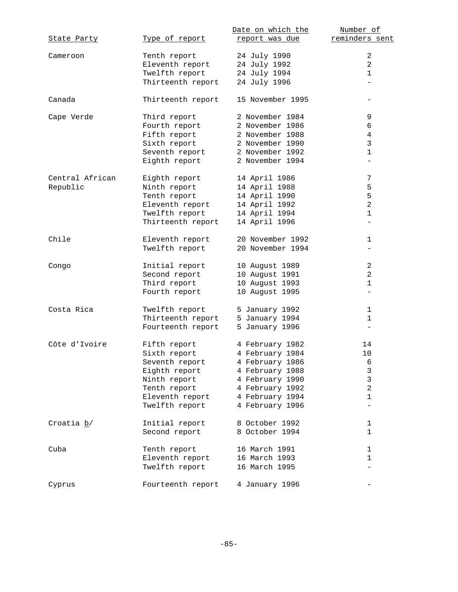|                 |                   | Date on which the | Number of                |
|-----------------|-------------------|-------------------|--------------------------|
| State Party     | Type of report    | report was due    | reminders sent           |
| Cameroon        | Tenth report      | 24 July 1990      | 2                        |
|                 | Eleventh report   | 24 July 1992      | 2                        |
|                 | Twelfth report    | 24 July 1994      | 1                        |
|                 | Thirteenth report | 24 July 1996      |                          |
|                 |                   |                   |                          |
| Canada          | Thirteenth report | 15 November 1995  |                          |
| Cape Verde      | Third report      | 2 November 1984   | 9                        |
|                 | Fourth report     | 2 November 1986   | 6                        |
|                 | Fifth report      | 2 November 1988   | 4                        |
|                 | Sixth report      | 2 November 1990   | 3                        |
|                 | Seventh report    | 2 November 1992   | $\mathbf{1}$             |
|                 | Eighth report     | 2 November 1994   |                          |
| Central African | Eighth report     | 14 April 1986     | 7                        |
| Republic        | Ninth report      | 14 April 1988     | 5                        |
|                 | Tenth report      | 14 April 1990     | 5                        |
|                 | Eleventh report   | 14 April 1992     | $\sqrt{2}$               |
|                 | Twelfth report    | 14 April 1994     | $\mathbf 1$              |
|                 | Thirteenth report | 14 April 1996     | -                        |
|                 |                   |                   |                          |
| Chile           | Eleventh report   | 20 November 1992  | 1                        |
|                 | Twelfth report    | 20 November 1994  | -                        |
| Congo           | Initial report    | 10 August 1989    | 2                        |
|                 | Second report     | 10 August 1991    | 2                        |
|                 | Third report      | 10 August 1993    | 1                        |
|                 | Fourth report     | 10 August 1995    | $\overline{\phantom{0}}$ |
|                 |                   |                   |                          |
| Costa Rica      | Twelfth report    | 5 January 1992    | 1                        |
|                 | Thirteenth report | 5 January 1994    | 1                        |
|                 | Fourteenth report | 5 January 1996    |                          |
| Côte d'Ivoire   | Fifth report      | 4 February 1982   | 14                       |
|                 | Sixth report      | 4 February 1984   | 10                       |
|                 | Seventh report    | 4 February 1986   | 6                        |
|                 | Eighth report     | 4 February 1988   | 3                        |
|                 | Ninth report      | 4 February 1990   | $\mathsf{3}$             |
|                 | Tenth report      | 4 February 1992   | $\sqrt{2}$               |
|                 | Eleventh report   | 4 February 1994   | $\mathbf 1$              |
|                 | Twelfth report    | 4 February 1996   |                          |
| Croatia b/      | Initial report    | 8 October 1992    | 1                        |
|                 | Second report     | 8 October 1994    | 1                        |
| Cuba            | Tenth report      | 16 March 1991     | $\mathbf 1$              |
|                 |                   |                   | 1                        |
|                 | Eleventh report   | 16 March 1993     |                          |
|                 | Twelfth report    | 16 March 1995     |                          |
| Cyprus          | Fourteenth report | 4 January 1996    |                          |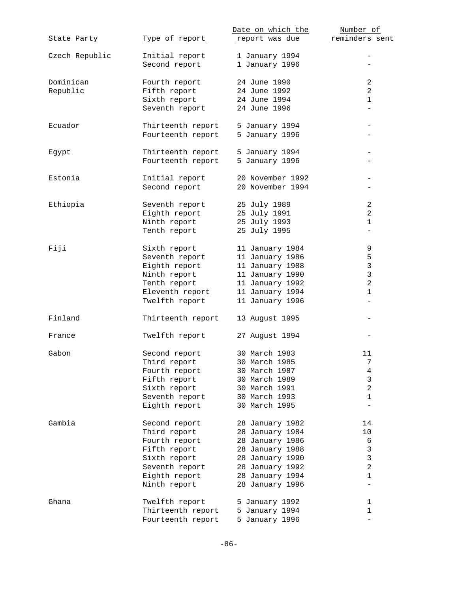|                |                   | Date on which the | Number of        |
|----------------|-------------------|-------------------|------------------|
| State Party    | Type of report    | report was due    | reminders sent   |
| Czech Republic | Initial report    | 1 January 1994    | -                |
|                | Second report     | 1 January 1996    |                  |
|                |                   |                   |                  |
| Dominican      | Fourth report     | 24 June 1990      | 2                |
| Republic       | Fifth report      | 24 June 1992      | 2                |
|                | Sixth report      | 24 June 1994      | 1                |
|                | Seventh report    | 24 June 1996      |                  |
| Ecuador        | Thirteenth report | 5 January 1994    | -                |
|                | Fourteenth report | 5 January 1996    |                  |
| Egypt          | Thirteenth report | 5 January 1994    |                  |
|                | Fourteenth report | 5 January 1996    |                  |
| Estonia        | Initial report    | 20 November 1992  |                  |
|                | Second report     | 20 November 1994  |                  |
|                |                   |                   |                  |
| Ethiopia       | Seventh report    | 25 July 1989      | 2                |
|                | Eighth report     | 25 July 1991      | $\overline{c}$   |
|                | Ninth report      | 25 July 1993      | $\mathbf 1$      |
|                | Tenth report      | 25 July 1995      |                  |
| Fiji           | Sixth report      | 11 January 1984   | 9                |
|                | Seventh report    | 11 January 1986   | 5                |
|                | Eighth report     | 11 January 1988   | 3                |
|                | Ninth report      | 11 January 1990   | $\mathsf 3$      |
|                | Tenth report      | 11 January 1992   | $\overline{a}$   |
|                | Eleventh report   | 11 January 1994   | $\mathbf{1}$     |
|                | Twelfth report    | 11 January 1996   | -                |
| Finland        | Thirteenth report | 13 August 1995    |                  |
| France         | Twelfth report    | 27 August 1994    |                  |
| Gabon          | Second report     | 30 March 1983     | 11               |
|                | Third report      | 30 March 1985     | $\boldsymbol{7}$ |
|                | Fourth report     | 30 March 1987     | 4                |
|                | Fifth report      | 30 March 1989     | 3                |
|                | Sixth report      | 30 March 1991     | $\overline{c}$   |
|                | Seventh report    | 30 March 1993     | 1                |
|                | Eighth report     | 30 March 1995     |                  |
| Gambia         | Second report     | 28 January 1982   | 14               |
|                | Third report      | 28 January 1984   | 10               |
|                | Fourth report     | 28 January 1986   | 6                |
|                | Fifth report      | 28 January 1988   | 3                |
|                | Sixth report      | 28 January 1990   | 3                |
|                | Seventh report    | 28 January 1992   | $\overline{a}$   |
|                | Eighth report     | 28 January 1994   | $\mathbf{1}$     |
|                | Ninth report      | 28 January 1996   | ÷.               |
|                |                   |                   | 1                |
| Ghana          | Twelfth report    | 5 January 1992    | $\mathbf 1$      |
|                | Thirteenth report | 5 January 1994    |                  |
|                | Fourteenth report | 5 January 1996    |                  |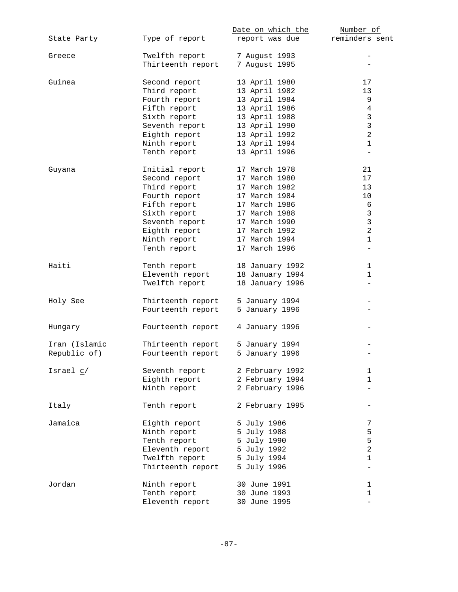| State Party             | Type of report    | Date on which the<br>report was due | Number of<br>reminders sent |
|-------------------------|-------------------|-------------------------------------|-----------------------------|
| Greece                  | Twelfth report    | 7 August 1993                       | -                           |
|                         | Thirteenth report | 7 August 1995                       |                             |
| Guinea                  | Second report     | 13 April 1980                       | 17                          |
|                         | Third report      | 13 April 1982                       | 13                          |
|                         | Fourth report     | 13 April 1984                       | 9                           |
|                         | Fifth report      | 13 April 1986                       | 4                           |
|                         | Sixth report      | 13 April 1988                       | 3                           |
|                         | Seventh report    | 13 April 1990                       | 3                           |
|                         | Eighth report     | 13 April 1992                       | $\overline{a}$              |
|                         | Ninth report      | 13 April 1994                       | $\mathbf{1}$                |
|                         | Tenth report      | 13 April 1996                       | $\overline{\phantom{0}}$    |
| Guyana                  | Initial report    | 17 March 1978                       | 21                          |
|                         | Second report     | 17 March 1980                       | 17                          |
|                         | Third report      | 17 March 1982                       | 13                          |
|                         | Fourth report     | 17 March 1984                       | 10                          |
|                         | Fifth report      | 17 March 1986                       | 6                           |
|                         | Sixth report      | 17 March 1988                       | 3                           |
|                         | Seventh report    | 17 March 1990                       | 3                           |
|                         | Eighth report     | 17 March 1992                       | $\overline{a}$              |
|                         | Ninth report      | 17 March 1994                       | $\mathbf{1}$                |
|                         | Tenth report      | 17 March 1996                       | ÷.                          |
| Haiti                   | Tenth report      | 18 January 1992                     | 1                           |
|                         | Eleventh report   | 18 January 1994                     | 1                           |
|                         | Twelfth report    | 18 January 1996                     | $-$                         |
| Holy See                | Thirteenth report | 5 January 1994                      |                             |
|                         | Fourteenth report | 5 January 1996                      |                             |
| Hungary                 | Fourteenth report | 4 January 1996                      |                             |
| Iran (Islamic           | Thirteenth report | 5 January 1994                      |                             |
| Republic of)            | Fourteenth report | 5 January 1996                      |                             |
| Israel $\underline{c}/$ | Seventh report    | 2 February 1992                     | 1                           |
|                         | Eighth report     | 2 February 1994                     | $\mathbf{1}$                |
|                         | Ninth report      | 2 February 1996                     |                             |
| Italy                   | Tenth report      | 2 February 1995                     |                             |
| Jamaica                 | Eighth report     | 5 July 1986                         | 7                           |
|                         | Ninth report      | 5 July 1988                         | 5                           |
|                         | Tenth report      | 5 July 1990                         | 5                           |
|                         | Eleventh report   | 5 July 1992                         | $\overline{a}$              |
|                         | Twelfth report    | 5 July 1994                         | $1\,$                       |
|                         | Thirteenth report | 5 July 1996                         |                             |
| Jordan                  | Ninth report      | 30 June 1991                        | $\mathbf 1$                 |
|                         | Tenth report      | 30 June 1993                        | $\mathbf 1$                 |
|                         | Eleventh report   | 30 June 1995                        |                             |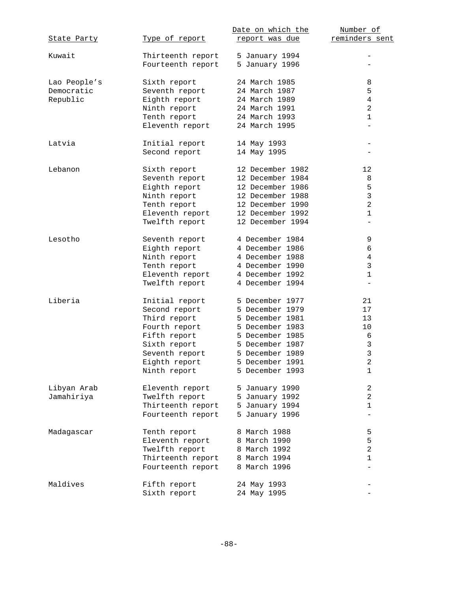|              |                   | Date on which the | Number of                |
|--------------|-------------------|-------------------|--------------------------|
| State Party  | Type of report    | report was due    | reminders sent           |
| Kuwait       | Thirteenth report | 5 January 1994    | -                        |
|              | Fourteenth report | 5 January 1996    |                          |
|              |                   |                   |                          |
| Lao People's | Sixth report      | 24 March 1985     | 8                        |
| Democratic   | Seventh report    | 24 March 1987     | 5                        |
| Republic     | Eighth report     | 24 March 1989     | 4                        |
|              | Ninth report      | 24 March 1991     | $\overline{2}$           |
|              | Tenth report      | 24 March 1993     | $\mathbf{1}$             |
|              | Eleventh report   | 24 March 1995     | $\equiv$                 |
| Latvia       | Initial report    | 14 May 1993       |                          |
|              | Second report     | 14 May 1995       |                          |
| Lebanon      |                   | 12 December 1982  | 12                       |
|              | Sixth report      |                   |                          |
|              | Seventh report    | 12 December 1984  | 8                        |
|              | Eighth report     | 12 December 1986  | 5                        |
|              | Ninth report      | 12 December 1988  | 3                        |
|              | Tenth report      | 12 December 1990  | $\overline{c}$           |
|              | Eleventh report   | 12 December 1992  | $\mathbf 1$              |
|              | Twelfth report    | 12 December 1994  | -                        |
| Lesotho      | Seventh report    | 4 December 1984   | 9                        |
|              | Eighth report     | 4 December 1986   | 6                        |
|              | Ninth report      | 4 December 1988   | 4                        |
|              | Tenth report      | 4 December 1990   | 3                        |
|              | Eleventh report   | 4 December 1992   | $\mathbf{1}$             |
|              | Twelfth report    | 4 December 1994   | $\overline{\phantom{0}}$ |
| Liberia      | Initial report    | 5 December 1977   | 21                       |
|              |                   |                   |                          |
|              | Second report     | 5 December 1979   | 17                       |
|              | Third report      | 5 December 1981   | 13                       |
|              | Fourth report     | 5 December 1983   | 10                       |
|              | Fifth report      | 5 December 1985   | 6                        |
|              | Sixth report      | 5 December 1987   | 3                        |
|              | Seventh report    | 5 December 1989   | 3                        |
|              | Eighth report     | 5 December 1991   | $\sqrt{2}$               |
|              | Ninth report      | 5 December 1993   | 1                        |
| Libyan Arab  | Eleventh report   | 5 January 1990    | 2                        |
| Jamahiriya   | Twelfth report    | 5 January 1992    | 2                        |
|              | Thirteenth report | 5 January 1994    | $\mathbf 1$              |
|              | Fourteenth report | 5 January 1996    |                          |
| Madagascar   | Tenth report      | 8 March 1988      | 5                        |
|              | Eleventh report   | 8 March 1990      | 5                        |
|              | Twelfth report    | 8 March 1992      | $\overline{a}$           |
|              | Thirteenth report | 8 March 1994      | 1                        |
|              | Fourteenth report | 8 March 1996      |                          |
|              |                   |                   |                          |
| Maldives     | Fifth report      | 24 May 1993       |                          |
|              | Sixth report      | 24 May 1995       |                          |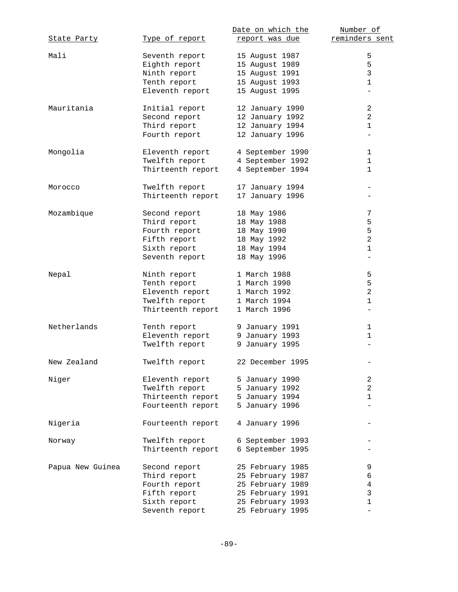|                  |                   | Date on which the | Number of                |
|------------------|-------------------|-------------------|--------------------------|
| State Party      | Type of report    | report was due    | reminders sent           |
| Mali             | Seventh report    | 15 August 1987    | 5                        |
|                  | Eighth report     | 15 August 1989    | 5                        |
|                  | Ninth report      | 15 August 1991    | 3                        |
|                  | Tenth report      | 15 August 1993    | 1                        |
|                  | Eleventh report   | 15 August 1995    |                          |
| Mauritania       | Initial report    | 12 January 1990   | $\overline{c}$           |
|                  | Second report     | 12 January 1992   | 2                        |
|                  | Third report      | 12 January 1994   | 1                        |
|                  | Fourth report     | 12 January 1996   | $\overline{\phantom{0}}$ |
| Mongolia         | Eleventh report   | 4 September 1990  | 1                        |
|                  | Twelfth report    | 4 September 1992  | $\mathbf 1$              |
|                  | Thirteenth report | 4 September 1994  | $\mathbf{1}$             |
| Morocco          | Twelfth report    | 17 January 1994   |                          |
|                  | Thirteenth report | 17 January 1996   |                          |
| Mozambique       | Second report     | 18 May 1986       | 7                        |
|                  | Third report      | 18 May 1988       | 5                        |
|                  | Fourth report     | 18 May 1990       | 5                        |
|                  | Fifth report      | 18 May 1992       | $\overline{a}$           |
|                  | Sixth report      | 18 May 1994       | 1                        |
|                  | Seventh report    | 18 May 1996       |                          |
| Nepal            | Ninth report      | 1 March 1988      | 5                        |
|                  | Tenth report      | 1 March 1990      | 5                        |
|                  | Eleventh report   | 1 March 1992      | $\overline{a}$           |
|                  | Twelfth report    | 1 March 1994      | $\mathbf{1}$             |
|                  | Thirteenth report | 1 March 1996      | $\equiv$                 |
| Netherlands      | Tenth report      | 9 January 1991    | 1                        |
|                  | Eleventh report   | 9 January 1993    | 1                        |
|                  | Twelfth report    | 9 January 1995    |                          |
| New Zealand      | Twelfth report    | 22 December 1995  |                          |
| Niger            | Eleventh report   | 5 January 1990    | 2                        |
|                  | Twelfth report    | 5 January 1992    | $\overline{c}$           |
|                  | Thirteenth report | 5 January 1994    | $\mathbf{1}$             |
|                  | Fourteenth report | 5 January 1996    |                          |
| Nigeria          | Fourteenth report | 4 January 1996    |                          |
| Norway           | Twelfth report    | 6 September 1993  |                          |
|                  | Thirteenth report | 6 September 1995  |                          |
| Papua New Guinea | Second report     | 25 February 1985  | 9                        |
|                  | Third report      | 25 February 1987  | 6                        |
|                  | Fourth report     | 25 February 1989  | $\overline{4}$           |
|                  | Fifth report      | 25 February 1991  | 3                        |
|                  | Sixth report      | 25 February 1993  | $\mathbf 1$              |
|                  | Seventh report    | 25 February 1995  |                          |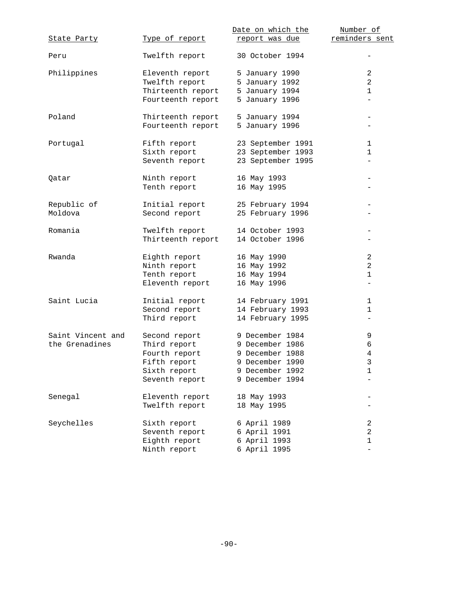| State Party                         | Type of report                                                                                   | Date on which the<br>report was due                                                                            | Number of<br>reminders sent     |
|-------------------------------------|--------------------------------------------------------------------------------------------------|----------------------------------------------------------------------------------------------------------------|---------------------------------|
| Peru                                | Twelfth report                                                                                   | 30 October 1994                                                                                                |                                 |
| Philippines                         | Eleventh report<br>Twelfth report<br>Thirteenth report<br>Fourteenth report                      | 5 January 1990<br>5 January 1992<br>5 January 1994<br>5 January 1996                                           | 2<br>$\overline{c}$<br>1        |
| Poland                              | Thirteenth report<br>Fourteenth report                                                           | 5 January 1994<br>5 January 1996                                                                               |                                 |
| Portugal                            | Fifth report<br>Sixth report<br>Seventh report                                                   | 23 September 1991<br>23 September 1993<br>23 September 1995                                                    | 1<br>1                          |
| Qatar                               | Ninth report<br>Tenth report                                                                     | 16 May 1993<br>16 May 1995                                                                                     |                                 |
| Republic of<br>Moldova              | Initial report<br>Second report                                                                  | 25 February 1994<br>25 February 1996                                                                           |                                 |
| Romania                             | Twelfth report<br>Thirteenth report                                                              | 14 October 1993<br>14 October 1996                                                                             |                                 |
| Rwanda                              | Eighth report<br>Ninth report<br>Tenth report<br>Eleventh report                                 | 16 May 1990<br>16 May 1992<br>16 May 1994<br>16 May 1996                                                       | 2<br>$\overline{c}$<br>1        |
| Saint Lucia                         | Initial report<br>Second report<br>Third report                                                  | 14 February 1991<br>14 February 1993<br>14 February 1995                                                       | 1<br>1                          |
| Saint Vincent and<br>the Grenadines | Second report<br>Third report<br>Fourth report<br>Fifth report<br>Sixth report<br>Seventh report | 9 December 1984<br>9 December 1986<br>9 December 1988<br>9 December 1990<br>9 December 1992<br>9 December 1994 | 9<br>6<br>4<br>3<br>$\mathbf 1$ |
| Senegal                             | Eleventh report<br>Twelfth report                                                                | 18 May 1993<br>18 May 1995                                                                                     |                                 |
| Seychelles                          | Sixth report<br>Seventh report<br>Eighth report<br>Ninth report                                  | 6 April 1989<br>6 April 1991<br>6 April 1993<br>6 April 1995                                                   | 2<br>2<br>$\mathbf{1}$          |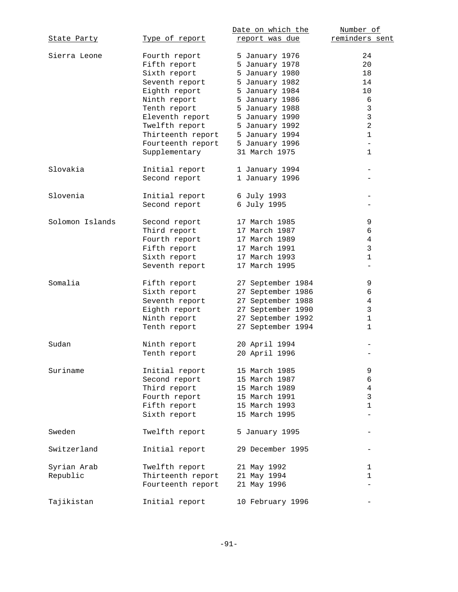|                 | Type of report    | Date on which the | Number of<br>reminders sent |
|-----------------|-------------------|-------------------|-----------------------------|
| State Party     |                   | report was due    |                             |
| Sierra Leone    |                   |                   |                             |
|                 | Fourth report     | 5 January 1976    | 24                          |
|                 | Fifth report      | 5 January 1978    | 20                          |
|                 | Sixth report      | 5 January 1980    | 18                          |
|                 | Seventh report    | 5 January 1982    | 14                          |
|                 | Eighth report     | 5 January 1984    | 10                          |
|                 | Ninth report      | 5 January 1986    | 6                           |
|                 | Tenth report      | 5 January 1988    | 3                           |
|                 | Eleventh report   | 5 January 1990    | 3                           |
|                 | Twelfth report    | 5 January 1992    | $\overline{a}$              |
|                 | Thirteenth report | 5 January 1994    | 1                           |
|                 | Fourteenth report | 5 January 1996    | $\overline{\phantom{0}}$    |
|                 | Supplementary     | 31 March 1975     | $\mathbf{1}$                |
| Slovakia        | Initial report    | 1 January 1994    |                             |
|                 |                   |                   |                             |
|                 | Second report     | 1 January 1996    |                             |
| Slovenia        | Initial report    | 6 July 1993       |                             |
|                 | Second report     | 6 July 1995       |                             |
| Solomon Islands | Second report     | 17 March 1985     | 9                           |
|                 | Third report      | 17 March 1987     | 6                           |
|                 |                   |                   |                             |
|                 | Fourth report     | 17 March 1989     | 4                           |
|                 | Fifth report      | 17 March 1991     | 3                           |
|                 | Sixth report      | 17 March 1993     | 1                           |
|                 | Seventh report    | 17 March 1995     |                             |
| Somalia         | Fifth report      | 27 September 1984 | 9                           |
|                 | Sixth report      | 27 September 1986 | 6                           |
|                 | Seventh report    | 27 September 1988 | 4                           |
|                 | Eighth report     | 27 September 1990 | 3                           |
|                 |                   | 27 September 1992 | 1                           |
|                 | Ninth report      |                   |                             |
|                 | Tenth report      | 27 September 1994 | $\mathbf{1}$                |
| Sudan           | Ninth report      | 20 April 1994     |                             |
|                 | Tenth report      | 20 April 1996     |                             |
| Suriname        | Initial report    | 15 March 1985     | 9                           |
|                 | Second report     | 15 March 1987     | 6                           |
|                 | Third report      | 15 March 1989     | $\overline{4}$              |
|                 | Fourth report     | 15 March 1991     | 3                           |
|                 |                   | 15 March 1993     | $\mathbf{1}$                |
|                 | Fifth report      |                   |                             |
|                 | Sixth report      | 15 March 1995     |                             |
| Sweden          | Twelfth report    | 5 January 1995    |                             |
| Switzerland     | Initial report    | 29 December 1995  |                             |
| Syrian Arab     | Twelfth report    | 21 May 1992       | 1                           |
| Republic        | Thirteenth report | 21 May 1994       | 1                           |
|                 |                   | 21 May 1996       |                             |
|                 | Fourteenth report |                   |                             |
| Tajikistan      | Initial report    | 10 February 1996  |                             |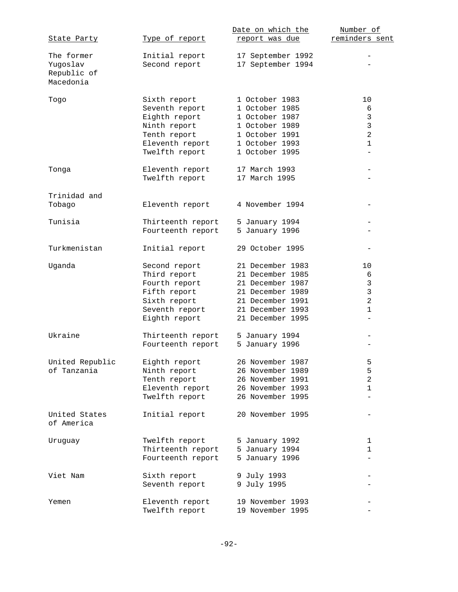| State Party                                        | Type of report                                                                                                       | Date on which the<br>report was due                                                                                                      | Number of<br>reminders sent                         |
|----------------------------------------------------|----------------------------------------------------------------------------------------------------------------------|------------------------------------------------------------------------------------------------------------------------------------------|-----------------------------------------------------|
| The former<br>Yugoslav<br>Republic of<br>Macedonia | Initial report<br>Second report                                                                                      | 17 September 1992<br>17 September 1994                                                                                                   |                                                     |
| Togo                                               | Sixth report<br>Seventh report<br>Eighth report<br>Ninth report<br>Tenth report<br>Eleventh report<br>Twelfth report | 1 October 1983<br>1 October 1985<br>1 October 1987<br>1 October 1989<br>1 October 1991<br>1 October 1993<br>1 October 1995               | 10<br>6<br>3<br>3<br>2<br>1                         |
| Tonga                                              | Eleventh report<br>Twelfth report                                                                                    | 17 March 1993<br>17 March 1995                                                                                                           |                                                     |
| Trinidad and<br>Tobago                             | Eleventh report                                                                                                      | 4 November 1994                                                                                                                          |                                                     |
| Tunisia                                            | Thirteenth report<br>Fourteenth report                                                                               | 5 January 1994<br>5 January 1996                                                                                                         |                                                     |
| Turkmenistan                                       | Initial report                                                                                                       | 29 October 1995                                                                                                                          |                                                     |
| Uganda                                             | Second report<br>Third report<br>Fourth report<br>Fifth report<br>Sixth report<br>Seventh report<br>Eighth report    | 21 December 1983<br>21 December 1985<br>21 December 1987<br>21 December 1989<br>21 December 1991<br>21 December 1993<br>21 December 1995 | 10<br>6<br>3<br>3<br>$\overline{c}$<br>$\mathbf{1}$ |
| Ukraine                                            | Thirteenth report<br>Fourteenth report                                                                               | 5 January 1994<br>5 January 1996                                                                                                         |                                                     |
| United Republic<br>of Tanzania                     | Eighth report<br>Ninth report<br>Tenth report<br>Eleventh report<br>Twelfth report                                   | 26 November 1987<br>26 November 1989<br>26 November 1991<br>26 November 1993<br>26 November 1995                                         | 5<br>5<br>$\sqrt{2}$<br>1                           |
| United States<br>of America                        | Initial report                                                                                                       | 20 November 1995                                                                                                                         |                                                     |
| Uruguay                                            | Twelfth report<br>Thirteenth report<br>Fourteenth report                                                             | 5 January 1992<br>5 January 1994<br>5 January 1996                                                                                       | 1<br>1                                              |
| Viet Nam                                           | Sixth report<br>Seventh report                                                                                       | 9 July 1993<br>9 July 1995                                                                                                               |                                                     |
| Yemen                                              | Eleventh report<br>Twelfth report                                                                                    | 19 November 1993<br>19 November 1995                                                                                                     |                                                     |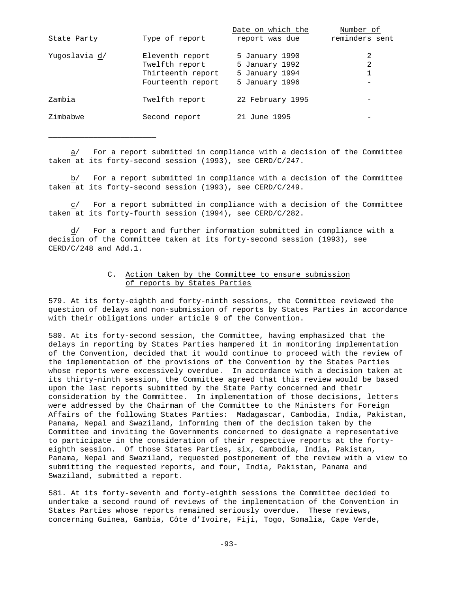| State Party   | Type of report                                                              | Date on which the<br>report was due                                  | Number of<br>reminders sent |
|---------------|-----------------------------------------------------------------------------|----------------------------------------------------------------------|-----------------------------|
| Yugoslavia d/ | Eleventh report<br>Twelfth report<br>Thirteenth report<br>Fourteenth report | 5 January 1990<br>5 January 1992<br>5 January 1994<br>5 January 1996 | 2<br>2                      |
| Zambia        | Twelfth report                                                              | 22 February 1995                                                     |                             |
| Zimbabwe      | Second report                                                               | 21 June 1995                                                         |                             |

a/ For a report submitted in compliance with a decision of the Committee taken at its forty-second session (1993), see CERD/C/247.

\_\_\_\_\_\_\_\_\_\_\_\_\_\_\_\_\_\_\_\_\_\_\_\_

b/ For a report submitted in compliance with a decision of the Committee taken at its forty-second session (1993), see CERD/C/249.

For a report submitted in compliance with a decision of the Committee taken at its forty-fourth session (1994), see CERD/C/282.

d/ For a report and further information submitted in compliance with a decision of the Committee taken at its forty-second session (1993), see CERD/C/248 and Add.1.

# C. Action taken by the Committee to ensure submission of reports by States Parties

579. At its forty-eighth and forty-ninth sessions, the Committee reviewed the question of delays and non-submission of reports by States Parties in accordance with their obligations under article 9 of the Convention.

580. At its forty-second session, the Committee, having emphasized that the delays in reporting by States Parties hampered it in monitoring implementation of the Convention, decided that it would continue to proceed with the review of the implementation of the provisions of the Convention by the States Parties whose reports were excessively overdue. In accordance with a decision taken at its thirty-ninth session, the Committee agreed that this review would be based upon the last reports submitted by the State Party concerned and their consideration by the Committee. In implementation of those decisions, letters were addressed by the Chairman of the Committee to the Ministers for Foreign Affairs of the following States Parties: Madagascar, Cambodia, India, Pakistan, Panama, Nepal and Swaziland, informing them of the decision taken by the Committee and inviting the Governments concerned to designate a representative to participate in the consideration of their respective reports at the fortyeighth session. Of those States Parties, six, Cambodia, India, Pakistan, Panama, Nepal and Swaziland, requested postponement of the review with a view to submitting the requested reports, and four, India, Pakistan, Panama and Swaziland, submitted a report.

581. At its forty-seventh and forty-eighth sessions the Committee decided to undertake a second round of reviews of the implementation of the Convention in States Parties whose reports remained seriously overdue. These reviews, concerning Guinea, Gambia, Côte d'Ivoire, Fiji, Togo, Somalia, Cape Verde,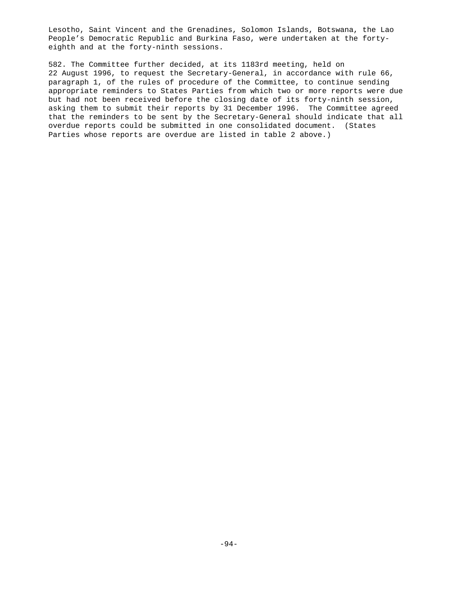Lesotho, Saint Vincent and the Grenadines, Solomon Islands, Botswana, the Lao People's Democratic Republic and Burkina Faso, were undertaken at the fortyeighth and at the forty-ninth sessions.

582. The Committee further decided, at its 1183rd meeting, held on 22 August 1996, to request the Secretary-General, in accordance with rule 66, paragraph 1, of the rules of procedure of the Committee, to continue sending appropriate reminders to States Parties from which two or more reports were due but had not been received before the closing date of its forty-ninth session, asking them to submit their reports by 31 December 1996. The Committee agreed that the reminders to be sent by the Secretary-General should indicate that all overdue reports could be submitted in one consolidated document. (States Parties whose reports are overdue are listed in table 2 above.)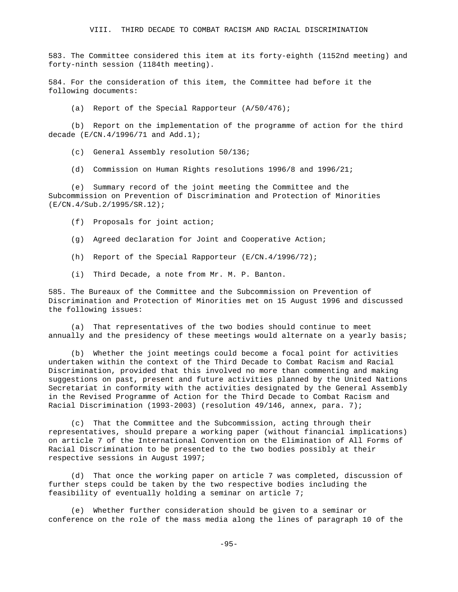583. The Committee considered this item at its forty-eighth (1152nd meeting) and forty-ninth session (1184th meeting).

584. For the consideration of this item, the Committee had before it the following documents:

(a) Report of the Special Rapporteur (A/50/476);

(b) Report on the implementation of the programme of action for the third decade (E/CN.4/1996/71 and Add.1);

(c) General Assembly resolution 50/136;

(d) Commission on Human Rights resolutions 1996/8 and 1996/21;

(e) Summary record of the joint meeting the Committee and the Subcommission on Prevention of Discrimination and Protection of Minorities (E/CN.4/Sub.2/1995/SR.12);

(f) Proposals for joint action;

(g) Agreed declaration for Joint and Cooperative Action;

(h) Report of the Special Rapporteur (E/CN.4/1996/72);

(i) Third Decade, a note from Mr. M. P. Banton.

585. The Bureaux of the Committee and the Subcommission on Prevention of Discrimination and Protection of Minorities met on 15 August 1996 and discussed the following issues:

(a) That representatives of the two bodies should continue to meet annually and the presidency of these meetings would alternate on a yearly basis;

(b) Whether the joint meetings could become a focal point for activities undertaken within the context of the Third Decade to Combat Racism and Racial Discrimination, provided that this involved no more than commenting and making suggestions on past, present and future activities planned by the United Nations Secretariat in conformity with the activities designated by the General Assembly in the Revised Programme of Action for the Third Decade to Combat Racism and Racial Discrimination (1993-2003) (resolution 49/146, annex, para. 7);

(c) That the Committee and the Subcommission, acting through their representatives, should prepare a working paper (without financial implications) on article 7 of the International Convention on the Elimination of All Forms of Racial Discrimination to be presented to the two bodies possibly at their respective sessions in August 1997;

(d) That once the working paper on article 7 was completed, discussion of further steps could be taken by the two respective bodies including the feasibility of eventually holding a seminar on article 7;

(e) Whether further consideration should be given to a seminar or conference on the role of the mass media along the lines of paragraph 10 of the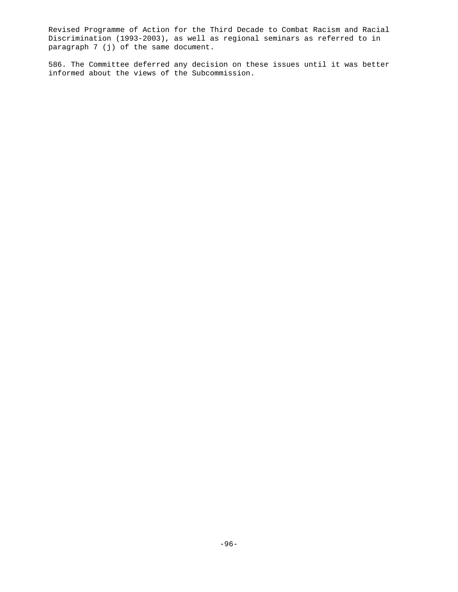Revised Programme of Action for the Third Decade to Combat Racism and Racial Discrimination (1993-2003), as well as regional seminars as referred to in paragraph 7 (j) of the same document.

586. The Committee deferred any decision on these issues until it was better informed about the views of the Subcommission.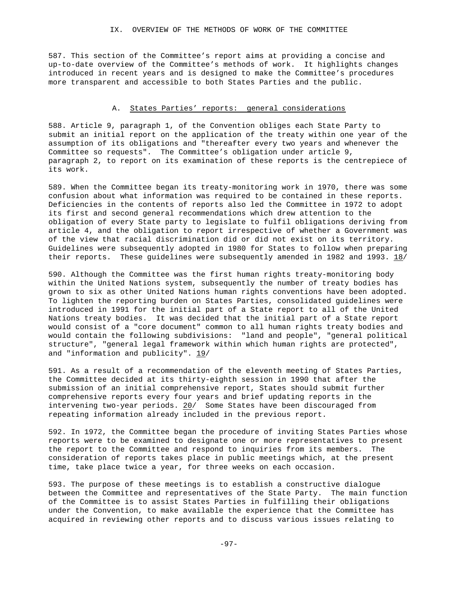#### IX. OVERVIEW OF THE METHODS OF WORK OF THE COMMITTEE

587. This section of the Committee's report aims at providing a concise and up-to-date overview of the Committee's methods of work. It highlights changes introduced in recent years and is designed to make the Committee's procedures more transparent and accessible to both States Parties and the public.

#### A. States Parties' reports: general considerations

588. Article 9, paragraph 1, of the Convention obliges each State Party to submit an initial report on the application of the treaty within one year of the assumption of its obligations and "thereafter every two years and whenever the Committee so requests". The Committee's obligation under article 9, paragraph 2, to report on its examination of these reports is the centrepiece of its work.

589. When the Committee began its treaty-monitoring work in 1970, there was some confusion about what information was required to be contained in these reports. Deficiencies in the contents of reports also led the Committee in 1972 to adopt its first and second general recommendations which drew attention to the obligation of every State party to legislate to fulfil obligations deriving from article 4, and the obligation to report irrespective of whether a Government was of the view that racial discrimination did or did not exist on its territory. Guidelines were subsequently adopted in 1980 for States to follow when preparing their reports. These guidelines were subsequently amended in 1982 and 1993. 18/

590. Although the Committee was the first human rights treaty-monitoring body within the United Nations system, subsequently the number of treaty bodies has grown to six as other United Nations human rights conventions have been adopted. To lighten the reporting burden on States Parties, consolidated guidelines were introduced in 1991 for the initial part of a State report to all of the United Nations treaty bodies. It was decided that the initial part of a State report would consist of a "core document" common to all human rights treaty bodies and would contain the following subdivisions: "land and people", "general political structure", "general legal framework within which human rights are protected", and "information and publicity". 19/

591. As a result of a recommendation of the eleventh meeting of States Parties, the Committee decided at its thirty-eighth session in 1990 that after the submission of an initial comprehensive report, States should submit further comprehensive reports every four years and brief updating reports in the intervening two-year periods. 20/ Some States have been discouraged from repeating information already included in the previous report.

592. In 1972, the Committee began the procedure of inviting States Parties whose reports were to be examined to designate one or more representatives to present the report to the Committee and respond to inquiries from its members. The consideration of reports takes place in public meetings which, at the present time, take place twice a year, for three weeks on each occasion.

593. The purpose of these meetings is to establish a constructive dialogue between the Committee and representatives of the State Party. The main function of the Committee is to assist States Parties in fulfilling their obligations under the Convention, to make available the experience that the Committee has acquired in reviewing other reports and to discuss various issues relating to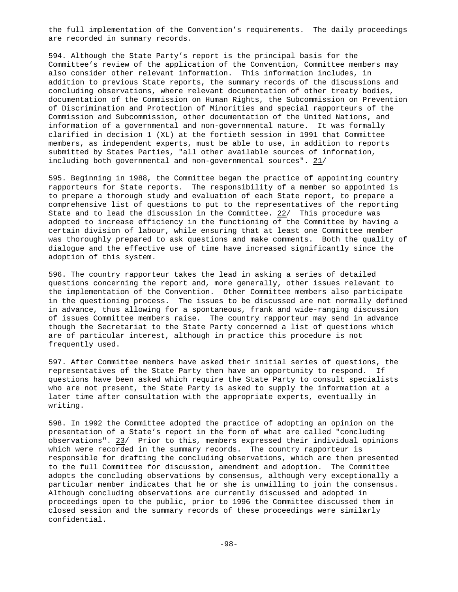the full implementation of the Convention's requirements. The daily proceedings are recorded in summary records.

594. Although the State Party's report is the principal basis for the Committee's review of the application of the Convention, Committee members may also consider other relevant information. This information includes, in addition to previous State reports, the summary records of the discussions and concluding observations, where relevant documentation of other treaty bodies, documentation of the Commission on Human Rights, the Subcommission on Prevention of Discrimination and Protection of Minorities and special rapporteurs of the Commission and Subcommission, other documentation of the United Nations, and information of a governmental and non-governmental nature. It was formally clarified in decision 1 (XL) at the fortieth session in 1991 that Committee members, as independent experts, must be able to use, in addition to reports submitted by States Parties, "all other available sources of information, including both governmental and non-governmental sources". 21/

595. Beginning in 1988, the Committee began the practice of appointing country rapporteurs for State reports. The responsibility of a member so appointed is to prepare a thorough study and evaluation of each State report, to prepare a comprehensive list of questions to put to the representatives of the reporting State and to lead the discussion in the Committee.  $22/$  This procedure was adopted to increase efficiency in the functioning of the Committee by having a certain division of labour, while ensuring that at least one Committee member was thoroughly prepared to ask questions and make comments. Both the quality of dialogue and the effective use of time have increased significantly since the adoption of this system.

596. The country rapporteur takes the lead in asking a series of detailed questions concerning the report and, more generally, other issues relevant to the implementation of the Convention. Other Committee members also participate in the questioning process. The issues to be discussed are not normally defined in advance, thus allowing for a spontaneous, frank and wide-ranging discussion of issues Committee members raise. The country rapporteur may send in advance though the Secretariat to the State Party concerned a list of questions which are of particular interest, although in practice this procedure is not frequently used.

597. After Committee members have asked their initial series of questions, the representatives of the State Party then have an opportunity to respond. If questions have been asked which require the State Party to consult specialists who are not present, the State Party is asked to supply the information at a later time after consultation with the appropriate experts, eventually in writing.

598. In 1992 the Committee adopted the practice of adopting an opinion on the presentation of a State's report in the form of what are called "concluding observations". 23/ Prior to this, members expressed their individual opinions which were recorded in the summary records. The country rapporteur is responsible for drafting the concluding observations, which are then presented to the full Committee for discussion, amendment and adoption. The Committee adopts the concluding observations by consensus, although very exceptionally a particular member indicates that he or she is unwilling to join the consensus. Although concluding observations are currently discussed and adopted in proceedings open to the public, prior to 1996 the Committee discussed them in closed session and the summary records of these proceedings were similarly confidential.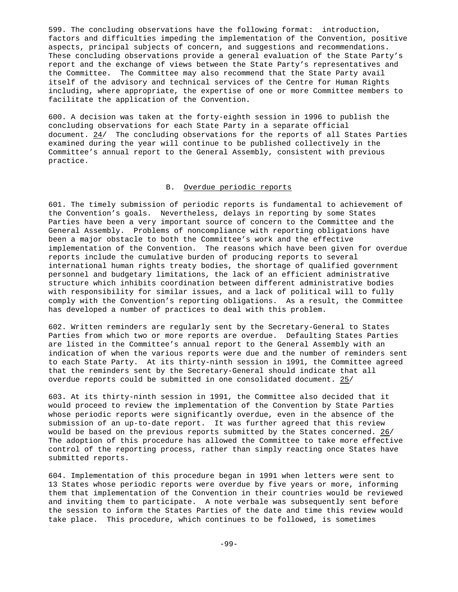599. The concluding observations have the following format: introduction, factors and difficulties impeding the implementation of the Convention, positive aspects, principal subjects of concern, and suggestions and recommendations. These concluding observations provide a general evaluation of the State Party's report and the exchange of views between the State Party's representatives and the Committee. The Committee may also recommend that the State Party avail itself of the advisory and technical services of the Centre for Human Rights including, where appropriate, the expertise of one or more Committee members to facilitate the application of the Convention.

600. A decision was taken at the forty-eighth session in 1996 to publish the concluding observations for each State Party in a separate official document. 24/ The concluding observations for the reports of all States Parties examined during the year will continue to be published collectively in the Committee's annual report to the General Assembly, consistent with previous practice.

### B. Overdue periodic reports

601. The timely submission of periodic reports is fundamental to achievement of the Convention's goals. Nevertheless, delays in reporting by some States Parties have been a very important source of concern to the Committee and the General Assembly. Problems of noncompliance with reporting obligations have been a major obstacle to both the Committee's work and the effective implementation of the Convention. The reasons which have been given for overdue reports include the cumulative burden of producing reports to several international human rights treaty bodies, the shortage of qualified government personnel and budgetary limitations, the lack of an efficient administrative structure which inhibits coordination between different administrative bodies with responsibility for similar issues, and a lack of political will to fully comply with the Convention's reporting obligations. As a result, the Committee has developed a number of practices to deal with this problem.

602. Written reminders are regularly sent by the Secretary-General to States Parties from which two or more reports are overdue. Defaulting States Parties are listed in the Committee's annual report to the General Assembly with an indication of when the various reports were due and the number of reminders sent to each State Party. At its thirty-ninth session in 1991, the Committee agreed that the reminders sent by the Secretary-General should indicate that all overdue reports could be submitted in one consolidated document. 25/

603. At its thirty-ninth session in 1991, the Committee also decided that it would proceed to review the implementation of the Convention by State Parties whose periodic reports were significantly overdue, even in the absence of the submission of an up-to-date report. It was further agreed that this review would be based on the previous reports submitted by the States concerned. 26/ The adoption of this procedure has allowed the Committee to take more effective control of the reporting process, rather than simply reacting once States have submitted reports.

604. Implementation of this procedure began in 1991 when letters were sent to 13 States whose periodic reports were overdue by five years or more, informing them that implementation of the Convention in their countries would be reviewed and inviting them to participate. A note verbale was subsequently sent before the session to inform the States Parties of the date and time this review would take place. This procedure, which continues to be followed, is sometimes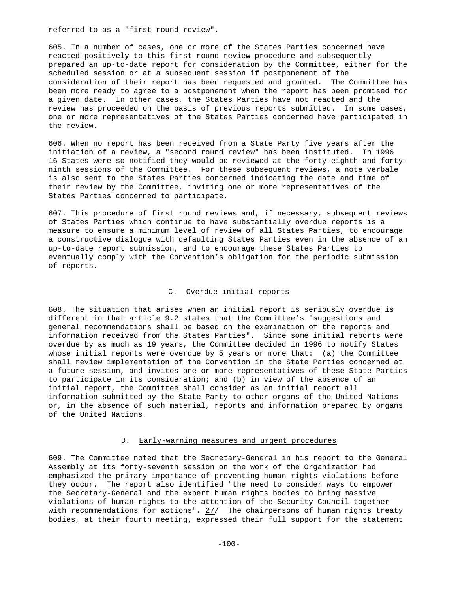referred to as a "first round review".

605. In a number of cases, one or more of the States Parties concerned have reacted positively to this first round review procedure and subsequently prepared an up-to-date report for consideration by the Committee, either for the scheduled session or at a subsequent session if postponement of the consideration of their report has been requested and granted. The Committee has been more ready to agree to a postponement when the report has been promised for a given date. In other cases, the States Parties have not reacted and the review has proceeded on the basis of previous reports submitted. In some cases, one or more representatives of the States Parties concerned have participated in the review.

606. When no report has been received from a State Party five years after the initiation of a review, a "second round review" has been instituted. In 1996 16 States were so notified they would be reviewed at the forty-eighth and fortyninth sessions of the Committee. For these subsequent reviews, a note verbale is also sent to the States Parties concerned indicating the date and time of their review by the Committee, inviting one or more representatives of the States Parties concerned to participate.

607. This procedure of first round reviews and, if necessary, subsequent reviews of States Parties which continue to have substantially overdue reports is a measure to ensure a minimum level of review of all States Parties, to encourage a constructive dialogue with defaulting States Parties even in the absence of an up-to-date report submission, and to encourage these States Parties to eventually comply with the Convention's obligation for the periodic submission of reports.

# C. Overdue initial reports

608. The situation that arises when an initial report is seriously overdue is different in that article 9.2 states that the Committee's "suggestions and general recommendations shall be based on the examination of the reports and information received from the States Parties". Since some initial reports were overdue by as much as 19 years, the Committee decided in 1996 to notify States whose initial reports were overdue by 5 years or more that: (a) the Committee shall review implementation of the Convention in the State Parties concerned at a future session, and invites one or more representatives of these State Parties to participate in its consideration; and (b) in view of the absence of an initial report, the Committee shall consider as an initial report all information submitted by the State Party to other organs of the United Nations or, in the absence of such material, reports and information prepared by organs of the United Nations.

# D. Early-warning measures and urgent procedures

609. The Committee noted that the Secretary-General in his report to the General Assembly at its forty-seventh session on the work of the Organization had emphasized the primary importance of preventing human rights violations before they occur. The report also identified "the need to consider ways to empower the Secretary-General and the expert human rights bodies to bring massive violations of human rights to the attention of the Security Council together with recommendations for actions". 27/ The chairpersons of human rights treaty bodies, at their fourth meeting, expressed their full support for the statement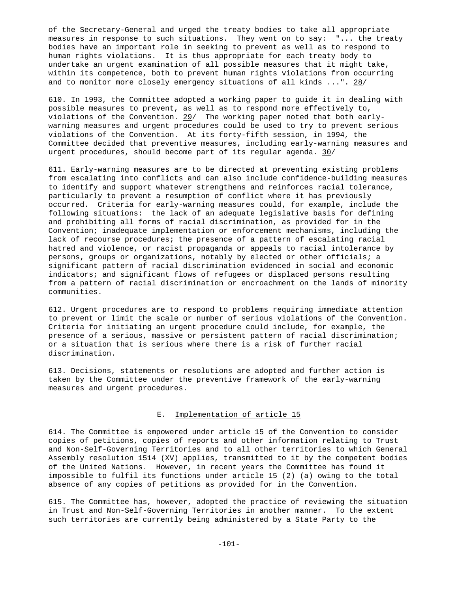of the Secretary-General and urged the treaty bodies to take all appropriate measures in response to such situations. They went on to say: "... the treaty bodies have an important role in seeking to prevent as well as to respond to human rights violations. It is thus appropriate for each treaty body to undertake an urgent examination of all possible measures that it might take, within its competence, both to prevent human rights violations from occurring and to monitor more closely emergency situations of all kinds ...". 28/

610. In 1993, the Committee adopted a working paper to guide it in dealing with possible measures to prevent, as well as to respond more effectively to, violations of the Convention. 29/ The working paper noted that both earlywarning measures and urgent procedures could be used to try to prevent serious violations of the Convention. At its forty-fifth session, in 1994, the Committee decided that preventive measures, including early-warning measures and urgent procedures, should become part of its regular agenda. 30/

611. Early-warning measures are to be directed at preventing existing problems from escalating into conflicts and can also include confidence-building measures to identify and support whatever strengthens and reinforces racial tolerance, particularly to prevent a resumption of conflict where it has previously occurred. Criteria for early-warning measures could, for example, include the following situations: the lack of an adequate legislative basis for defining and prohibiting all forms of racial discrimination, as provided for in the Convention; inadequate implementation or enforcement mechanisms, including the lack of recourse procedures; the presence of a pattern of escalating racial hatred and violence, or racist propaganda or appeals to racial intolerance by persons, groups or organizations, notably by elected or other officials; a significant pattern of racial discrimination evidenced in social and economic indicators; and significant flows of refugees or displaced persons resulting from a pattern of racial discrimination or encroachment on the lands of minority communities.

612. Urgent procedures are to respond to problems requiring immediate attention to prevent or limit the scale or number of serious violations of the Convention. Criteria for initiating an urgent procedure could include, for example, the presence of a serious, massive or persistent pattern of racial discrimination; or a situation that is serious where there is a risk of further racial discrimination.

613. Decisions, statements or resolutions are adopted and further action is taken by the Committee under the preventive framework of the early-warning measures and urgent procedures.

# E. Implementation of article 15

614. The Committee is empowered under article 15 of the Convention to consider copies of petitions, copies of reports and other information relating to Trust and Non-Self-Governing Territories and to all other territories to which General Assembly resolution 1514 (XV) applies, transmitted to it by the competent bodies of the United Nations. However, in recent years the Committee has found it impossible to fulfil its functions under article 15 (2) (a) owing to the total absence of any copies of petitions as provided for in the Convention.

615. The Committee has, however, adopted the practice of reviewing the situation in Trust and Non-Self-Governing Territories in another manner. To the extent such territories are currently being administered by a State Party to the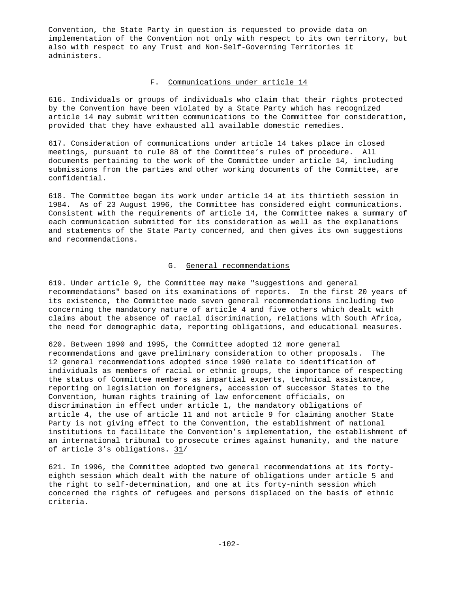Convention, the State Party in question is requested to provide data on implementation of the Convention not only with respect to its own territory, but also with respect to any Trust and Non-Self-Governing Territories it administers.

# F. Communications under article 14

616. Individuals or groups of individuals who claim that their rights protected by the Convention have been violated by a State Party which has recognized article 14 may submit written communications to the Committee for consideration, provided that they have exhausted all available domestic remedies.

617. Consideration of communications under article 14 takes place in closed meetings, pursuant to rule 88 of the Committee's rules of procedure. All documents pertaining to the work of the Committee under article 14, including submissions from the parties and other working documents of the Committee, are confidential.

618. The Committee began its work under article 14 at its thirtieth session in 1984. As of 23 August 1996, the Committee has considered eight communications. Consistent with the requirements of article 14, the Committee makes a summary of each communication submitted for its consideration as well as the explanations and statements of the State Party concerned, and then gives its own suggestions and recommendations.

#### G. General recommendations

619. Under article 9, the Committee may make "suggestions and general recommendations" based on its examinations of reports. In the first 20 years of its existence, the Committee made seven general recommendations including two concerning the mandatory nature of article 4 and five others which dealt with claims about the absence of racial discrimination, relations with South Africa, the need for demographic data, reporting obligations, and educational measures.

620. Between 1990 and 1995, the Committee adopted 12 more general recommendations and gave preliminary consideration to other proposals. The 12 general recommendations adopted since 1990 relate to identification of individuals as members of racial or ethnic groups, the importance of respecting the status of Committee members as impartial experts, technical assistance, reporting on legislation on foreigners, accession of successor States to the Convention, human rights training of law enforcement officials, on discrimination in effect under article 1, the mandatory obligations of article 4, the use of article 11 and not article 9 for claiming another State Party is not giving effect to the Convention, the establishment of national institutions to facilitate the Convention's implementation, the establishment of an international tribunal to prosecute crimes against humanity, and the nature of article 3's obligations. 31/

621. In 1996, the Committee adopted two general recommendations at its fortyeighth session which dealt with the nature of obligations under article 5 and the right to self-determination, and one at its forty-ninth session which concerned the rights of refugees and persons displaced on the basis of ethnic criteria.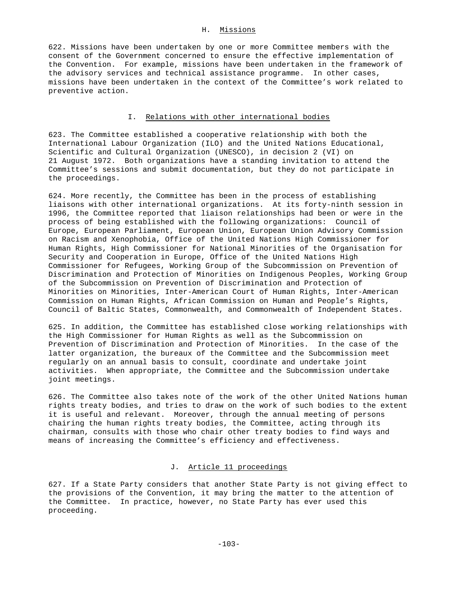# H. Missions

622. Missions have been undertaken by one or more Committee members with the consent of the Government concerned to ensure the effective implementation of the Convention. For example, missions have been undertaken in the framework of the advisory services and technical assistance programme. In other cases, missions have been undertaken in the context of the Committee's work related to preventive action.

## I. Relations with other international bodies

623. The Committee established a cooperative relationship with both the International Labour Organization (ILO) and the United Nations Educational, Scientific and Cultural Organization (UNESCO), in decision 2 (VI) on 21 August 1972. Both organizations have a standing invitation to attend the Committee's sessions and submit documentation, but they do not participate in the proceedings.

624. More recently, the Committee has been in the process of establishing liaisons with other international organizations. At its forty-ninth session in 1996, the Committee reported that liaison relationships had been or were in the process of being established with the following organizations: Council of Europe, European Parliament, European Union, European Union Advisory Commission on Racism and Xenophobia, Office of the United Nations High Commissioner for Human Rights, High Commissioner for National Minorities of the Organisation for Security and Cooperation in Europe, Office of the United Nations High Commissioner for Refugees, Working Group of the Subcommission on Prevention of Discrimination and Protection of Minorities on Indigenous Peoples, Working Group of the Subcommission on Prevention of Discrimination and Protection of Minorities on Minorities, Inter-American Court of Human Rights, Inter-American Commission on Human Rights, African Commission on Human and People's Rights, Council of Baltic States, Commonwealth, and Commonwealth of Independent States.

625. In addition, the Committee has established close working relationships with the High Commissioner for Human Rights as well as the Subcommission on Prevention of Discrimination and Protection of Minorities. In the case of the latter organization, the bureaux of the Committee and the Subcommission meet regularly on an annual basis to consult, coordinate and undertake joint activities. When appropriate, the Committee and the Subcommission undertake joint meetings.

626. The Committee also takes note of the work of the other United Nations human rights treaty bodies, and tries to draw on the work of such bodies to the extent it is useful and relevant. Moreover, through the annual meeting of persons chairing the human rights treaty bodies, the Committee, acting through its chairman, consults with those who chair other treaty bodies to find ways and means of increasing the Committee's efficiency and effectiveness.

#### J. Article 11 proceedings

627. If a State Party considers that another State Party is not giving effect to the provisions of the Convention, it may bring the matter to the attention of the Committee. In practice, however, no State Party has ever used this proceeding.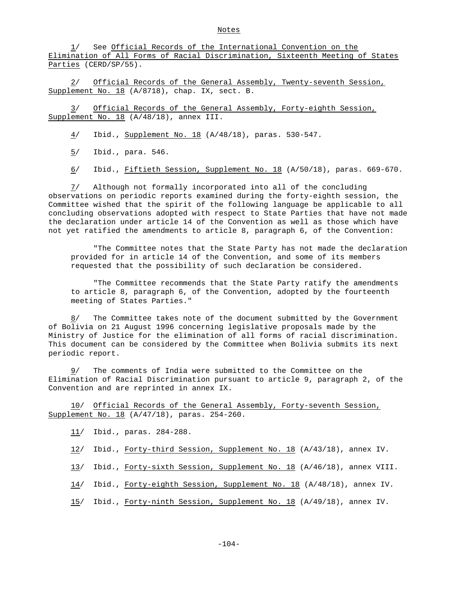#### Notes

1/ See Official Records of the International Convention on the Elimination of All Forms of Racial Discrimination, Sixteenth Meeting of States Parties (CERD/SP/55).

2/ Official Records of the General Assembly, Twenty-seventh Session, Supplement No. 18 (A/8718), chap. IX, sect. B.

3/ Official Records of the General Assembly, Forty-eighth Session, Supplement No. 18 (A/48/18), annex III.

4/ Ibid., Supplement No. 18 (A/48/18), paras. 530-547.

5/ Ibid., para. 546.

6/ Ibid., Fiftieth Session, Supplement No. 18 (A/50/18), paras. 669-670.

7/ Although not formally incorporated into all of the concluding observations on periodic reports examined during the forty-eighth session, the Committee wished that the spirit of the following language be applicable to all concluding observations adopted with respect to State Parties that have not made the declaration under article 14 of the Convention as well as those which have not yet ratified the amendments to article 8, paragraph 6, of the Convention:

"The Committee notes that the State Party has not made the declaration provided for in article 14 of the Convention, and some of its members requested that the possibility of such declaration be considered.

"The Committee recommends that the State Party ratify the amendments to article 8, paragraph 6, of the Convention, adopted by the fourteenth meeting of States Parties."

8/ The Committee takes note of the document submitted by the Government of Bolivia on 21 August 1996 concerning legislative proposals made by the Ministry of Justice for the elimination of all forms of racial discrimination. This document can be considered by the Committee when Bolivia submits its next periodic report.

9/ The comments of India were submitted to the Committee on the Elimination of Racial Discrimination pursuant to article 9, paragraph 2, of the Convention and are reprinted in annex IX.

10/ Official Records of the General Assembly, Forty-seventh Session, Supplement No. 18 (A/47/18), paras. 254-260.

11/ Ibid., paras. 284-288.

12/ Ibid., Forty-third Session, Supplement No. 18 (A/43/18), annex IV.

13/ Ibid., Forty-sixth Session, Supplement No. 18 (A/46/18), annex VIII.

14/ Ibid., Forty-eighth Session, Supplement No. 18 (A/48/18), annex IV.

15/ Ibid., Forty-ninth Session, Supplement No. 18 (A/49/18), annex IV.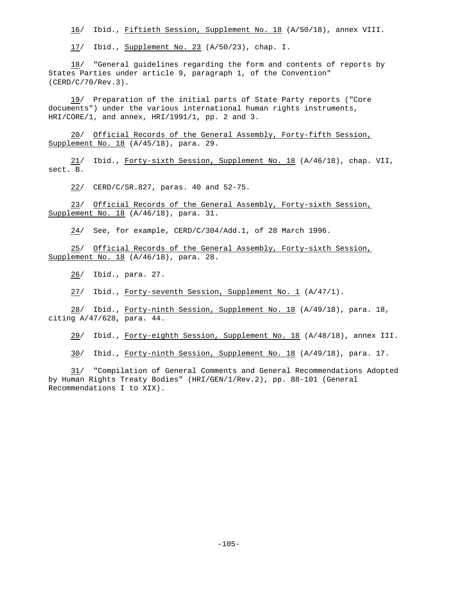16/ Ibid., Fiftieth Session, Supplement No. 18 (A/50/18), annex VIII.

17/ Ibid., Supplement No. 23 (A/50/23), chap. I.

18/ "General guidelines regarding the form and contents of reports by States Parties under article 9, paragraph 1, of the Convention" (CERD/C/70/Rev.3).

19/ Preparation of the initial parts of State Party reports ("Core documents") under the various international human rights instruments, HRI/CORE/1, and annex, HRI/1991/1, pp. 2 and 3.

20/ Official Records of the General Assembly, Forty-fifth Session, Supplement No. 18 (A/45/18), para. 29.

21/ Ibid., Forty-sixth Session, Supplement No. 18 (A/46/18), chap. VII, sect. B.

22/ CERD/C/SR.827, paras. 40 and 52-75.

23/ Official Records of the General Assembly, Forty-sixth Session, Supplement No. 18 (A/46/18), para. 31.

24/ See, for example, CERD/C/304/Add.1, of 28 March 1996.

25/ Official Records of the General Assembly, Forty-sixth Session, Supplement No. 18 (A/46/18), para. 28.

26/ Ibid., para. 27.

27/ Ibid., Forty-seventh Session, Supplement No. 1 (A/47/1).

28/ Ibid., Forty-ninth Session, Supplement No. 18 (A/49/18), para. 18, citing A/47/628, para. 44.

29/ Ibid., Forty-eighth Session, Supplement No. 18 (A/48/18), annex III.

30/ Ibid., Forty-ninth Session, Supplement No. 18 (A/49/18), para. 17.

31/ "Compilation of General Comments and General Recommendations Adopted by Human Rights Treaty Bodies" (HRI/GEN/1/Rev.2), pp. 88-101 (General Recommendations I to XIX).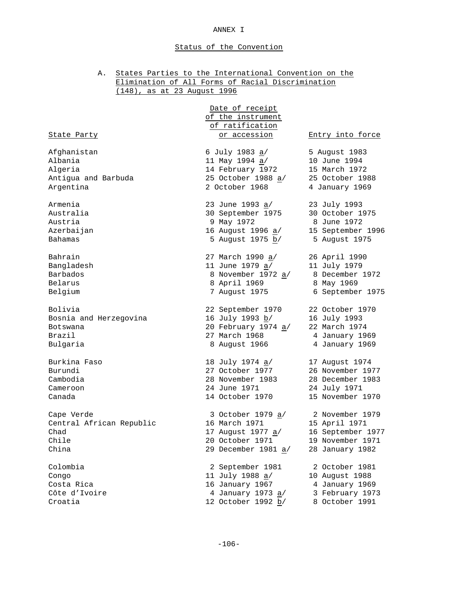# ANNEX I

# Status of the Convention

| Α.                       |                                                   |  | States Parties to the International Convention on the   |  |                   |
|--------------------------|---------------------------------------------------|--|---------------------------------------------------------|--|-------------------|
|                          | Elimination of All Forms of Racial Discrimination |  |                                                         |  |                   |
|                          | (148), as at 23 August 1996                       |  |                                                         |  |                   |
|                          |                                                   |  | Date of receipt<br>of the instrument<br>of ratification |  |                   |
| State Party              |                                                   |  | or accession                                            |  | Entry into force  |
| Afghanistan              |                                                   |  | 6 July 1983 <u>a</u> /                                  |  | 5 August 1983     |
| Albania                  |                                                   |  | 11 May 1994 a/                                          |  | 10 June 1994      |
| Algeria                  |                                                   |  | 14 February 1972                                        |  | 15 March 1972     |
| Antigua and Barbuda      |                                                   |  | 25 October 1988 a/                                      |  | 25 October 1988   |
| Argentina                |                                                   |  | 2 October 1968                                          |  | 4 January 1969    |
| Armenia                  |                                                   |  | 23 June 1993 <u>a</u> /                                 |  | 23 July 1993      |
| Australia                |                                                   |  | 30 September 1975                                       |  | 30 October 1975   |
| Austria                  |                                                   |  | 9 May 1972                                              |  | 8 June 1972       |
| Azerbaijan               |                                                   |  | 16 August 1996 a/                                       |  | 15 September 1996 |
| <b>Bahamas</b>           |                                                   |  | 5 August 1975 b/                                        |  | 5 August 1975     |
| Bahrain                  |                                                   |  | 27 March 1990 a/                                        |  | 26 April 1990     |
| Bangladesh               |                                                   |  | 11 June 1979 a/                                         |  | 11 July 1979      |
| Barbados                 |                                                   |  | 8 November 1972 a/                                      |  | 8 December 1972   |
| Belarus                  |                                                   |  | 8 April 1969                                            |  | 8 May 1969        |
| Belgium                  |                                                   |  | 7 August 1975                                           |  | 6 September 1975  |
| Bolivia                  |                                                   |  | 22 September 1970                                       |  | 22 October 1970   |
| Bosnia and Herzegovina   |                                                   |  | 16 July 1993 b/                                         |  | 16 July 1993      |
| Botswana                 |                                                   |  | 20 February 1974 a/                                     |  | 22 March 1974     |
| Brazil                   |                                                   |  | 27 March 1968                                           |  | 4 January 1969    |
| Bulgaria                 |                                                   |  | 8 August 1966                                           |  | 4 January 1969    |
| Burkina Faso             |                                                   |  | 18 July 1974 <u>a</u> /                                 |  | 17 August 1974    |
| Burundi                  |                                                   |  | 27 October 1977                                         |  | 26 November 1977  |
| Cambodia                 |                                                   |  | 28 November 1983                                        |  | 28 December 1983  |
| Cameroon                 |                                                   |  | 24 June 1971                                            |  | 24 July 1971      |
| Canada                   |                                                   |  | 14 October 1970                                         |  | 15 November 1970  |
| Cape Verde               |                                                   |  | 3 October 1979 <u>a</u> /                               |  | 2 November 1979   |
| Central African Republic |                                                   |  | 16 March 1971                                           |  | 15 April 1971     |
| Chad                     |                                                   |  | 17 August 1977 a/                                       |  | 16 September 1977 |
| Chile                    |                                                   |  | 20 October 1971                                         |  | 19 November 1971  |
| China                    |                                                   |  | 29 December 1981 a/                                     |  | 28 January 1982   |
| Colombia                 |                                                   |  | 2 September 1981                                        |  | 2 October 1981    |
| Congo                    |                                                   |  | 11 July 1988 a/                                         |  | 10 August 1988    |
| Costa Rica               |                                                   |  | 16 January 1967                                         |  | 4 January 1969    |
| Côte d'Ivoire            |                                                   |  | 4 January 1973 a/                                       |  | 3 February 1973   |
| Croatia                  |                                                   |  | 12 October 1992 b/                                      |  | 8 October 1991    |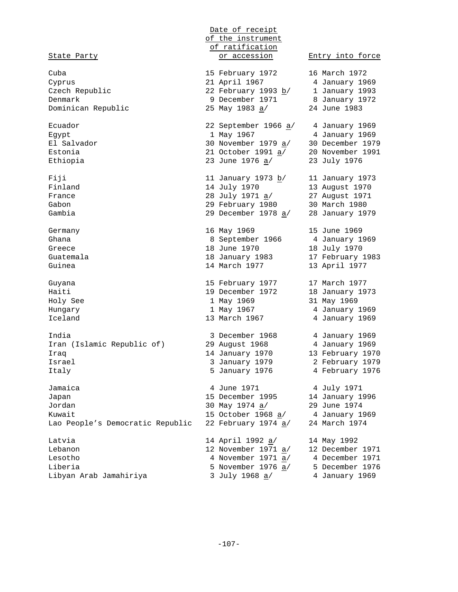```
State Party State Party State Party CONS CONS Entry into force
Cuba 15 February 1972 16 March 1972
Cyprus 21 April 1967 4 January 1969
Czech Republic 22 February 1993 b/ 1 January 1993
Denmark 9 December 1971
Dominican Republic 25 May 1983 a/ 24 June 1983
Ecuador 22 September 1966 a/ 4 January 1969
Egypt 1 May 1967 4 January 1969
El Salvador 30 November 1979 a/ 30 December 1979
Estonia 21 October 1991 a/ 20 November 1991
Ethiopia 23 June 1976 a/ 23 July 1976
Fiji 11 January 1973 b/ 11 January 1973
Finland 14 July 1970 13 August 1970
France 28 July 1971 a/ 27 August 1971
Gabon 29 February 1980 30 March 1980
Gambia 29 December 1978 a/ 28 January 1979
Germany 16 May 1969 15 June 1969
Ghana 8 September 1966 4 January 1969
Greece 18 June 1970 18 July 1970
Guatemala 18 January 1983 17 February 1983
Guinea 14 March 1977 13 April 1977
Guyana 15 February 1977 17 March 1977
Haiti 19 December 1972 18 January 1973
Holy See 1 May 1969 1 May 1969 31 May 1969
Hungary 1 May 1967 4 January 1969
Iceland 13 March 1967 4 January 1969
India 1969 1969 and 1968 1968 1969 and 1969 and 1969
Iran (Islamic Republic of) 29 August 1968 4 January 1969
Iran (Islamic Republic Ol) 14 January 1989<br>Iraq 14 January 1970 13 February 1970
Israel 3 January 1979 2 February 1979
Italy 5 January 1976 2 February 1976
Jamaica 4 June 1971 4 July 1971
Japan 15 December 1995 14 January 1996
Jordan 30 May 1974 a/ 29 June 1974
Kuwait 15 October 1968 <u>a</u>/ 14 January 1969 and the Research of the 1969 and the N
Lao People's Democratic Republic 22 February 1974 <u>a</u>/ 24 March 1974
Latvia 14 April 1992 a/ 14 May 1992
Lebanon 12 November 1971 a/ 12 December 1971
Lesotho 4 November 1971 a/ 4 December 1971
Liberia 5 November 1976 a/ 5 December 1976
Libyan Arab Jamahiriya                         3 July 1968 <u>a</u>/             4 January 1969
```

```
Date of receipt
of the instrument
of ratification
```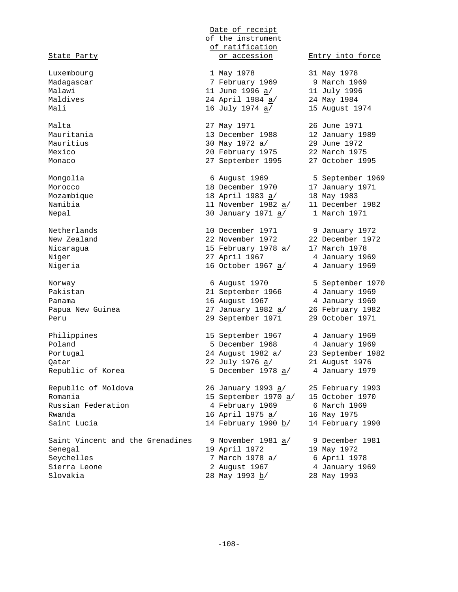State Party **Communist Communist Communist Communist Communist Communist Communist Communist Communist Communist Communist Communist Communist Communist Communist Communist Communist Communist Communist Communist Communist** Luxembourg 1 May 1978 31 May 1978 Madagascar 7 February 1969 9 March 1969 Malawi 11 June 1996 a/ Maldives 24 April 1984 a/ 24 May 1984 Mali 16 July 1974 <u>a</u>/ 15 August 1974 Malta 27 May 1971 26 June 1971 Mauritania 13 December 1988 12 January 1989 Mauritius  $\begin{matrix} 30 & \text{May} \ 1972 & \frac{1}{2} \end{matrix}$  and  $\begin{matrix} 29 & \text{June} \ 1972 \end{matrix}$ Mexico 20 February 1975 22 March 1975 Monaco 27 September 1995 27 October 1995 Mongolia 6 August 1969 5 September 1969 Morocco 18 December 1970 17 January 1971<br>Mozambique 18 April 1983 <u>a</u>/ 18 May 1983 Mozambique 18 April 1983 a/ Namibia 11 November 1982  $\underline{a}$  11 December 1982<br>Nepal 1982 30 January 1971  $\underline{a}$  1 March 1971 Nepal  $\frac{a}{1 - a}$  30 January 1971  $\frac{a}{1 - a}$ Netherlands 10 December 1971 9 January 1972 New Zealand 22 November 1972 22 December 1972 Nicaragua 15 February 1978 a/ 17 March 1978 Niger 27 April 1967 1969 1969<br>Nigeria 27 April 1967 2/4 January 1969 Nigeria  $\frac{16}{16}$  October 1967 <u>a</u>/ Norway **6 August 1970** 5 September 1970 Pakistan 21 September 1966 4 January 1969 Panama 16 August 1967 4 January 1969 Papua New Guinea 27 January 1982 a/ 26 February 1982 Peru 29 September 1971 29 October 1971 Philippines 15 September 1967 1969 Poland 5 December 1968 4 January 1969 Portugal 24 August 1982 <u>a</u>/ 23 September 1982 Qatar 22 July 1976 a/ 21 August 1976 Republic of Korea 5 December 1978 <u>a</u>/ 4 January 1979 Republic of Moldova 26 January 1993 a/ 25 February 1993 Romania 15 September 1970  $\frac{1}{2}$  15 October 1970 Russian Federation 4 February 1969 6 March 1969 Rwanda 16 April 1975 a/ 16 May 1975 Saint Lucia 14 February 1990 b/ 14 February 1990 Saint Vincent and the Grenadines 9 November 1981  $\underline{a}$  9 December 1981<br>Senegal 1972 19 May 1972 Senegal 19 April 1972<br>
Senegal 1972<br>
Seychelles 7 March 1978 <u>a</u>/ 6 April 1978 Seychelles 7 March 1978 <u>a</u>/

Slovakia 28 May 1993 b/ 28 May 1993

Date of receipt of the instrument of ratification Sierra Leone 2 August 1967 4 January 1969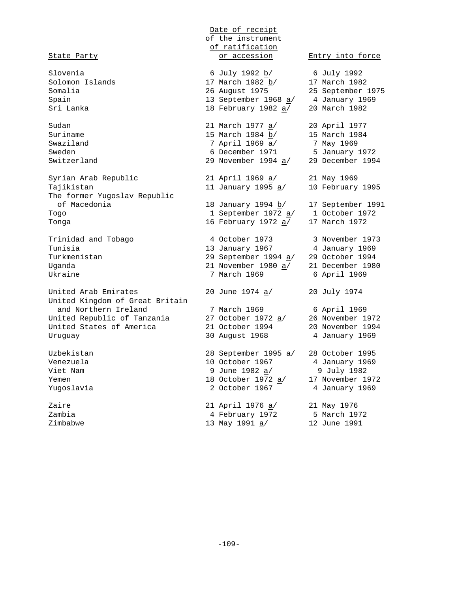Tajikistan 11 January 1995 a/ 10 February 1995 The former Yugoslav Republic Togo 1 September 1972 <u>a</u>/ 1 October 1972 and 1 September 1972 and 1 October 1972 Tonga 16 February 1972 a/ 17 March 1972

United Kingdom of Great Britain and Northern Ireland 7 March 1969 6 April 1969 United Republic of Tanzania 27 October 1972 a/ 26 November 1972 United States of America 21 October 1994 20 November 1994

Date of receipt of the instrument of ratification State Party **Entry 1110** or accession Entry into force Slovenia 6 July 1992 b/ 6 July 1992 Solomon Islands 17 March 1982 b/ 17 March 1982 Somalia 26 August 1975 25 September 1975 Spain 13 September 1968 <u>a</u>/ 13 Anuary 1969 and the Spain 2010 and the Spain 2010 and the Spain 2010 and the Spain 20 Sri Lanka 18 February 1982 a/ 20 March 1982 Sudan 21 March 1977 a/ 20 April 1977 Suriname 15 March 1984 b/ 15 March 1984 Swaziland 7 April 1969 a/ 7 May 1969 Sweden 6 December 1971 5 January 1972 Switzerland 29 November 1994 a/ 29 December 1994 Syrian Arab Republic 21 April 1969 a/ 21 May 1969 of Macedonia 18 January 1994 b/ 17 September 1991 Trinidad and Tobago 4 October 1973 3 November 1973 Tunisia 13 January 1967 4 January 1969 Turkmenistan 29 September 1994 a/ 29 October 1994 Uganda 21 November 1980 a/ 21 December 1980 Ukraine 7 March 1969 6 April 1969 United Arab Emirates 20 June 1974 a/ 20 July 1974 Uruguay 30 August 1968 4 January 1969 Uzbekistan 28 September 1995 a/ 28 October 1995 Venezuela 10 October 1967 4 January 1969 Viet Nam 9 June 1982 a/ 9 July 1982 Yemen 18 October 1972 <u>a</u>/ 17 November 1972 Yugoslavia 2 October 1967 4 January 1969 Zaire 21 April 1976 <u>a</u>/ 21 May 1976 Zambia 4 February 1972 5 March 1972

Zimbabwe 13 May 1991 a/ 12 June 1991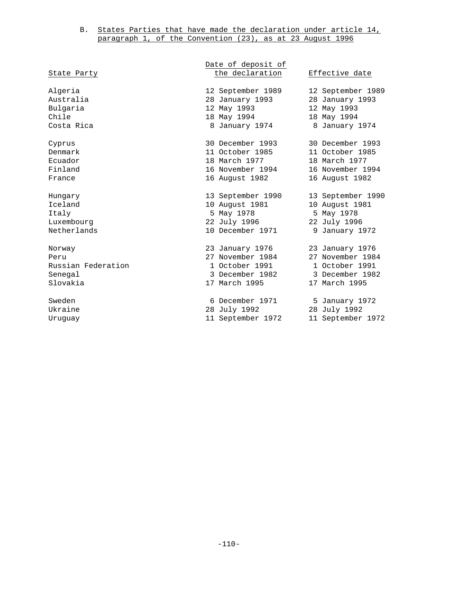B. States Parties that have made the declaration under article 14, paragraph 1, of the Convention (23), as at 23 August 1996

| State Party        | the declaration   | Effective date    |
|--------------------|-------------------|-------------------|
|                    |                   |                   |
| Algeria            | 12 September 1989 | 12 September 1989 |
| Australia          | 28 January 1993   | 28 January 1993   |
| Bulgaria           | 12 May 1993       | 12 May 1993       |
| Chile              | 18 May 1994       | 18 May 1994       |
| Costa Rica         | 8 January 1974    | 8 January 1974    |
| Cyprus             | 30 December 1993  | 30 December 1993  |
| Denmark            | 11 October 1985   | 11 October 1985   |
| Ecuador            | 18 March 1977     | 18 March 1977     |
| Finland            | 16 November 1994  | 16 November 1994  |
| France             | 16 August 1982    | 16 August 1982    |
| Hungary            | 13 September 1990 | 13 September 1990 |
| Iceland            | 10 August 1981    | 10 August 1981    |
| Italy              | 5 May 1978        | 5 May 1978        |
| Luxembourg         | 22 July 1996      | 22 July 1996      |
| Netherlands        | 10 December 1971  | 9 January 1972    |
| Norway             | 23 January 1976   | 23 January 1976   |
| Peru               | 27 November 1984  | 27 November 1984  |
| Russian Federation | 1 October 1991    | 1 October 1991    |
| Senegal            | 3 December 1982   | 3 December 1982   |
| Slovakia           | 17 March 1995     | 17 March 1995     |
| Sweden             | 6 December 1971   | 5 January 1972    |
| Ukraine            | 28 July 1992      | 28 July 1992      |

| State Party        | Date of deposit of<br>the declaration | Effective date    |
|--------------------|---------------------------------------|-------------------|
| Algeria            | 12 September 1989                     | 12 September 1989 |
| Australia          | 28 January 1993                       | 28 January 1993   |
| Bulgaria           | 12 May 1993                           | 12 May 1993       |
| Chile              | 18 May 1994                           | 18 May 1994       |
| Costa Rica         | 8 January 1974                        | 8 January 1974    |
| Cyprus             | 30 December 1993                      | 30 December 1993  |
| Denmark            | 11 October 1985                       | 11 October 1985   |
| Ecuador            | 18 March 1977                         | 18 March 1977     |
| Finland            | 16 November 1994                      | 16 November 1994  |
| France             | 16 August 1982                        | 16 August 1982    |
| Hungary            | 13 September 1990                     | 13 September 1990 |
| Iceland            | 10 August 1981                        | 10 August 1981    |
| Italy              | 5 May 1978                            | 5 May 1978        |
| Luxembourg         | 22 July 1996                          | 22 July 1996      |
| Netherlands        | 10 December 1971                      | 9 January 1972    |
| Norway             | 23 January 1976                       | 23 January 1976   |
| Peru               | 27 November 1984                      | 27 November 1984  |
| Russian Federation | 1 October 1991                        | 1 October 1991    |
| Senegal            | 3 December 1982                       | 3 December 1982   |
| Slovakia           | 17 March 1995                         | 17 March 1995     |
| Sweden             | 6 December 1971                       | 5 January 1972    |
| Ukraine            | 28 July 1992                          | 28 July 1992      |
| Uruquay            | 11 September 1972                     | 11 September 1972 |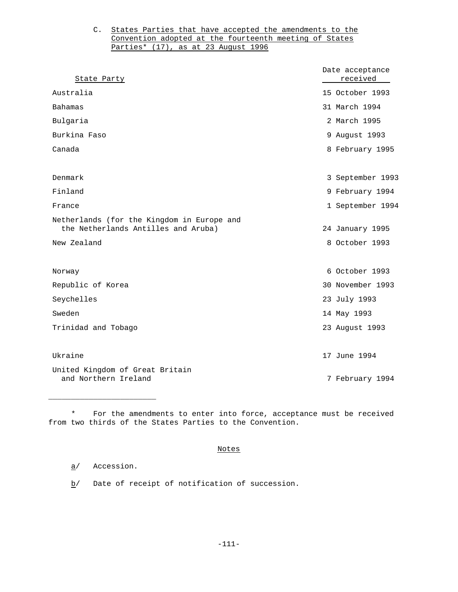# C. States Parties that have accepted the amendments to the Convention adopted at the fourteenth meeting of States Parties\* (17), as at 23 August 1996

| State Party                                                                       | Date acceptance<br>received |
|-----------------------------------------------------------------------------------|-----------------------------|
| Australia                                                                         | 15 October 1993             |
| <b>Bahamas</b>                                                                    | 31 March 1994               |
| Bulgaria                                                                          | 2 March 1995                |
| Burkina Faso                                                                      | 9 August 1993               |
| Canada                                                                            | 8 February 1995             |
| Denmark                                                                           | 3 September 1993            |
| Finland                                                                           | 9 February 1994             |
| France                                                                            | 1 September 1994            |
| Netherlands (for the Kingdom in Europe and<br>the Netherlands Antilles and Aruba) | 24 January 1995             |
| New Zealand                                                                       | 8 October 1993              |
| Norway                                                                            | 6 October 1993              |
| Republic of Korea                                                                 | 30 November 1993            |
| Seychelles                                                                        | 23 July 1993                |
| Sweden                                                                            | 14 May 1993                 |
| Trinidad and Tobago                                                               | 23 August 1993              |
| Ukraine                                                                           | 17 June 1994                |
| United Kingdom of Great Britain<br>and Northern Ireland                           | 7 February 1994             |

\* For the amendments to enter into force, acceptance must be received from two thirds of the States Parties to the Convention.

Notes

a/ Accession.

\_\_\_\_\_\_\_\_\_\_\_\_\_\_\_\_\_\_\_\_\_\_\_\_

b/ Date of receipt of notification of succession.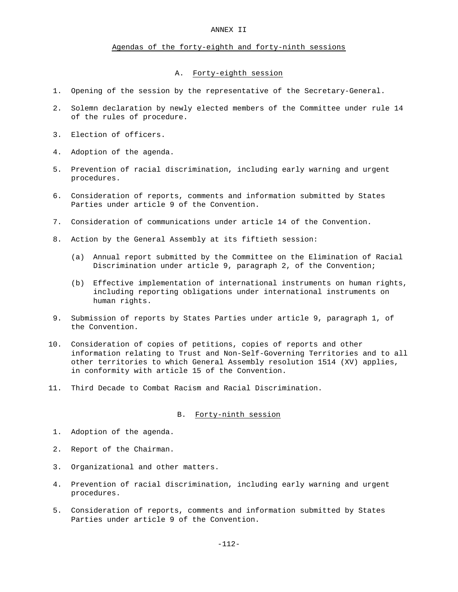## ANNEX II

#### Agendas of the forty-eighth and forty-ninth sessions

# A. Forty-eighth session

- 1. Opening of the session by the representative of the Secretary-General.
- 2. Solemn declaration by newly elected members of the Committee under rule 14 of the rules of procedure.
- 3. Election of officers.
- 4. Adoption of the agenda.
- 5. Prevention of racial discrimination, including early warning and urgent procedures.
- 6. Consideration of reports, comments and information submitted by States Parties under article 9 of the Convention.
- 7. Consideration of communications under article 14 of the Convention.
- 8. Action by the General Assembly at its fiftieth session:
	- (a) Annual report submitted by the Committee on the Elimination of Racial Discrimination under article 9, paragraph 2, of the Convention;
	- (b) Effective implementation of international instruments on human rights, including reporting obligations under international instruments on human rights.
- 9. Submission of reports by States Parties under article 9, paragraph 1, of the Convention.
- 10. Consideration of copies of petitions, copies of reports and other information relating to Trust and Non-Self-Governing Territories and to all other territories to which General Assembly resolution 1514 (XV) applies, in conformity with article 15 of the Convention.
- 11. Third Decade to Combat Racism and Racial Discrimination.

# B. Forty-ninth session

- 1. Adoption of the agenda.
- 2. Report of the Chairman.
- 3. Organizational and other matters.
- 4. Prevention of racial discrimination, including early warning and urgent procedures.
- 5. Consideration of reports, comments and information submitted by States Parties under article 9 of the Convention.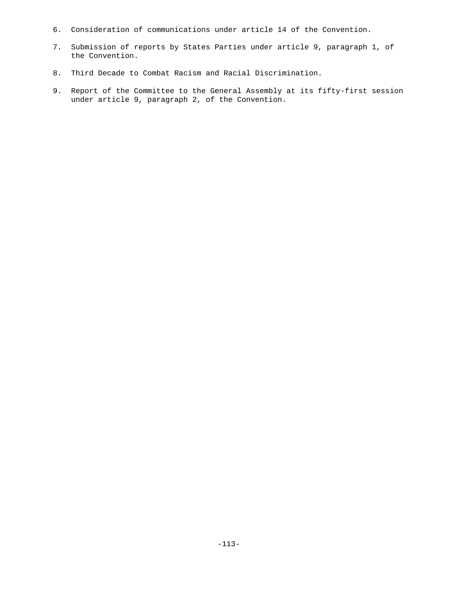- 6. Consideration of communications under article 14 of the Convention.
- 7. Submission of reports by States Parties under article 9, paragraph 1, of the Convention.
- 8. Third Decade to Combat Racism and Racial Discrimination.
- 9. Report of the Committee to the General Assembly at its fifty-first session under article 9, paragraph 2, of the Convention.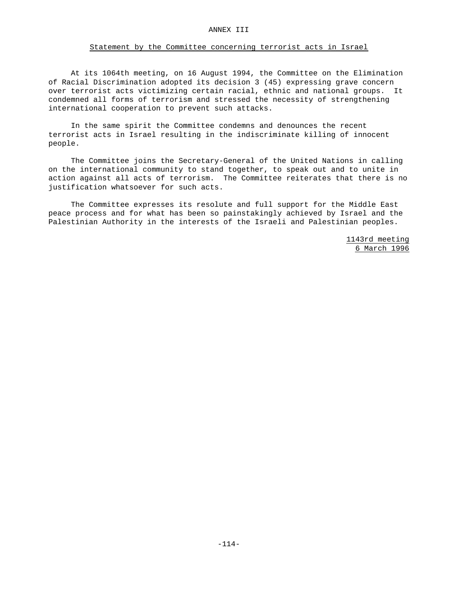## ANNEX III

#### Statement by the Committee concerning terrorist acts in Israel

At its 1064th meeting, on 16 August 1994, the Committee on the Elimination of Racial Discrimination adopted its decision 3 (45) expressing grave concern over terrorist acts victimizing certain racial, ethnic and national groups. It condemned all forms of terrorism and stressed the necessity of strengthening international cooperation to prevent such attacks.

In the same spirit the Committee condemns and denounces the recent terrorist acts in Israel resulting in the indiscriminate killing of innocent people.

The Committee joins the Secretary-General of the United Nations in calling on the international community to stand together, to speak out and to unite in action against all acts of terrorism. The Committee reiterates that there is no justification whatsoever for such acts.

The Committee expresses its resolute and full support for the Middle East peace process and for what has been so painstakingly achieved by Israel and the Palestinian Authority in the interests of the Israeli and Palestinian peoples.

> 1143rd meeting 6 March 1996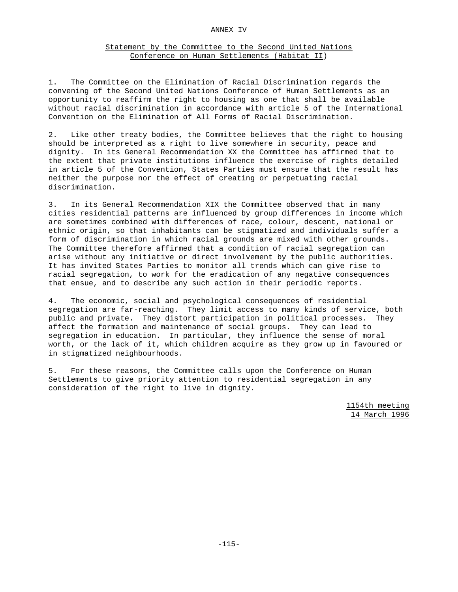## ANNEX IV

# Statement by the Committee to the Second United Nations Conference on Human Settlements (Habitat II)

1. The Committee on the Elimination of Racial Discrimination regards the convening of the Second United Nations Conference of Human Settlements as an opportunity to reaffirm the right to housing as one that shall be available without racial discrimination in accordance with article 5 of the International Convention on the Elimination of All Forms of Racial Discrimination.

2. Like other treaty bodies, the Committee believes that the right to housing should be interpreted as a right to live somewhere in security, peace and dignity. In its General Recommendation XX the Committee has affirmed that to the extent that private institutions influence the exercise of rights detailed in article 5 of the Convention, States Parties must ensure that the result has neither the purpose nor the effect of creating or perpetuating racial discrimination.

3. In its General Recommendation XIX the Committee observed that in many cities residential patterns are influenced by group differences in income which are sometimes combined with differences of race, colour, descent, national or ethnic origin, so that inhabitants can be stigmatized and individuals suffer a form of discrimination in which racial grounds are mixed with other grounds. The Committee therefore affirmed that a condition of racial segregation can arise without any initiative or direct involvement by the public authorities. It has invited States Parties to monitor all trends which can give rise to racial segregation, to work for the eradication of any negative consequences that ensue, and to describe any such action in their periodic reports.

4. The economic, social and psychological consequences of residential segregation are far-reaching. They limit access to many kinds of service, both public and private. They distort participation in political processes. They affect the formation and maintenance of social groups. They can lead to segregation in education. In particular, they influence the sense of moral worth, or the lack of it, which children acquire as they grow up in favoured or in stigmatized neighbourhoods.

5. For these reasons, the Committee calls upon the Conference on Human Settlements to give priority attention to residential segregation in any consideration of the right to live in dignity.

> 1154th meeting 14 March 1996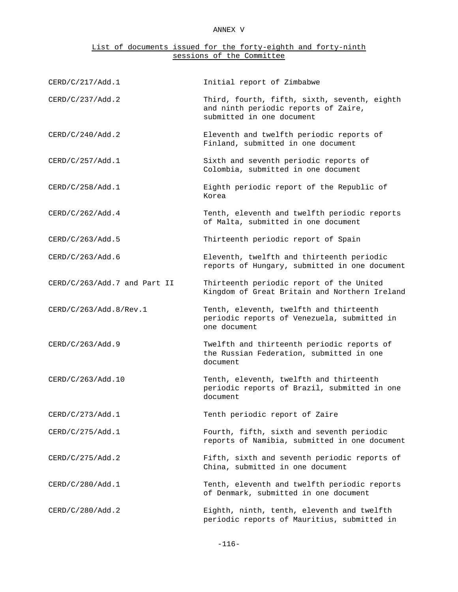ANNEX V

# List of documents issued for the forty-eighth and forty-ninth sessions of the Committee

| CERD/C/217/Add.1             | Initial report of Zimbabwe                                                                                        |
|------------------------------|-------------------------------------------------------------------------------------------------------------------|
| CERD/C/237/Add.2             | Third, fourth, fifth, sixth, seventh, eighth<br>and ninth periodic reports of Zaire,<br>submitted in one document |
| CERD/C/240/Add.2             | Eleventh and twelfth periodic reports of<br>Finland, submitted in one document                                    |
| CERD/C/257/Add.1             | Sixth and seventh periodic reports of<br>Colombia, submitted in one document                                      |
| CERD/C/258/Add.1             | Eighth periodic report of the Republic of<br>Korea                                                                |
| CERD/C/262/Add.4             | Tenth, eleventh and twelfth periodic reports<br>of Malta, submitted in one document                               |
| CERD/C/263/Add.5             | Thirteenth periodic report of Spain                                                                               |
| CERD/C/263/Add.6             | Eleventh, twelfth and thirteenth periodic<br>reports of Hungary, submitted in one document                        |
| CERD/C/263/Add.7 and Part II | Thirteenth periodic report of the United<br>Kingdom of Great Britain and Northern Ireland                         |
| CERD/C/263/Add.8/Rev.1       | Tenth, eleventh, twelfth and thirteenth<br>periodic reports of Venezuela, submitted in<br>one document            |
| CERD/C/263/Add.9             | Twelfth and thirteenth periodic reports of<br>the Russian Federation, submitted in one<br>document                |
| CERD/C/263/Add.10            | Tenth, eleventh, twelfth and thirteenth<br>periodic reports of Brazil, submitted in one<br>document               |
| CERD/C/273/Add.1             | Tenth periodic report of Zaire                                                                                    |
| CERD/C/275/Add.1             | Fourth, fifth, sixth and seventh periodic<br>reports of Namibia, submitted in one document                        |
| CERD/C/275/Add.2             | Fifth, sixth and seventh periodic reports of<br>China, submitted in one document                                  |
| CERD/C/280/Add.1             | Tenth, eleventh and twelfth periodic reports<br>of Denmark, submitted in one document                             |
| CERD/C/280/Add.2             | Eighth, ninth, tenth, eleventh and twelfth<br>periodic reports of Mauritius, submitted in                         |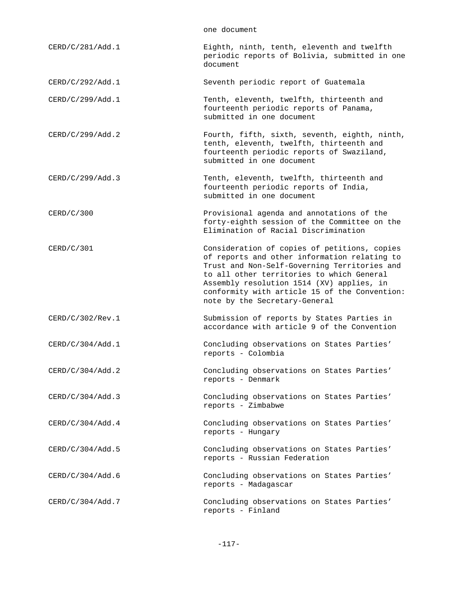one document CERD/C/281/Add.1 Eighth, ninth, tenth, eleventh and twelfth periodic reports of Bolivia, submitted in one document CERD/C/292/Add.1 Seventh periodic report of Guatemala CERD/C/299/Add.1 Tenth, eleventh, twelfth, thirteenth and fourteenth periodic reports of Panama, submitted in one document CERD/C/299/Add.2 Fourth, fifth, sixth, seventh, eighth, ninth, tenth, eleventh, twelfth, thirteenth and fourteenth periodic reports of Swaziland, submitted in one document CERD/C/299/Add.3 Tenth, eleventh, twelfth, thirteenth and fourteenth periodic reports of India, submitted in one document CERD/C/300 Provisional agenda and annotations of the forty-eighth session of the Committee on the Elimination of Racial Discrimination CERD/C/301 Consideration of copies of petitions, copies of reports and other information relating to Trust and Non-Self-Governing Territories and to all other territories to which General Assembly resolution 1514 (XV) applies, in conformity with article 15 of the Convention: note by the Secretary-General CERD/C/302/Rev.1 Submission of reports by States Parties in accordance with article 9 of the Convention CERD/C/304/Add.1 Concluding observations on States Parties' reports - Colombia CERD/C/304/Add.2 Concluding observations on States Parties' reports - Denmark CERD/C/304/Add.3 Concluding observations on States Parties' reports - Zimbabwe CERD/C/304/Add.4 Concluding observations on States Parties' reports - Hungary CERD/C/304/Add.5 Concluding observations on States Parties' reports - Russian Federation CERD/C/304/Add.6 Concluding observations on States Parties' reports - Madagascar CERD/C/304/Add.7 Concluding observations on States Parties' reports - Finland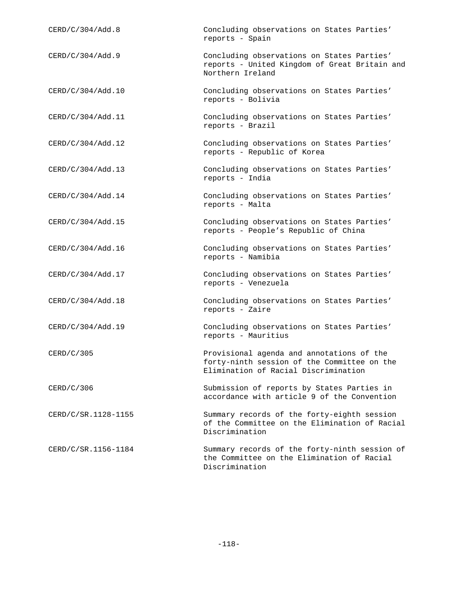| CERD/C/304/Add.8    | Concluding observations on States Parties'<br>reports - Spain                                                                    |
|---------------------|----------------------------------------------------------------------------------------------------------------------------------|
| CERD/C/304/Add.9    | Concluding observations on States Parties'<br>reports - United Kingdom of Great Britain and<br>Northern Ireland                  |
| CERD/C/304/Add.10   | Concluding observations on States Parties'<br>reports - Bolivia                                                                  |
| CERD/C/304/Add.11   | Concluding observations on States Parties'<br>reports - Brazil                                                                   |
| CERD/C/304/Add.12   | Concluding observations on States Parties'<br>reports - Republic of Korea                                                        |
| CERD/C/304/Add.13   | Concluding observations on States Parties'<br>reports - India                                                                    |
| CERD/C/304/Add.14   | Concluding observations on States Parties'<br>reports - Malta                                                                    |
| CERD/C/304/Add.15   | Concluding observations on States Parties'<br>reports - People's Republic of China                                               |
| CERD/C/304/Add.16   | Concluding observations on States Parties'<br>reports - Namibia                                                                  |
| CERD/C/304/Add.17   | Concluding observations on States Parties'<br>reports - Venezuela                                                                |
| CERD/C/304/Add.18   | Concluding observations on States Parties'<br>reports - Zaire                                                                    |
| CERD/C/304/Add.19   | Concluding observations on States Parties'<br>reports - Mauritius                                                                |
| CERD/C/305          | Provisional agenda and annotations of the<br>forty-ninth session of the Committee on the<br>Elimination of Racial Discrimination |
| CERD/C/306          | Submission of reports by States Parties in<br>accordance with article 9 of the Convention                                        |
| CERD/C/SR.1128-1155 | Summary records of the forty-eighth session<br>of the Committee on the Elimination of Racial<br>Discrimination                   |
| CERD/C/SR.1156-1184 | Summary records of the forty-ninth session of<br>the Committee on the Elimination of Racial<br>Discrimination                    |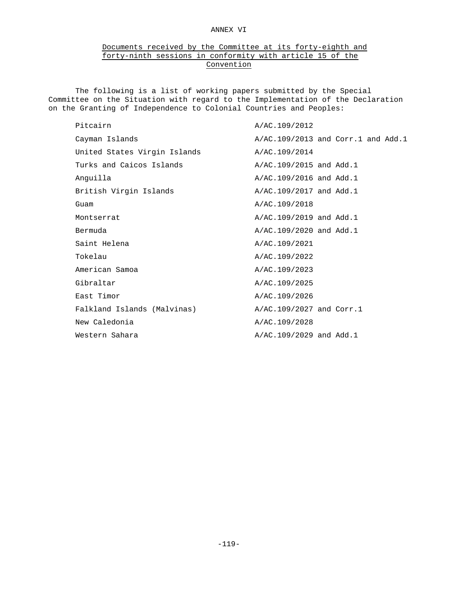# ANNEX VI

# Documents received by the Committee at its forty-eighth and forty-ninth sessions in conformity with article 15 of the **Convention**

The following is a list of working papers submitted by the Special Committee on the Situation with regard to the Implementation of the Declaration on the Granting of Independence to Colonial Countries and Peoples:

| Pitcairn                     | A/AC.109/2012                            |
|------------------------------|------------------------------------------|
| Cayman Islands               | $A/AC.109/2013$ and $Corr.1$ and $Add.1$ |
| United States Virgin Islands | A/AC.109/2014                            |
| Turks and Caicos Islands     | A/AC.109/2015 and Add.1                  |
| Anquilla                     | A/AC.109/2016 and Add.1                  |
| British Virgin Islands       | A/AC.109/2017 and Add.1                  |
| Guam                         | A/AC.109/2018                            |
| Montserrat                   | A/AC.109/2019 and Add.1                  |
| Bermuda                      | A/AC.109/2020 and Add.1                  |
| Saint Helena                 | A/AC.109/2021                            |
| Tokelau                      | A/AC.109/2022                            |
| American Samoa               | A/AC.109/2023                            |
| Gibraltar                    | A/AC.109/2025                            |
| East Timor                   | A/AC.109/2026                            |
| Falkland Islands (Malvinas)  | A/AC.109/2027 and Corr.1                 |
| New Caledonia                | A/AC.109/2028                            |
| Western Sahara               | A/AC.109/2029 and Add.1                  |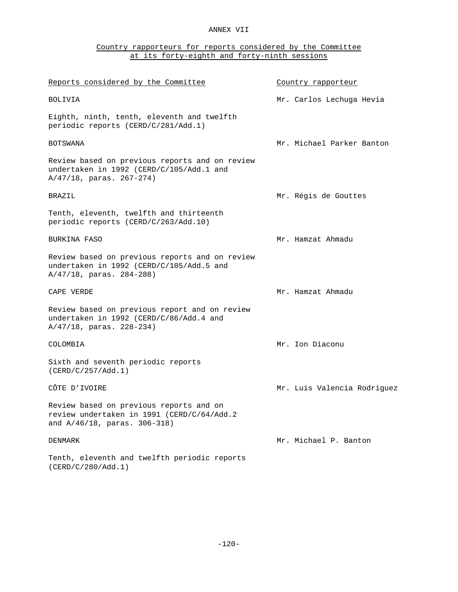# ANNEX VII

# Country rapporteurs for reports considered by the Committee at its forty-eighth and forty-ninth sessions

| Reports considered by the Committee                                                                                    | Country rapporteur          |
|------------------------------------------------------------------------------------------------------------------------|-----------------------------|
| <b>BOLIVIA</b>                                                                                                         | Mr. Carlos Lechuga Hevia    |
| Eighth, ninth, tenth, eleventh and twelfth<br>periodic reports (CERD/C/281/Add.1)                                      |                             |
| <b>BOTSWANA</b>                                                                                                        | Mr. Michael Parker Banton   |
| Review based on previous reports and on review<br>undertaken in 1992 (CERD/C/105/Add.1 and<br>A/47/18, paras. 267-274) |                             |
| BRAZIL                                                                                                                 | Mr. Régis de Gouttes        |
| Tenth, eleventh, twelfth and thirteenth<br>periodic reports (CERD/C/263/Add.10)                                        |                             |
| BURKINA FASO                                                                                                           | Mr. Hamzat Ahmadu           |
| Review based on previous reports and on review<br>undertaken in 1992 (CERD/C/105/Add.5 and<br>A/47/18, paras. 284-288) |                             |
| CAPE VERDE                                                                                                             | Mr. Hamzat Ahmadu           |
| Review based on previous report and on review<br>undertaken in 1992 (CERD/C/86/Add.4 and<br>A/47/18, paras. 228-234)   |                             |
| COLOMBIA                                                                                                               | Mr. Ion Diaconu             |
| Sixth and seventh periodic reports<br>(CERD/C/257/Add.1)                                                               |                             |
| CÔTE D'IVOIRE                                                                                                          | Mr. Luis Valencia Rodriguez |
| Review based on previous reports and on<br>review undertaken in 1991 (CERD/C/64/Add.2<br>and A/46/18, paras. 306-318)  |                             |
| DENMARK                                                                                                                | Mr. Michael P. Banton       |
| Tenth, eleventh and twelfth periodic reports<br>(CERD/C/280/Add.1)                                                     |                             |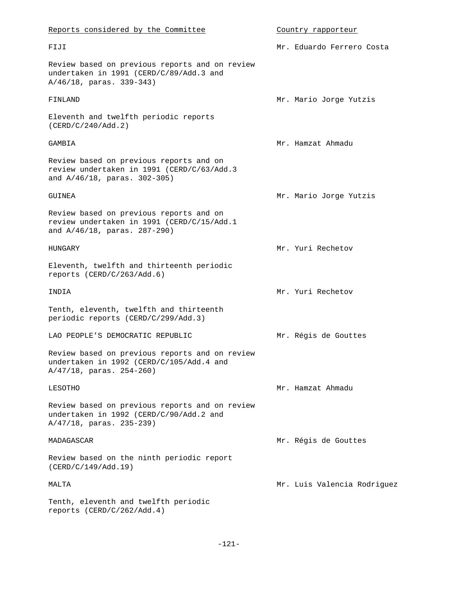| Reports considered by the Committee                                                                                       | Country rapporteur          |
|---------------------------------------------------------------------------------------------------------------------------|-----------------------------|
| FIJI                                                                                                                      | Mr. Eduardo Ferrero Costa   |
| Review based on previous reports and on review<br>undertaken in 1991 (CERD/C/89/Add.3 and<br>A/46/18, paras. 339-343)     |                             |
| FINLAND                                                                                                                   | Mr. Mario Jorge Yutzis      |
| Eleventh and twelfth periodic reports<br>(CERD/C/240/Add.2)                                                               |                             |
| GAMBIA                                                                                                                    | Mr. Hamzat Ahmadu           |
| Review based on previous reports and on<br>review undertaken in 1991 (CERD/C/63/Add.3<br>and A/46/18, paras. 302-305)     |                             |
| <b>GUINEA</b>                                                                                                             | Mr. Mario Jorge Yutzis      |
| Review based on previous reports and on<br>review undertaken in 1991 (CERD/C/15/Add.1<br>and A/46/18, paras. 287-290)     |                             |
| HUNGARY                                                                                                                   | Mr. Yuri Rechetov           |
| Eleventh, twelfth and thirteenth periodic<br>reports (CERD/C/263/Add.6)                                                   |                             |
| INDIA                                                                                                                     | Mr. Yuri Rechetov           |
| Tenth, eleventh, twelfth and thirteenth<br>periodic reports (CERD/C/299/Add.3)                                            |                             |
| LAO PEOPLE'S DEMOCRATIC REPUBLIC                                                                                          | Mr. Régis de Gouttes        |
| Review based on previous reports and on review<br>undertaken in 1992 (CERD/C/105/Add.4 and<br>$A/47/18$ , paras. 254-260) |                             |
| LESOTHO                                                                                                                   | Mr. Hamzat Ahmadu           |
| Review based on previous reports and on review<br>undertaken in 1992 (CERD/C/90/Add.2 and<br>A/47/18, paras. 235-239)     |                             |
| MADAGASCAR                                                                                                                | Mr. Régis de Gouttes        |
| Review based on the ninth periodic report<br>(CERD/C/149/Add.19)                                                          |                             |
| MALTA                                                                                                                     | Mr. Luis Valencia Rodriguez |
| Tenth, eleventh and twelfth periodic<br>reports (CERD/C/262/Add.4)                                                        |                             |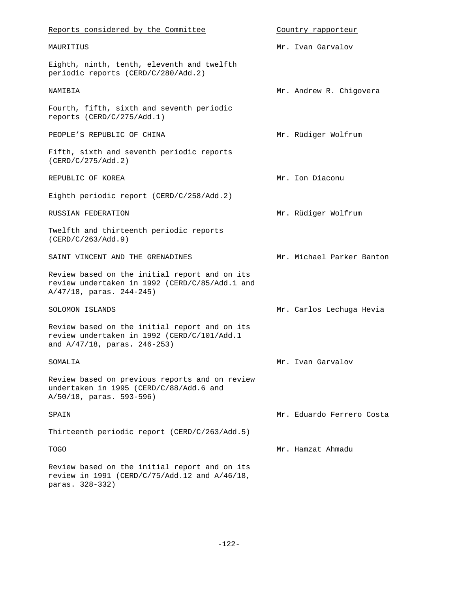| Reports considered by the Committee                                                                                          | Country rapporteur        |
|------------------------------------------------------------------------------------------------------------------------------|---------------------------|
| MAURITIUS                                                                                                                    | Mr. Ivan Garvalov         |
| Eighth, ninth, tenth, eleventh and twelfth<br>periodic reports (CERD/C/280/Add.2)                                            |                           |
| NAMIBIA                                                                                                                      | Mr. Andrew R. Chigovera   |
| Fourth, fifth, sixth and seventh periodic<br>reports (CERD/C/275/Add.1)                                                      |                           |
| PEOPLE'S REPUBLIC OF CHINA                                                                                                   | Mr. Rüdiger Wolfrum       |
| Fifth, sixth and seventh periodic reports<br>(CERD/C/275/Add.2)                                                              |                           |
| REPUBLIC OF KOREA                                                                                                            | Mr. Ion Diaconu           |
| Eighth periodic report (CERD/C/258/Add.2)                                                                                    |                           |
| RUSSIAN FEDERATION                                                                                                           | Mr. Rüdiger Wolfrum       |
| Twelfth and thirteenth periodic reports<br>(CERD/C/263/Add.9)                                                                |                           |
| SAINT VINCENT AND THE GRENADINES                                                                                             | Mr. Michael Parker Banton |
| Review based on the initial report and on its<br>review undertaken in 1992 (CERD/C/85/Add.1 and<br>A/47/18, paras. 244-245)  |                           |
| SOLOMON ISLANDS                                                                                                              | Mr. Carlos Lechuga Hevia  |
| Review based on the initial report and on its<br>review undertaken in 1992 (CERD/C/101/Add.1<br>and A/47/18, paras. 246-253) |                           |
| SOMALIA                                                                                                                      | Mr. Ivan Garvalov         |
| Review based on previous reports and on review<br>undertaken in 1995 (CERD/C/88/Add.6 and<br>A/50/18, paras. 593-596)        |                           |
| SPAIN                                                                                                                        | Mr. Eduardo Ferrero Costa |
| Thirteenth periodic report (CERD/C/263/Add.5)                                                                                |                           |
| <b>TOGO</b>                                                                                                                  | Mr. Hamzat Ahmadu         |
| Review based on the initial report and on its<br>review in 1991 (CERD/C/75/Add.12 and A/46/18,<br>paras. 328-332)            |                           |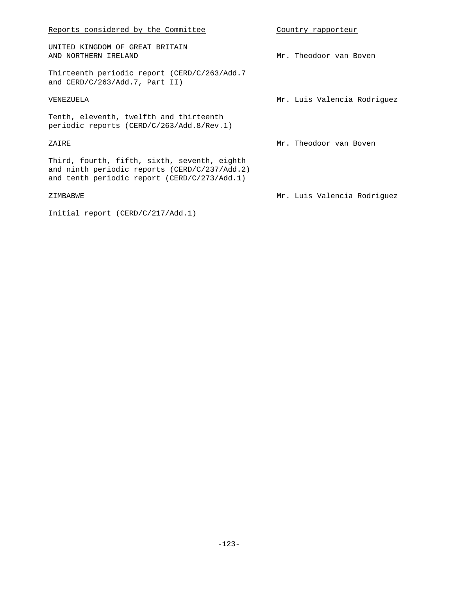| Reports considered by the Committee                                                                                                               | Country rapporteur          |
|---------------------------------------------------------------------------------------------------------------------------------------------------|-----------------------------|
| UNITED KINGDOM OF GREAT BRITAIN<br>AND NORTHERN IRELAND                                                                                           | Mr. Theodoor van Boven      |
| Thirteenth periodic report (CERD/C/263/Add.7)<br>and $CERD/C/263/Add.7$ , Part II)                                                                |                             |
| VENEZUELA                                                                                                                                         | Mr. Luis Valencia Rodriquez |
| Tenth, eleventh, twelfth and thirteenth<br>periodic reports (CERD/C/263/Add.8/Rev.1)                                                              |                             |
| ZAIRE                                                                                                                                             | Mr. Theodoor van Boven      |
| Third, fourth, fifth, sixth, seventh, eighth<br>and ninth periodic reports (CERD/C/237/Add.2)<br>and tenth periodic report ( $CERD/C/273/Add.1$ ) |                             |
| ZIMBARWE                                                                                                                                          | Mr. Luis Valencia Rodriquez |

Initial report (CERD/C/217/Add.1)

-123-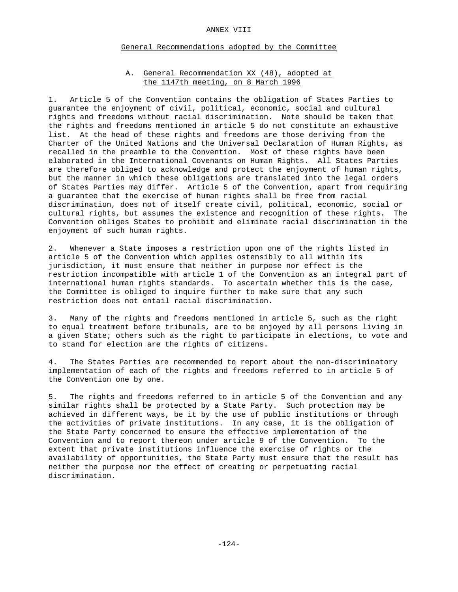## ANNEX VIII

#### General Recommendations adopted by the Committee

# A. General Recommendation XX (48), adopted at the 1147th meeting, on 8 March 1996

1. Article 5 of the Convention contains the obligation of States Parties to guarantee the enjoyment of civil, political, economic, social and cultural rights and freedoms without racial discrimination. Note should be taken that the rights and freedoms mentioned in article 5 do not constitute an exhaustive list. At the head of these rights and freedoms are those deriving from the Charter of the United Nations and the Universal Declaration of Human Rights, as recalled in the preamble to the Convention. Most of these rights have been elaborated in the International Covenants on Human Rights. All States Parties are therefore obliged to acknowledge and protect the enjoyment of human rights, but the manner in which these obligations are translated into the legal orders of States Parties may differ. Article 5 of the Convention, apart from requiring a guarantee that the exercise of human rights shall be free from racial discrimination, does not of itself create civil, political, economic, social or cultural rights, but assumes the existence and recognition of these rights. The Convention obliges States to prohibit and eliminate racial discrimination in the enjoyment of such human rights.

2. Whenever a State imposes a restriction upon one of the rights listed in article 5 of the Convention which applies ostensibly to all within its jurisdiction, it must ensure that neither in purpose nor effect is the restriction incompatible with article 1 of the Convention as an integral part of international human rights standards. To ascertain whether this is the case, the Committee is obliged to inquire further to make sure that any such restriction does not entail racial discrimination.

3. Many of the rights and freedoms mentioned in article 5, such as the right to equal treatment before tribunals, are to be enjoyed by all persons living in a given State; others such as the right to participate in elections, to vote and to stand for election are the rights of citizens.

4. The States Parties are recommended to report about the non-discriminatory implementation of each of the rights and freedoms referred to in article 5 of the Convention one by one.

5. The rights and freedoms referred to in article 5 of the Convention and any similar rights shall be protected by a State Party. Such protection may be achieved in different ways, be it by the use of public institutions or through the activities of private institutions. In any case, it is the obligation of the State Party concerned to ensure the effective implementation of the Convention and to report thereon under article 9 of the Convention. To the extent that private institutions influence the exercise of rights or the availability of opportunities, the State Party must ensure that the result has neither the purpose nor the effect of creating or perpetuating racial discrimination.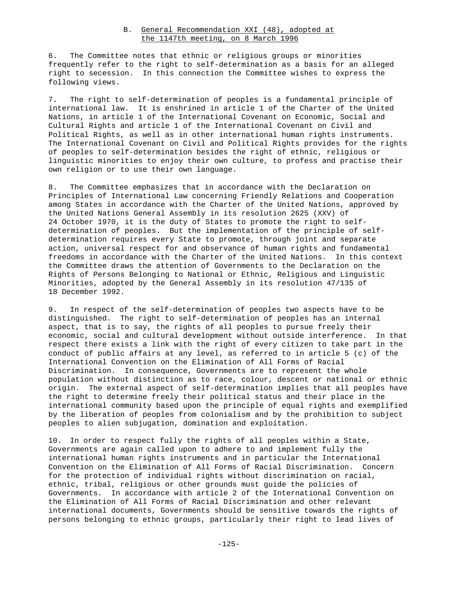# B. General Recommendation XXI (48), adopted at the 1147th meeting, on 8 March 1996

6. The Committee notes that ethnic or religious groups or minorities frequently refer to the right to self-determination as a basis for an alleged right to secession. In this connection the Committee wishes to express the following views.

7. The right to self-determination of peoples is a fundamental principle of international law. It is enshrined in article 1 of the Charter of the United Nations, in article 1 of the International Covenant on Economic, Social and Cultural Rights and article 1 of the International Covenant on Civil and Political Rights, as well as in other international human rights instruments. The International Covenant on Civil and Political Rights provides for the rights of peoples to self-determination besides the right of ethnic, religious or linguistic minorities to enjoy their own culture, to profess and practise their own religion or to use their own language.

8. The Committee emphasizes that in accordance with the Declaration on Principles of International Law concerning Friendly Relations and Cooperation among States in accordance with the Charter of the United Nations, approved by the United Nations General Assembly in its resolution 2625 (XXV) of 24 October 1970, it is the duty of States to promote the right to selfdetermination of peoples. But the implementation of the principle of selfdetermination requires every State to promote, through joint and separate action, universal respect for and observance of human rights and fundamental freedoms in accordance with the Charter of the United Nations. In this context the Committee draws the attention of Governments to the Declaration on the Rights of Persons Belonging to National or Ethnic, Religious and Linguistic Minorities, adopted by the General Assembly in its resolution 47/135 of 18 December 1992.

9. In respect of the self-determination of peoples two aspects have to be distinguished. The right to self-determination of peoples has an internal aspect, that is to say, the rights of all peoples to pursue freely their economic, social and cultural development without outside interference. In that respect there exists a link with the right of every citizen to take part in the conduct of public affairs at any level, as referred to in article 5 (c) of the International Convention on the Elimination of All Forms of Racial Discrimination. In consequence, Governments are to represent the whole population without distinction as to race, colour, descent or national or ethnic origin. The external aspect of self-determination implies that all peoples have the right to determine freely their political status and their place in the international community based upon the principle of equal rights and exemplified by the liberation of peoples from colonialism and by the prohibition to subject peoples to alien subjugation, domination and exploitation.

10. In order to respect fully the rights of all peoples within a State, Governments are again called upon to adhere to and implement fully the international human rights instruments and in particular the International Convention on the Elimination of All Forms of Racial Discrimination. Concern for the protection of individual rights without discrimination on racial, ethnic, tribal, religious or other grounds must guide the policies of Governments. In accordance with article 2 of the International Convention on the Elimination of All Forms of Racial Discrimination and other relevant international documents, Governments should be sensitive towards the rights of persons belonging to ethnic groups, particularly their right to lead lives of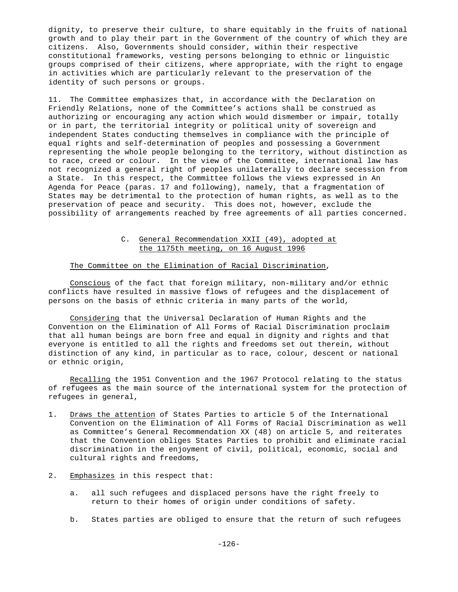dignity, to preserve their culture, to share equitably in the fruits of national growth and to play their part in the Government of the country of which they are citizens. Also, Governments should consider, within their respective constitutional frameworks, vesting persons belonging to ethnic or linguistic groups comprised of their citizens, where appropriate, with the right to engage in activities which are particularly relevant to the preservation of the identity of such persons or groups.

11. The Committee emphasizes that, in accordance with the Declaration on Friendly Relations, none of the Committee's actions shall be construed as authorizing or encouraging any action which would dismember or impair, totally or in part, the territorial integrity or political unity of sovereign and independent States conducting themselves in compliance with the principle of equal rights and self-determination of peoples and possessing a Government representing the whole people belonging to the territory, without distinction as to race, creed or colour. In the view of the Committee, international law has not recognized a general right of peoples unilaterally to declare secession from a State. In this respect, the Committee follows the views expressed in An Agenda for Peace (paras. 17 and following), namely, that a fragmentation of States may be detrimental to the protection of human rights, as well as to the preservation of peace and security. This does not, however, exclude the possibility of arrangements reached by free agreements of all parties concerned.

# C. General Recommendation XXII (49), adopted at the 1175th meeting, on 16 August 1996

## The Committee on the Elimination of Racial Discrimination,

Conscious of the fact that foreign military, non-military and/or ethnic conflicts have resulted in massive flows of refugees and the displacement of persons on the basis of ethnic criteria in many parts of the world,

Considering that the Universal Declaration of Human Rights and the Convention on the Elimination of All Forms of Racial Discrimination proclaim that all human beings are born free and equal in dignity and rights and that everyone is entitled to all the rights and freedoms set out therein, without distinction of any kind, in particular as to race, colour, descent or national or ethnic origin,

Recalling the 1951 Convention and the 1967 Protocol relating to the status of refugees as the main source of the international system for the protection of refugees in general,

- 1. Draws the attention of States Parties to article 5 of the International Convention on the Elimination of All Forms of Racial Discrimination as well as Committee's General Recommendation XX (48) on article 5, and reiterates that the Convention obliges States Parties to prohibit and eliminate racial discrimination in the enjoyment of civil, political, economic, social and cultural rights and freedoms,
- 2. Emphasizes in this respect that:
	- a. all such refugees and displaced persons have the right freely to return to their homes of origin under conditions of safety.
	- b. States parties are obliged to ensure that the return of such refugees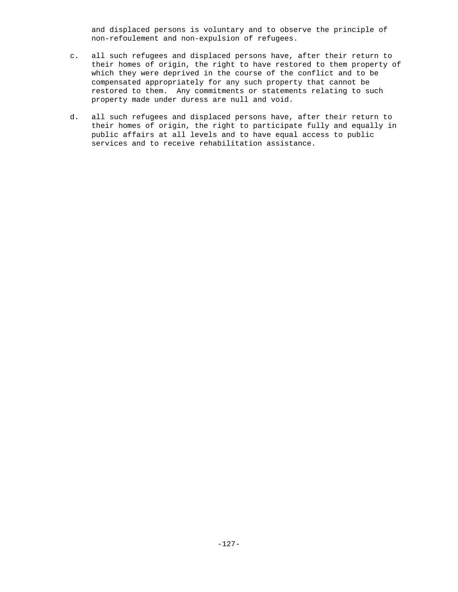and displaced persons is voluntary and to observe the principle of non-refoulement and non-expulsion of refugees.

- c. all such refugees and displaced persons have, after their return to their homes of origin, the right to have restored to them property of which they were deprived in the course of the conflict and to be compensated appropriately for any such property that cannot be restored to them. Any commitments or statements relating to such property made under duress are null and void.
- d. all such refugees and displaced persons have, after their return to their homes of origin, the right to participate fully and equally in public affairs at all levels and to have equal access to public services and to receive rehabilitation assistance.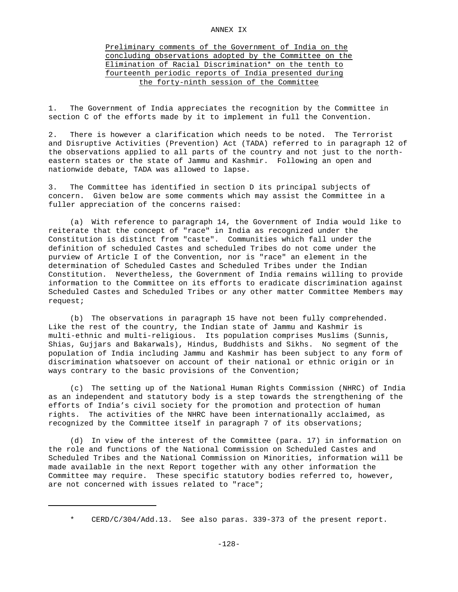# ANNEX IX

# Preliminary comments of the Government of India on the concluding observations adopted by the Committee on the Elimination of Racial Discrimination\* on the tenth to fourteenth periodic reports of India presented during the forty-ninth session of the Committee

1. The Government of India appreciates the recognition by the Committee in section C of the efforts made by it to implement in full the Convention.

2. There is however a clarification which needs to be noted. The Terrorist and Disruptive Activities (Prevention) Act (TADA) referred to in paragraph 12 of the observations applied to all parts of the country and not just to the northeastern states or the state of Jammu and Kashmir. Following an open and nationwide debate, TADA was allowed to lapse.

3. The Committee has identified in section D its principal subjects of concern. Given below are some comments which may assist the Committee in a fuller appreciation of the concerns raised:

(a) With reference to paragraph 14, the Government of India would like to reiterate that the concept of "race" in India as recognized under the Constitution is distinct from "caste". Communities which fall under the definition of scheduled Castes and scheduled Tribes do not come under the purview of Article I of the Convention, nor is "race" an element in the determination of Scheduled Castes and Scheduled Tribes under the Indian Constitution. Nevertheless, the Government of India remains willing to provide information to the Committee on its efforts to eradicate discrimination against Scheduled Castes and Scheduled Tribes or any other matter Committee Members may request;

(b) The observations in paragraph 15 have not been fully comprehended. Like the rest of the country, the Indian state of Jammu and Kashmir is multi-ethnic and multi-religious. Its population comprises Muslims (Sunnis, Shias, Gujjars and Bakarwals), Hindus, Buddhists and Sikhs. No segment of the population of India including Jammu and Kashmir has been subject to any form of discrimination whatsoever on account of their national or ethnic origin or in ways contrary to the basic provisions of the Convention;

(c) The setting up of the National Human Rights Commission (NHRC) of India as an independent and statutory body is a step towards the strengthening of the efforts of India's civil society for the promotion and protection of human rights. The activities of the NHRC have been internationally acclaimed, as recognized by the Committee itself in paragraph 7 of its observations;

(d) In view of the interest of the Committee (para. 17) in information on the role and functions of the National Commission on Scheduled Castes and Scheduled Tribes and the National Commission on Minorities, information will be made available in the next Report together with any other information the Committee may require. These specific statutory bodies referred to, however, are not concerned with issues related to "race";

<sup>\*</sup> CERD/C/304/Add.13. See also paras. 339-373 of the present report.